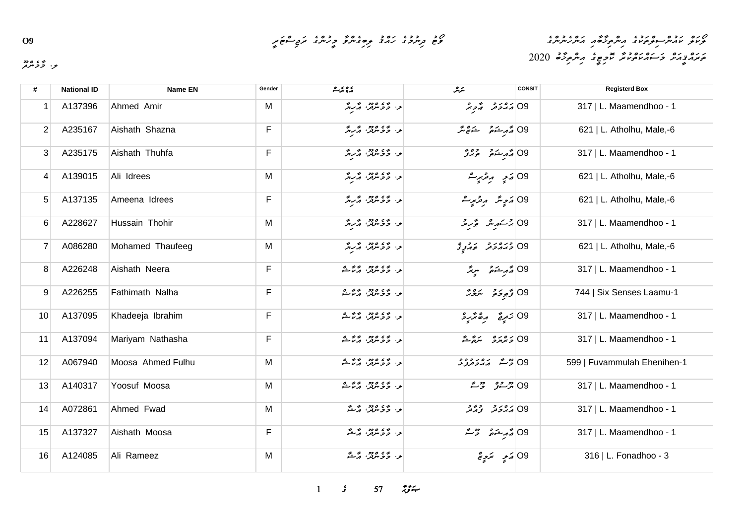*sCw7q7s5w7m< o<n9nOoAw7o< sCq;mAwBoEw7q<m; wBm;vB* م من المرة المرة المرة المرجع المرجع في المركبة 2020<br>مجم*د المريض المربوط المربع المرجع في المراجع المركبة* 

| この くぐ     |  |
|-----------|--|
| و، ووسرتر |  |

| #              | <b>National ID</b> | <b>Name EN</b>    | Gender       | ړ، پرے                 | سرپر                                 | <b>CONSIT</b> | <b>Registerd Box</b>        |
|----------------|--------------------|-------------------|--------------|------------------------|--------------------------------------|---------------|-----------------------------|
|                | A137396            | Ahmed Amir        | M            | أور ومحاورها ومراكز    | 09 كەشكە ئەر ئە                      |               | 317   L. Maamendhoo - 1     |
| $\overline{2}$ | A235167            | Aishath Shazna    | F            | أورا وتحاويش أركاركم   | 09 مۇم ئىقمى ئىستىمىگر               |               | 621   L. Atholhu, Male,-6   |
| 3              | A235175            | Aishath Thuhfa    | $\mathsf{F}$ | و. ووسيق كمركز         | 09 مەم شەم ھەرىخ                     |               | 317   L. Maamendhoo - 1     |
| 4              | A139015            | Ali Idrees        | M            | و. ووسين أرار          | 09 کیمو پیموٹیویٹ                    |               | 621   L. Atholhu, Male,-6   |
| 5              | A137135            | Ameena Idrees     | $\mathsf{F}$ | و. ووجهته كريگر        | 09 كەچ ئىگە بويۇرىيەشق               |               | 621   L. Atholhu, Male,-6   |
| 6              | A228627            | Hussain Thohir    | M            | و. ووجه وره            | 09 برُسَمبر مُر گور بُرُ             |               | 317   L. Maamendhoo - 1     |
| 7              | A086280            | Mohamed Thaufeeg  | M            | و. ووسيق كمركز         | 09 <i>\$ ئەمگەنى</i> م <i>ەمگەنى</i> |               | 621   L. Atholhu, Male,-6   |
| 8              | A226248            | Aishath Neera     | F            | و. وگاه ده و و ش       | 09 مۇم شۇ ھېرىگە                     |               | 317   L. Maamendhoo - 1     |
| 9              | A226255            | Fathimath Nalha   | F            | و. ۇوس بەر مەش         | 09 <i>وَّجِ دَمَّةَ</i> مَرَكَّرَّةَ |               | 744   Six Senses Laamu-1    |
| 10             | A137095            | Khadeeja Ibrahim  | F            | و. وگاه ماه در محمد شد |                                      |               | 317   L. Maamendhoo - 1     |
| 11             | A137094            | Mariyam Nathasha  | F            | و. ووجه در دور         | 09 كەبىر ئىر ئىكرىش                  |               | 317   L. Maamendhoo - 1     |
| 12             | A067940            | Moosa Ahmed Fulhu | M            | و. وگاه ده و و ش       | 09 تۇشە بەير <i>ە دورى</i>           |               | 599   Fuvammulah Ehenihen-1 |
| 13             | A140317            | Yoosuf Moosa      | M            | و. ووجهته وور          | 2, 3, 2, 09                          |               | 317   L. Maamendhoo - 1     |
| 14             | A072861            | Ahmed Fwad        | M            | ى ئۇرمەت ئەڭ           | 09 كەشكە قىر قىرقىر                  |               | 317   L. Maamendhoo - 1     |
| 15             | A137327            | Aishath Moosa     | $\mathsf F$  | ى ئەتەرەم ئەڭ          | 09 مُ مِسْمَعْ حَرْبٌ                |               | 317   L. Maamendhoo - 1     |
| 16             | A124085            | Ali Rameez        | M            | ى ئۇتەرەپە ئەش         | 09 کړې ترې                           |               | 316   L. Fonadhoo - 3       |

*1 s* 57  $23$   $\div$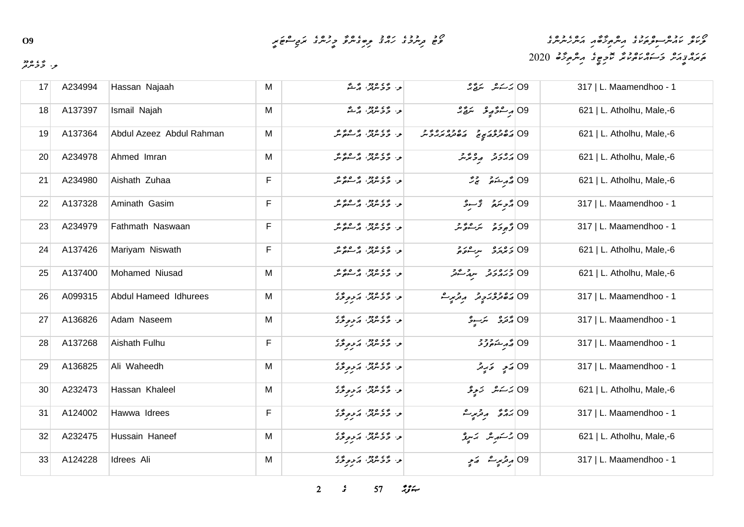*sCw7q7s5w7m< o<n9nOoAw7o< sCq;mAwBoEw7q<m; wBm;vB 2020*<br>*په پوهر وسوډيرونو لومو د موجو د مرمونه* 2020

| 17 | A234994 | Hassan Najaah            | M | ىق ئۇ ئەھەم بۇ ئە             | 09 كەسكەنتى سەنى بىر                                                                                                                                                                                                                                           | 317   L. Maamendhoo - 1   |
|----|---------|--------------------------|---|-------------------------------|----------------------------------------------------------------------------------------------------------------------------------------------------------------------------------------------------------------------------------------------------------------|---------------------------|
| 18 | A137397 | Ismail Najah             | M | ى ئەمەدە ئەش                  | 09  مرےد محمد علاقے جاتا ہے کہ محمد اللہ ک                                                                                                                                                                                                                     | 621   L. Atholhu, Male,-6 |
| 19 | A137364 | Abdul Azeez Abdul Rahman | M | أور وكالمرور والمحاصر والمحمد | $\begin{vmatrix} 0.98000 & 0.88000 & 0.88000 & 0.88000 & 0.88000 & 0.88000 & 0.88000 & 0.88000 & 0.88000 & 0.88000 & 0.88000 & 0.88000 & 0.88000 & 0.88000 & 0.88000 & 0.88000 & 0.88000 & 0.88000 & 0.88000 & 0.88000 & 0.88000 & 0.88000 & 0.88000 & 0.8800$ | 621   L. Atholhu, Male,-6 |
| 20 | A234978 | Ahmed Imran              | M | و. وە دە بەرە بەر             | 09 كەبردىق مەمەمگىتى                                                                                                                                                                                                                                           | 621   L. Atholhu, Male,-6 |
| 21 | A234980 | Aishath Zuhaa            | F | و. ووجود و وور                | 09 م <sup>ح</sup> مر شمر محمد محمد المحمد                                                                                                                                                                                                                      | 621   L. Atholhu, Male,-6 |
| 22 | A137328 | Aminath Gasim            | F | و. د و ده د ماه د د           | 09 أُمُّ جِسَعَ تَحْ سِنْرٌ                                                                                                                                                                                                                                    | 317   L. Maamendhoo - 1   |
| 23 | A234979 | Fathmath Naswaan         | F | ى ئەمەدە ئەھەم                | 09 ۇ <sub>ج</sub> وڭمۇ سەسىمىتىر                                                                                                                                                                                                                               | 317   L. Maamendhoo - 1   |
| 24 | A137426 | Mariyam Niswath          | F | و. گەن ھەم شەھەش              | 09 كەنگەر ھەر ھەمرى                                                                                                                                                                                                                                            | 621   L. Atholhu, Male,-6 |
| 25 | A137400 | Mohamed Niusad           | M | و. د د ده د مشوش              | 09 دُيرور د سر گور                                                                                                                                                                                                                                             | 621   L. Atholhu, Male,-6 |
| 26 | A099315 | Abdul Hameed Idhurees    | M | أوا وتحاويل أروء وتحالي       | 09 كەھەرگەرى بورىمىيە 20 كىل                                                                                                                                                                                                                                   | 317   L. Maamendhoo - 1   |
| 27 | A136826 | Adam Naseem              | M | و گەن ھەم كەرە ئەن            | 09 , گەنىۋە سىرسونى                                                                                                                                                                                                                                            | 317   L. Maamendhoo - 1   |
| 28 | A137268 | Aishath Fulhu            | F | و. ڈوس کروگر                  | 09 مەم شەھ ۋىز                                                                                                                                                                                                                                                 | 317   L. Maamendhoo - 1   |
| 29 | A136825 | Ali Waheedh              | M | و گەنگەن كەرگەنگە             | 09 کھيے ۔ توسیر پر                                                                                                                                                                                                                                             | 317   L. Maamendhoo - 1   |
| 30 | A232473 | Hassan Khaleel           | M | و گەن ھەر كەرگەنگە            | 09 يَرْسَسْ دَمِيوْ                                                                                                                                                                                                                                            | 621   L. Atholhu, Male,-6 |
| 31 | A124002 | Hawwa Idrees             | F | و گەھەدى كەرەپى               | 09 ئەۋۇ بەقرىيەت                                                                                                                                                                                                                                               | 317   L. Maamendhoo - 1   |
| 32 | A232475 | Hussain Haneef           | M | و گەن ھەر كەرگەنگە            | 09 يُرْسَمَ بِهِ بَرْسِيْرٌ                                                                                                                                                                                                                                    | 621   L. Atholhu, Male,-6 |
| 33 | A124228 | Idrees Ali               | M | و گەن ھەر كەن ھەم             | 09 مرمزموے میں کیے                                                                                                                                                                                                                                             | 317   L. Maamendhoo - 1   |

*2 sC 57 nNw?mS*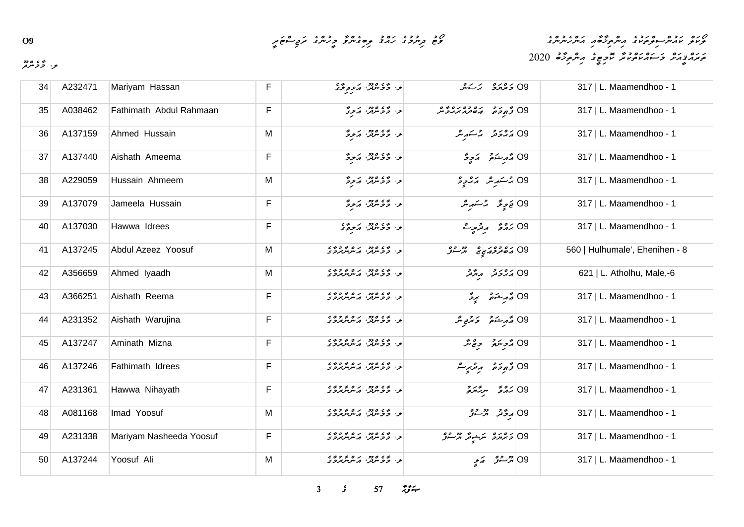*sCw7q7s5w7m< o<n9nOoAw7o< sCq;mAwBoEw7q<m; wBm;vB 2020*<br>*په پوهر وسوډيرونو لومو د موجو د مرمونه* 2020

| 34 | A232471 | Mariyam Hassan          | $\mathsf F$ | و گەھەدە كەبەلەم                                       | 09 كەندىرى بەسەيىر                         | 317   L. Maamendhoo - 1        |
|----|---------|-------------------------|-------------|--------------------------------------------------------|--------------------------------------------|--------------------------------|
| 35 | A038462 | Fathimath Abdul Rahmaan | $\mathsf F$ | والمحصوص كرونج                                         | 09 <i>ۋ<sub>ە</sub> جەمھەمەر مەركىتى</i> ر | 317   L. Maamendhoo - 1        |
| 36 | A137159 | Ahmed Hussain           | M           | والمحصوص كمنعر                                         | 09   كەبرى ئەسىر ئەسىر ئىككە               | 317   L. Maamendhoo - 1        |
| 37 | A137440 | Aishath Ameema          | $\mathsf F$ | والمحتجم فكالمروخ                                      | 09 مُ مِ شَمَعٌ مَ مِرْحِ دَ               | 317   L. Maamendhoo - 1        |
| 38 | A229059 | Hussain Ahmeem          | M           | والمحافظين كمافرق                                      | 09  يرسىرىقى ئەيمرىرى                      | 317   L. Maamendhoo - 1        |
| 39 | A137079 | Jameela Hussain         | $\mathsf F$ | والمحافظين وكمرقر                                      | 09] قے جو تھ جسکہ میں میں                  | 317   L. Maamendhoo - 1        |
| 40 | A137030 | Hawwa Idrees            | F           | والمحوضين كمنعوق                                       | 09 ئەۋىۋە مەقرىپە شە                       | 317   L. Maamendhoo - 1        |
| 41 | A137245 | Abdul Azeez Yoosuf      | M           | د ده ورو ده ده د<br>د ووسربر، پرسر <i>برد</i> و        | 09 كەھە <i>ترى يىلى بىر دە</i>             | 560   Hulhumale', Ehenihen - 8 |
| 42 | A356659 | Ahmed Iyaadh            | M           | و د وه ده ده ووه و                                     | 09 كەشەك ھەرگە بىر                         | 621   L. Atholhu, Male,-6      |
| 43 | A366251 | Aishath Reema           | F           | و د وه ده ده ووه و                                     | 09 مُ مِ شَمْ مِ مِرِدً                    | 317   L. Maamendhoo - 1        |
| 44 | A231352 | Aishath Warujina        | F           | و د وه ده ده ووه و                                     | 09 ۾ پرڪو - او تربي پٿر                    | 317   L. Maamendhoo - 1        |
| 45 | A137247 | Aminath Mizna           | F           | د ده وه د ه د د ده<br>د گرس                            | 09 مَّ حِ سَمَّۃٌ حِ تَحْ سَّرَ            | 317   L. Maamendhoo - 1        |
| 46 | A137246 | Fathimath Idrees        | $\mathsf F$ | د. دی ورد در ورد دره<br>د. و و سربر، پرسر <i>سربرد</i> | 09 زٌموحَهُ فَصَدِيبٌ                      | 317   L. Maamendhoo - 1        |
| 47 | A231361 | Hawwa Nihayath          | F           | و. وه وه ده ووه و                                      | 09 ئەۋۇ سېئەدە                             | 317   L. Maamendhoo - 1        |
| 48 | A081168 | Imad Yoosuf             | M           | و. ووهين كالمراكب                                      | 09 مەڭ ئۇ جۇ يىلىدۇ                        | 317   L. Maamendhoo - 1        |
| 49 | A231338 | Mariyam Nasheeda Yoosuf | F           | و به ۱۶۵۵ د ده ۶۶۶ و.<br>د ووسربر پرسرسربرد د          | 09 كەبگەر ئىكە ئىشىر ئىز قىز قىلغا ئ       | 317   L. Maamendhoo - 1        |
| 50 | A137244 | Yoosuf Ali              | M           | و وه وه د ه ووه و<br>و ووسربن پرسربروی                 | 09 پڙ شوچھ ڪچي                             | 317   L. Maamendhoo - 1        |

**3** *s* **57** *z***<sub>***i***</sub>c</del></sup>**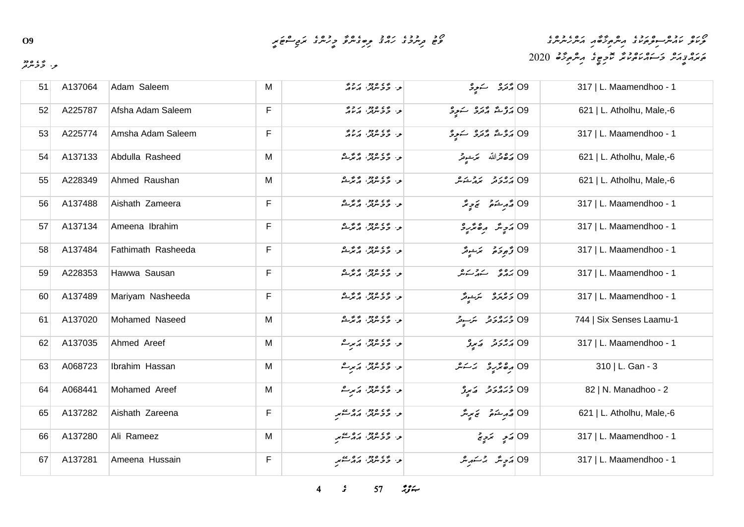*sCw7q7s5w7m< o<n9nOoAw7o< sCq;mAwBoEw7q<m; wBm;vB 2020*<br>*په پوهر وسوډيرونو لومو د موجو د مرمونه* 2020

| 51 | A137064 | Adam Saleem        | M            | والمحصوص برويج        | 09  مَمَرَدُ   مَدِدْ             | 317   L. Maamendhoo - 1   |
|----|---------|--------------------|--------------|-----------------------|-----------------------------------|---------------------------|
| 52 | A225787 | Afsha Adam Saleem  | F            | و. وه ودو. د دو       | 09 كۇڭ گەنگ سەرپى                 | 621   L. Atholhu, Male,-6 |
| 53 | A225774 | Amsha Adam Saleem  | F            | و. گاه دور درون       | 09 كەۋىشە كەترى سەمرى             | 317   L. Maamendhoo - 1   |
| 54 | A137133 | Abdulla Rasheed    | M            | ى ئەرەمەت ئەترىش      | 09 كەڭدىراللە كە <u>س</u> وتىر    | 621   L. Atholhu, Male,-6 |
| 55 | A228349 | Ahmed Raushan      | M            | و. ووجه و و و و       | 09 كەبرو ئەرگە ئىكەنگىر           | 621   L. Atholhu, Male,-6 |
| 56 | A137488 | Aishath Zameera    | F            | و. ۇەمەتەر ئەترىش     | 09 مُگهرِ مُشَمَّدٍ کَمَ حِرْمُدُ | 317   L. Maamendhoo - 1   |
| 57 | A137134 | Ameena Ibrahim     | F            | ى گەرەپ ئەگرىش        | 09 كەچ ئىر مەھ ئۇچى               | 317   L. Maamendhoo - 1   |
| 58 | A137484 | Fathimath Rasheeda | $\mathsf F$  | ى ۋە ھەر ئەگرىش       | 09 ۇجوڭمۇ - ئەخوش                 | 317   L. Maamendhoo - 1   |
| 59 | A228353 | Hawwa Sausan       | F            | و. ووجهته وويده       | 09 ئەشق سەزسىسى                   | 317   L. Maamendhoo - 1   |
| 60 | A137489 | Mariyam Nasheeda   | F            | و. گەن ھەر ئەترىش     | 09 كەنگەنگە سىنىسىنگە             | 317   L. Maamendhoo - 1   |
| 61 | A137020 | Mohamed Naseed     | M            | و. وی دور او دی       | 09  3، 25، كەبىرى كەرىپ           | 744   Six Senses Laamu-1  |
| 62 | A137035 | Ahmed Areef        | M            | و. وگاه ده برگار مرکز | 09 كەشكەقىر كەيدى                 | 317   L. Maamendhoo - 1   |
| 63 | A068723 | Ibrahim Hassan     | M            | و. ۇۇش كەرگە          | 09 مەھەر بۇ سىسىسى ئىسكىسى بىر    | 310   L. Gan - 3          |
| 64 | A068441 | Mohamed Areef      | M            | و. 35 مۇن كەيرىش      | 09  32,35 كەيدى                   | 82   N. Manadhoo - 2      |
| 65 | A137282 | Aishath Zareena    | $\mathsf{F}$ | و. گاه دود ده مه      | 09 م <i>گورڪوٽ تخ</i> مرينگر      | 621   L. Atholhu, Male,-6 |
| 66 | A137280 | Ali Rameez         | M            | و. ووسربو، ماه عصم    | 09 کی په ټرې چ                    | 317   L. Maamendhoo - 1   |
| 67 | A137281 | Ameena Hussain     | F            | و. و و ده ده عم       | 09 كەچ ئىگە بۇ شەمبەنلە           | 317   L. Maamendhoo - 1   |

*4 sC 57 nNw?mS*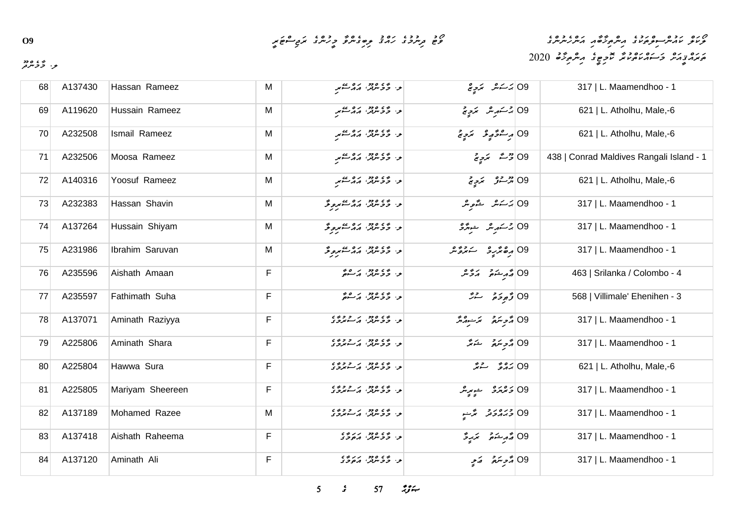*sCw7q7s5w7m< o<n9nOoAw7o< sCq;mAwBoEw7q<m; wBm;vB 2020*<br>*په پوهر وسوډيرونو لومو د موجو د مرمونه* 2020

| 68 | A137430 | Hassan Rameez    | M           | و. و و در ان به ان                                             | 09  كەسىكە ئەتمەيدى                  | 317   L. Maamendhoo - 1                  |
|----|---------|------------------|-------------|----------------------------------------------------------------|--------------------------------------|------------------------------------------|
| 69 | A119620 | Hussain Rameez   | M           | و. ووسربو، ماه عصم                                             | 09 برسىمبە ئىز ئېچە تە               | 621   L. Atholhu, Male,-6                |
| 70 | A232508 | Ismail Rameez    | M           | و. ووسربو، ماه عصم                                             | 09 مرڪو گھي جو پر                    | 621   L. Atholhu, Male,-6                |
| 71 | A232506 | Moosa Rameez     | M           | و. وه ده ده می                                                 | 09 تۇشقە ئىمزىقى                     | 438   Conrad Maldives Rangali Island - 1 |
| 72 | A140316 | Yoosuf Rameez    | M           | و. ووسربو، ماه عصم                                             | 09 تېر يىقتى ئىم ئىچ تى              | 621   L. Atholhu, Male,-6                |
| 73 | A232383 | Hassan Shavin    | M           | و ووسربو ده سي و و گ                                           | 09 كەسكەنلە ئىشمەر ش                 | 317   L. Maamendhoo - 1                  |
| 74 | A137264 | Hussain Shiyam   | M           | و. ووسطى مەسىم و ئ                                             | 09 جُسَم مِعْ سِيرَة حَمَّدَ         | 317   L. Maamendhoo - 1                  |
| 75 | A231986 | Ibrahim Saruvan  | M           | و. ۇۋىرى مەسىروتى                                              | 09 مەھگرىر ئىسكىمىتىر                | 317   L. Maamendhoo - 1                  |
| 76 | A235596 | Aishath Amaan    | F           | و. ووجه در ده و                                                | $09$ مَجْمَدِ شَمَعَ مَرَّدَ مَرَّ   | 463   Srilanka / Colombo - 4             |
| 77 | A235597 | Fathimath Suha   | F           | و. ۇوس بەر مەھ                                                 | 09 زٌموِدَمُ شَرَّ                   | 568   Villimale' Ehenihen - 3            |
| 78 | A137071 | Aminath Raziyya  | $\mathsf F$ | و. دی وو. د د د ده ه                                           | 09 مَّ حِسَمَةٌ سَمَسُورْ مَّ        | 317   L. Maamendhoo - 1                  |
| 79 | A225806 | Aminath Shara    | F           | ن ده ورو در دوره ورد و در دارد.<br>نور افزود سرد که در سورو در | 09 م <i>مَّح بِبَهُمْ</i> بِمَعَبَّر | 317   L. Maamendhoo - 1                  |
| 80 | A225804 | Hawwa Sura       | $\mathsf F$ | و. وه ورو د دوه و                                              | 09 كەشق شىتىر                        | 621   L. Atholhu, Male,-6                |
| 81 | A225805 | Mariyam Sheereen | $\mathsf F$ | و می وجود در دوه د<br>و گرگتری که سوپروی                       | 09 كەممىر ئىمى سىستىر شەربىر         | 317   L. Maamendhoo - 1                  |
| 82 | A137189 | Mohamed Razee    | M           | و. دمی وجود در دوده د                                          | 09   32,25 كم مگرسو                  | 317   L. Maamendhoo - 1                  |
| 83 | A137418 | Aishath Raheema  | F           | و. وه وده برده و                                               | 09 مُ مِ شَمْ مَ مَدَيدَةٌ           | 317   L. Maamendhoo - 1                  |
| 84 | A137120 | Aminath Ali      | F           | و وه وه دروه<br>و ووس                                          | 09 مٌحِ سَمَعٌ مَ مِ                 | 317   L. Maamendhoo - 1                  |

*5 sC 57 nNw?mS*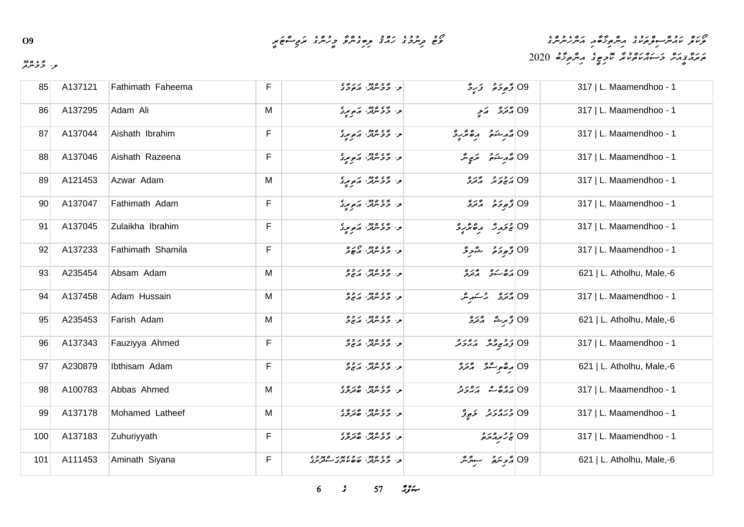*sCw7q7s5w7m< o<n9nOoAw7o< sCq;mAwBoEw7q<m; wBm;vB* م من المرة المرة المرة المرجع المرجع في المركبة 2020<br>مجم*د المريض المربوط المربع المرجع في المراجع المركبة* 

| 85  | A137121 | Fathimath Faheema | F           | و وه وود دروه<br>و وگرس                                   | 09 ۇ <sub>ج</sub> ودۇ تېرىۋ          | 317   L. Maamendhoo - 1   |
|-----|---------|-------------------|-------------|-----------------------------------------------------------|--------------------------------------|---------------------------|
| 86  | A137295 | Adam Ali          | M           | و. 3000 كەھەمدى                                           | 09 ۾ تنري ڪي تي                      | 317   L. Maamendhoo - 1   |
| 87  | A137044 | Aishath Ibrahim   | F           | و. وُوسِرْتُرُ، مَا مِرْدِ                                | 09 مۇم شۇم مەھمگەپە                  | 317   L. Maamendhoo - 1   |
| 88  | A137046 | Aishath Razeena   | $\mathsf F$ | و. د د د د د کام کرد                                      | 09 <mark>م</mark> ەم ئىسىم ئىسى ئىگە | 317   L. Maamendhoo - 1   |
| 89  | A121453 | Azwar Adam        | M           | و گروه که پر                                              | 09 كەينى كە ئەڭرى                    | 317   L. Maamendhoo - 1   |
| 90  | A137047 | Fathimath Adam    | $\mathsf F$ | و گروه که پر                                              | 09 زٌمودَ ۾ دُنرو                    | 317   L. Maamendhoo - 1   |
| 91  | A137045 | Zulaikha Ibrahim  | F           | و. 35 مريز، رکم مرد                                       | 09  جُحَمِرِ شَ مِرْهُ مَّرْرِدْ     | 317   L. Maamendhoo - 1   |
| 92  | A137233 | Fathimath Shamila | F           | و. گې ده ده ۱۵ کال                                        | 09 رُّجِوَةً صُّحِقَّ                | 317   L. Maamendhoo - 1   |
| 93  | A235454 | Absam Adam        | M           | و. گروه دوه                                               | 09 كەھ سۇ ئەممىر ئە                  | 621   L. Atholhu, Male,-6 |
| 94  | A137458 | Adam Hussain      | M           | و. گروه دوه<br>و. گرگرس                                   | 09 كەنىۋە جەسىمبەشر                  | 317   L. Maamendhoo - 1   |
| 95  | A235453 | Farish Adam       | M           | و. گې ده. ده وه                                           | 09 ۇىرىش گەترۇ                       | 621   L. Atholhu, Male,-6 |
| 96  | A137343 | Fauziyya Ahmed    | $\mathsf F$ | و. گې ده. ده ده                                           | 09 زَمَّ مِهْمٌ مَدْدَمْ             | 317   L. Maamendhoo - 1   |
| 97  | A230879 | Ibthisam Adam     | $\mathsf F$ | و. گەن ھەر دە                                             | 09 مەھىم ئىكى ئەترى                  | 621   L. Atholhu, Male,-6 |
| 98  | A100783 | Abbas Ahmed       | M           | و وه وده وروه<br>و ووسربر گرور                            | 09 كەشھەر بەردىر                     | 317   L. Maamendhoo - 1   |
| 99  | A137178 | Mohamed Latheef   | M           | و وه وده وروه<br>و ووسربر گروی                            | 09 دېم دېم د توپور                   | 317   L. Maamendhoo - 1   |
| 100 | A137183 | Zuhuriyyath       | F           | و. گەرەدە، گەرگە،                                         | 09 ىج 2 <i>بىر 8 ەڭرى</i>            | 317   L. Maamendhoo - 1   |
| 101 | A111453 | Aminath Siyana    | F           | و ده ده دو ده ده ده ده ده<br>و د گرمانل ه ه ماند و سوتر ن | 09 مُ حِسَمَهُ مُسِتَمَّد            | 621   L. Atholhu, Male,-6 |

*6 sC 57 nNw?mS*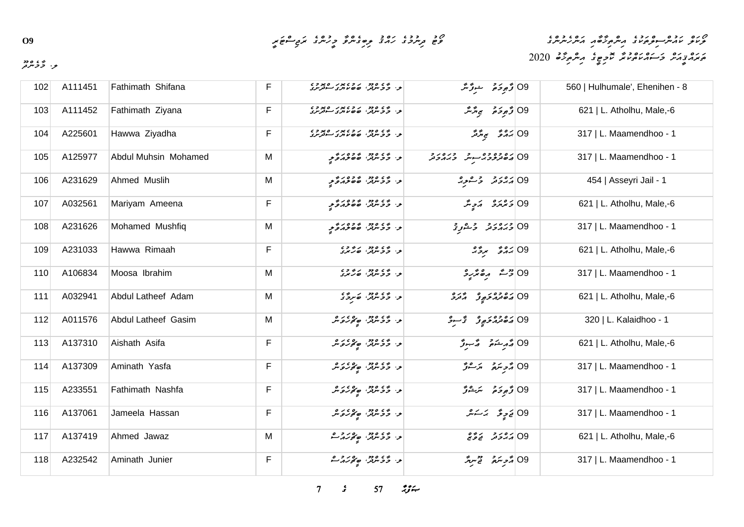*sCw7q7s5w7m< o<n9nOoAw7o< sCq;mAwBoEw7q<m; wBm;vB* م من المرة المرة المرة المرجع المرجع في المركبة 2020<br>مجم*د المريض المربوط المربع المرجع في المراجع المركبة* 

| 102 | A111451 | Fathimath Shifana    | F           |                                                        | 09 رٌجوحَۃ شرِرٌ مَّر               | 560   Hulhumale', Ehenihen - 8 |
|-----|---------|----------------------|-------------|--------------------------------------------------------|-------------------------------------|--------------------------------|
| 103 | A111452 | Fathimath Ziyana     | F           | و ده وه دوره دوره دوره دوره<br>د گرسربر، ه ه بری سوترس | 09 <i>ۇ<sub>ج</sub>وخۇ بې</i> رىگە  | 621   L. Atholhu, Male,-6      |
| 104 | A225601 | Hawwa Ziyadha        | F           | و ده وه دو دو دو ده وده<br>و د ورس ه ه ماری سوترس      | 09 كەممى ئەمگەنگە                   | 317   L. Maamendhoo - 1        |
| 105 | A125977 | Abdul Muhsin Mohamed | M           | و. ووجود ووورو                                         | $ 09\rangle$ مۇمۇر بۇ ئەسەس ئەرەبىر | 317   L. Maamendhoo - 1        |
| 106 | A231629 | Ahmed Muslih         | M           | و. وورو ووورو                                          | 09   پروتر وگرور                    | 454   Asseyri Jail - 1         |
| 107 | A032561 | Mariyam Ameena       | $\mathsf F$ | و. ووجود ووورو                                         | 09 5 يُرْيَرُ فَمَدِيثَر            | 621   L. Atholhu, Male,-6      |
| 108 | A231626 | Mohamed Mushfiq      | M           | و. ووسربر، مصور ور                                     | 09 ۇرۇرۇر قىشرۇ                     | 317   L. Maamendhoo - 1        |
| 109 | A231033 | Hawwa Rimaah         | F           | و. وه وده رو و و و و                                   | 09 كەممى ئەمەنىيە                   | 621   L. Atholhu, Male,-6      |
| 110 | A106834 | Moosa Ibrahim        | M           | و. صحيح وي د وي.<br>و. ووسيل كاربرو                    | 09 جيءَ په محمد پرو                 | 317   L. Maamendhoo - 1        |
| 111 | A032941 | Abdul Latheef Adam   | M           | و کام وہ در دی                                         | 09 كەھە <i>تەم كەنى</i> ر قىرى      | 621   L. Atholhu, Male,-6      |
| 112 | A011576 | Abdul Latheef Gasim  | M           | و. ووسرس مجروش                                         | 09 كەھىر كەمبۇ ئۇسۇ                 | 320   L. Kalaidhoo - 1         |
| 113 | A137310 | Aishath Asifa        | F           | و محومين ھەرومى                                        | 09 مُ مِسْدَمْ مُحْسِنٌ             | 621   L. Atholhu, Male,-6      |
| 114 | A137309 | Aminath Yasfa        | F           | و محمد معرض من ده د                                    | 09 أُمَّ جِسَعَهُ مَرْسُوَّرٌ       | 317   L. Maamendhoo - 1        |
| 115 | A233551 | Fathimath Nashfa     | F           | و. د وره ده دول د                                      | 09 زَّجِ دَمْ سَنَشْرَ              | 317   L. Maamendhoo - 1        |
| 116 | A137061 | Jameela Hassan       | $\mathsf F$ | و. د وره ده دوره                                       |                                     | 317   L. Maamendhoo - 1        |
| 117 | A137419 | Ahmed Jawaz          | M           | و. ووسين محمد الم                                      | 232/09                              | 621   L. Atholhu, Male,-6      |
| 118 | A232542 | Aminath Junier       | F           | و. ووسين ھەرور                                         | 09 أَمُّ حِسَمَةٌ فَيُسِيَّرُ       | 317   L. Maamendhoo - 1        |

*7 sC 57 nNw?mS*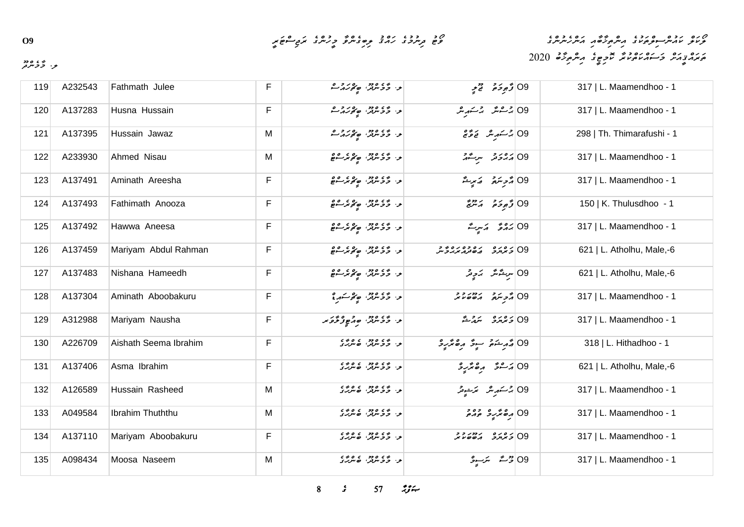*sCw7q7s5w7m< o<n9nOoAw7o< sCq;mAwBoEw7q<m; wBm;vB* م من المرة المرة المرة المرجع المرجع في المركبة 2020<br>مجم*د المريض المربوط المربع المرجع في المراجع المركبة* 

| 119 | A232543 | Fathmath Julee        | F            | و. د د سرمر، ھ محمد مرد           | 09 رٌموحَ مُ " فَيَ مِ           | 317   L. Maamendhoo - 1    |
|-----|---------|-----------------------|--------------|-----------------------------------|----------------------------------|----------------------------|
| 120 | A137283 | Husna Hussain         | F            | و. ووسين ھەرور                    | 09 يُرْسْدَّرْ بِرْسَهِ مِرْ     | 317   L. Maamendhoo - 1    |
| 121 | A137395 | Hussain Jawaz         | M            | و. ووسين ھەرور                    | 09 كەسىر بىر ئەقەمى              | 298   Th. Thimarafushi - 1 |
| 122 | A233930 | Ahmed Nisau           | M            | و. ووس و و و و و و و              | 09 كەبرى كىر سرىسىگە             | 317   L. Maamendhoo - 1    |
| 123 | A137491 | Aminath Areesha       | F            | و. ووسربر، ھەمرىسى                | 09 مَّ حِ سَمَّةٍ مَ مَبِيشَةٍ   | 317   L. Maamendhoo - 1    |
| 124 | A137493 | Fathimath Anooza      | $\mathsf F$  | و. ووسربر، ھەمرىسى                | 09 ز <sub>ىم</sub> ورۇ مەنترى    | 150   K. Thulusdhoo - 1    |
| 125 | A137492 | Hawwa Aneesa          | $\mathsf{F}$ | و. ووسربر، ھەممرىسى               | 09 كەمۇ كەيرىگە                  | 317   L. Maamendhoo - 1    |
| 126 | A137459 | Mariyam Abdul Rahman  | $\mathsf{F}$ | و. ووسربر، ھەمرىسى                | 09 كەيمەر ئەھەرمەر ئەرگە         | 621   L. Atholhu, Male,-6  |
| 127 | A137483 | Nishana Hameedh       | F            | و. د و سربر، ھ محمد سوھ           | 09 سرڪ سگر جو مگر                | 621   L. Atholhu, Male,-6  |
| 128 | A137304 | Aminath Aboobakuru    | F            | و. ووسرس ھ جو شور ؟               | $2222$ $2422$                    | 317   L. Maamendhoo - 1    |
| 129 | A312988 | Mariyam Nausha        | F            | و گرگور مرکز کورگر                | $09$ $59/209$                    | 317   L. Maamendhoo - 1    |
| 130 | A226709 | Aishath Seema Ibrahim | $\mathsf F$  | و. ووه وه وه و                    | 09 مەم شەم سوڭ مەھ ئرىر 3        | 318   L. Hithadhoo - 1     |
| 131 | A137406 | Asma Ibrahim          | F            | و. ووهين هرمز                     | 09 كەشىۋە بەھ ئەرىجە             | 621   L. Atholhu, Male,-6  |
| 132 | A126589 | Hussain Rasheed       | M            | و. ووه وه وه و                    | 09  2سَمْرِ مَرْ سَمَسِوْرٌ      | 317   L. Maamendhoo - 1    |
| 133 | A049584 | Ibrahim Thuththu      | M            | و به ووه وه وه و<br>و گرگرين هنرن | 09 <sub>مو</sub> ھ مُربِ و مورمو | 317   L. Maamendhoo - 1    |
| 134 | A137110 | Mariyam Aboobakuru    | F            | و. گەرەدە، ئەھلەر                 | 222222222222222                  | 317   L. Maamendhoo - 1    |
| 135 | A098434 | Moosa Naseem          | M            | و. ده وده وه وه و                 | 09 تۇنئە سىرسوتى                 | 317   L. Maamendhoo - 1    |

**8** *s* **57** *z***<sub>***i***</sub>c</del></sup>**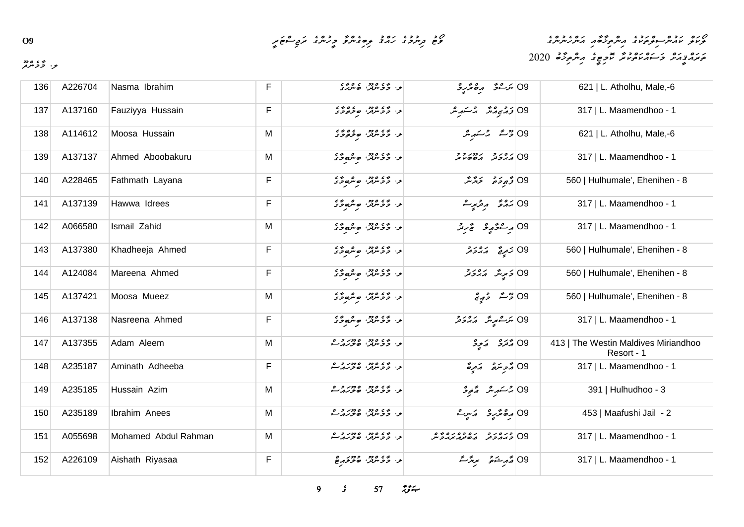*sCw7q7s5w7m< o<n9nOoAw7o< sCq;mAwBoEw7q<m; wBm;vB* م من المرة المرة المرة المرجع المرجع في المركبة 2020<br>مجم*د المريض المربوط المربع المرجع في المراجع المركبة* 

| 136 | A226704 | Nasma Ibrahim        | F | و وی وجود و ده ده<br>و وی سربر، ه سربر د | 09 ىزىــْدۇ بەھ ئەيرى                            | 621   L. Atholhu, Male,-6                          |
|-----|---------|----------------------|---|------------------------------------------|--------------------------------------------------|----------------------------------------------------|
| 137 | A137160 | Fauziyya Hussain     | F | و می ورد موجود و<br>د گرس موجود و        | 09 ۇرىم برىگە يەسكەبلىر                          | 317   L. Maamendhoo - 1                            |
| 138 | A114612 | Moosa Hussain        | M | و. ووسربر، ھۆھۈى                         | 09 قزمشہ بڑے ہر مگر                              | 621   L. Atholhu, Male,-6                          |
| 139 | A137137 | Ahmed Aboobakuru     | M | و کومرټر، صرحون                          | $22222$ $225$                                    | 317   L. Maamendhoo - 1                            |
| 140 | A228465 | Fathmath Layana      | F | و کومرټر، صرحون                          | 09 زَّەپەرَە ئەرتىر                              | 560   Hulhumale', Ehenihen - 8                     |
| 141 | A137139 | Hawwa Idrees         | F | و. ووسرير، صرصور                         | 09 كەشۇ بوشمېرىشە                                | 317   L. Maamendhoo - 1                            |
| 142 | A066580 | Ismail Zahid         | M | و. ووسرير، صرح وي                        | 09 م سىمۇ مۇ سىم بىر                             | 317   L. Maamendhoo - 1                            |
| 143 | A137380 | Khadheeja Ahmed      | F | و. ووسرير، صرصور                         | 09 كَتْمِيعٌ مَ يُرْكَمْ لَ                      | 560   Hulhumale', Ehenihen - 8                     |
| 144 | A124084 | Mareena Ahmed        | F | و د دورو ه شود د .<br>د د ورس            | 09 كەمپەنگە كەبرى كەر                            | 560   Hulhumale', Ehenihen - 8                     |
| 145 | A137421 | Moosa Mueez          | M | و. دورور، صرح دی                         | 09 تۇشقە ئەھمىي                                  | 560   Hulhumale', Ehenihen - 8                     |
| 146 | A137138 | Nasreena Ahmed       | F | و. ووسرس صرصور                           | 09   يزر_همبر بمثر از كار در كار در ايران كرد كه | 317   L. Maamendhoo - 1                            |
| 147 | A137355 | Adam Aleem           | M | و. وورود ودورو و                         | 09 م <i>مَّ</i> ترىخ ھەمبەر                      | 413   The Westin Maldives Miriandhoo<br>Resort - 1 |
| 148 | A235187 | Aminath Adheeba      | F | و. ووسربور ورور و.<br>من ووسربر، ھورمرے  | 09 أُمُّ جِسَمَةٌ مَسَرِّدَةٌ                    | 317   L. Maamendhoo - 1                            |
| 149 | A235185 | Hussain Azim         | M | و. وورورو ودروره                         | 09 يُرْسَمبِ مَّهْ مِنْ مِنْ الْمَدَّةِ فِي مِنْ | 391   Hulhudhoo - 3                                |
| 150 | A235189 | Ibrahim Anees        | M | و. ووهين محمد ور                         | 09 رەپرىر كەيرىش                                 | 453   Maafushi Jail - 2                            |
| 151 | A055698 | Mohamed Abdul Rahman | M | و. ووسربو، مورد ده                       | 09 جروبرج مقصر مرومي                             | 317   L. Maamendhoo - 1                            |
| 152 | A226109 | Aishath Riyasaa      | F | י כי המנק ברוג ס<br>תי כי תנתי סיביבת    | 09 گەرىشەقر - بىرىگە شە                          | 317   L. Maamendhoo - 1                            |

*9 s* 57 *f*<sub>3</sub> *s*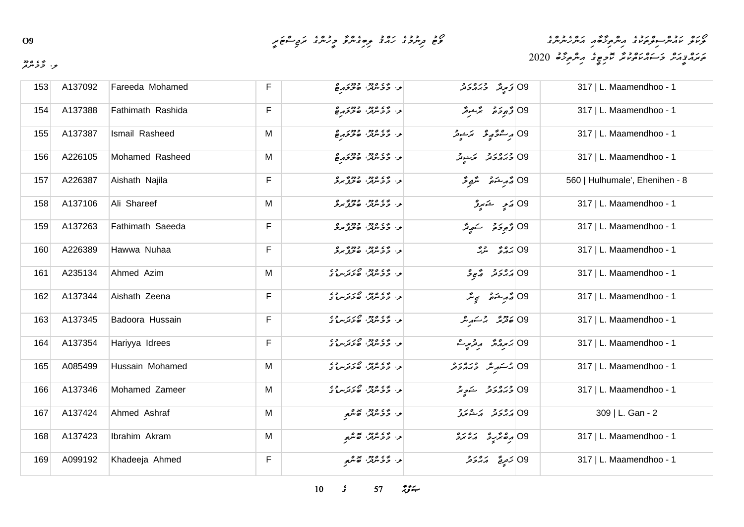*sCw7q7s5w7m< o<n9nOoAw7o< sCq;mAwBoEw7q<m; wBm;vB* م من المرة المرة المرة المرجع المرجع في المركبة 2020<br>مجم*د المريض المربوط المربع المرجع في المراجع المركبة* 

| 153 | A137092 | Fareeda Mohamed   | F | و گرس موتوره                                       | 09  تۇمپىتى ئەمەد تەر              | 317   L. Maamendhoo - 1        |
|-----|---------|-------------------|---|----------------------------------------------------|------------------------------------|--------------------------------|
| 154 | A137388 | Fathimath Rashida | F | و وه ورود و دور ه<br>و و و سربر المتوجه ه          | 09 <i>ۇ<sub>ج</sub>وخۇ بۇ</i> ھبۇر | 317   L. Maamendhoo - 1        |
| 155 | A137387 | Ismail Rasheed    | M | و گردس دور د                                       | 09 مەشگەر تىم تىرىشىر ئىس          | 317   L. Maamendhoo - 1        |
| 156 | A226105 | Mohamed Rasheed   | M | و. د ورور ودور ه                                   | 09  3,2,2% كَرَسُومْر              | 317   L. Maamendhoo - 1        |
| 157 | A226387 | Aishath Najila    | F | و وه وروم ورد و<br>و وگرېز هڅوگړنو                 | 09 مەم شىم ئىستىمى ئىستىم          | 560   Hulhumale', Ehenihen - 8 |
| 158 | A137106 | Ali Shareef       | M | و. وه ورو ورود و<br>و. وگرس                        | 09 کړم شمېرو                       | 317   L. Maamendhoo - 1        |
| 159 | A137263 | Fathimath Saeeda  | F | و وو ووو ووړ.<br>و ووس                             | 09 زَّجِرَةَ مَنْ سَهِتَر          | 317   L. Maamendhoo - 1        |
| 160 | A226389 | Hawwa Nuhaa       | F | و. ووسع دورو و                                     | 09 كەش <sup>ى</sup> مەر            | 317   L. Maamendhoo - 1        |
| 161 | A235134 | Ahmed Azim        | M | و. وه دوه به درسرو و د                             | 09 كەشكە قىلى قىلىنى ئىل           | 317   L. Maamendhoo - 1        |
| 162 | A137344 | Aishath Zeena     | F | و. د و هرو. ه د د ر د ه                            | 09 مەم شىم پېتىر                   | 317   L. Maamendhoo - 1        |
| 163 | A137345 | Badoora Hussain   | F | ن ده و ده ده در ده و د<br>نو د گرگترن کانگرس د     | 09 كەنترىگە كەسىرىكە               | 317   L. Maamendhoo - 1        |
| 164 | A137354 | Hariyya Idrees    | F | ن ده و ده ده در ده و د<br>نور وگوشهر، گانگوش د     | 09 ئىبروگە مەقرىپ                  | 317   L. Maamendhoo - 1        |
| 165 | A085499 | Hussain Mohamed   | M | ن ده ورود ده در ده و د<br>نور وگوشهر کانگرس د      | 09 يُرَ مَهر مَرْ وَيَدْوَمُرْ     | 317   L. Maamendhoo - 1        |
| 166 | A137346 | Mohamed Zameer    | M | و. گاگاه ده کار در ده                              | 09  32,25 شەرىر                    | 317   L. Maamendhoo - 1        |
| 167 | A137424 | Ahmed Ashraf      | M | و. گروهور سوه<br>د. گروهري صنعو                    | 09 كەشقىق كەشقىرى                  | 309   L. Gan - 2               |
| 168 | A137423 | Ibrahim Akram     | M | و. صحيح معروفي من المعروفي<br>حر. حر حر مركز، صريح | 09 مەھمىر ئەرەبرە                  | 317   L. Maamendhoo - 1        |
| 169 | A099192 | Khadeeja Ahmed    | F | و. گرگر مورد بره<br>د. گرگر موس                    | 09 كَتْمِيعٌ - مُكْرَكْتْر         | 317   L. Maamendhoo - 1        |

*10 s* 57  $23\div$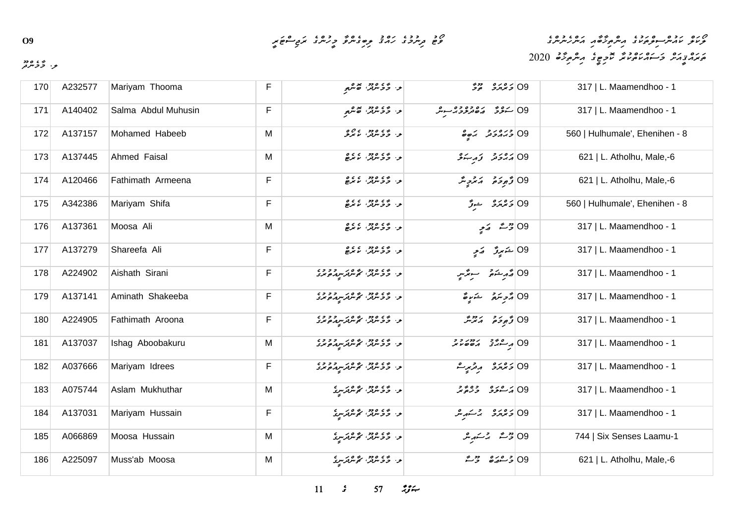*sCw7q7s5w7m< o<n9nOoAw7o< sCq;mAwBoEw7q<m; wBm;vB* م من المرة المرة المرة المرجع المرجع في المركبة 2020<br>مجم*د المريض المربوط المربع المرجع في المراجع المركبة* 

| 170 | A232577 | Mariyam Thooma      | $\mathsf{F}$ | و. وومريز، صرم                                                | 09 كەنگەر قەمۇ                 | 317   L. Maamendhoo - 1        |
|-----|---------|---------------------|--------------|---------------------------------------------------------------|--------------------------------|--------------------------------|
| 171 | A140402 | Salma Abdul Muhusin | F            | و. ووجه مده                                                   | $09 - 222$ $222 - 09$          | 317   L. Maamendhoo - 1        |
| 172 | A137157 | Mohamed Habeeb      | M            | ى ئۇي مەدەب مەمۇ                                              | 60 <sup>2</sup>                | 560   Hulhumale', Ehenihen - 8 |
| 173 | A137445 | Ahmed Faisal        | M            | و. ووه وده و وه                                               | 09 كەندى قەسكى                 | 621   L. Atholhu, Male,-6      |
| 174 | A120466 | Fathimath Armeena   | F            | و. ووه ودود عام و                                             | 09 ۇجۇڭر مەنزىرىتىر            | 621   L. Atholhu, Male,-6      |
| 175 | A342386 | Mariyam Shifa       | F            | و. گەن ھەر يەر ي                                              | $5 - 25.25$ 09                 | 560   Hulhumale', Ehenihen - 8 |
| 176 | A137361 | Moosa Ali           | M            | و. گې ده ده پېړه<br>و. گې سربر، لامريع                        | 09 فخرشہ کہ یو                 | 317   L. Maamendhoo - 1        |
| 177 | A137279 | Shareefa Ali        | $\mathsf F$  | و. ووجود عموم                                                 | 09 ڪيوڙ گيو                    | 317   L. Maamendhoo - 1        |
| 178 | A224902 | Aishath Sirani      | F            | و می وجود می ورس و و و د<br>من مرکز می کم سرفرس               | 09 گەرىشىقى سويگەيد            | 317   L. Maamendhoo - 1        |
| 179 | A137141 | Aminath Shakeeba    | F            | د می وجود می مرکز سره و و و د<br>موسی کوه کار می مرکز سره موس | $\frac{2}{3}$ مَجِسَمَ شَرِعًا | 317   L. Maamendhoo - 1        |
| 180 | A224905 | Fathimath Aroona    | F            | و می وجود می ورس و و و د<br>من موکو سربر انگریزی میرو مرد     | 09 زَّەپە ئەھرىتىگە            | 317   L. Maamendhoo - 1        |
| 181 | A137037 | Ishag Aboobakuru    | M            | و می وجود می ورس و و و د<br>من مرکز می کم سرفرس               | $09 - 22 - 09$                 | 317   L. Maamendhoo - 1        |
| 182 | A037666 | Mariyam Idrees      | F            | د می وجود می مرکز سره و و و د<br>موسی کوه کار می مرکز سره موس | 09 5 پروژو پروژمریشو           | 317   L. Maamendhoo - 1        |
| 183 | A075744 | Aslam Mukhuthar     | M            | و. د د ده بر مرکز                                             | 09 كەشكە ئەرەپىر               | 317   L. Maamendhoo - 1        |
| 184 | A137031 | Mariyam Hussain     | F            | و. د د ده پروترس                                              | 09 كەنگەر ئەسكەر ش             | 317   L. Maamendhoo - 1        |
| 185 | A066869 | Moosa Hussain       | M            | و. د د ده بر مرکز                                             | 09 قزمته برشهر مثر             | 744   Six Senses Laamu-1       |
| 186 | A225097 | Muss'ab Moosa       | M            | و کا کارود گانگویزین                                          | $23 - 22 = 09$                 | 621   L. Atholhu, Male,-6      |

 $11$  *s* 57  $23$   $-$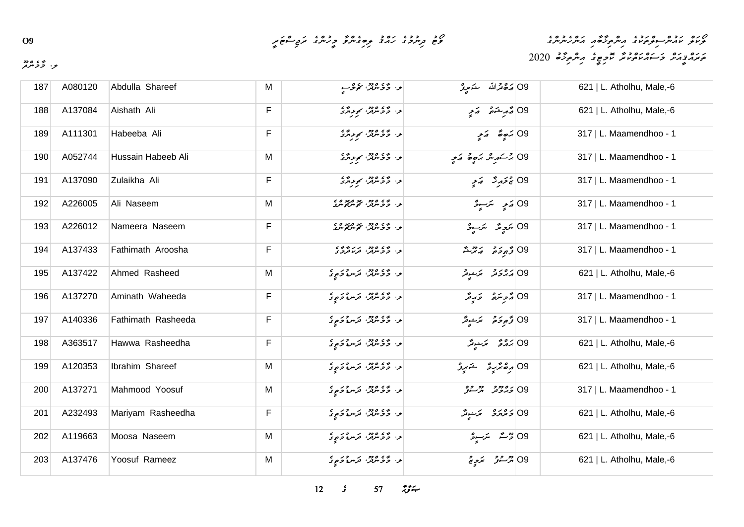*sCw7q7s5w7m< o<n9nOoAw7o< sCq;mAwBoEw7q<m; wBm;vB* م من المرة المرة المرة المرجع المرجع في المركبة 2020<br>مجم*د المريض المربوط المربع المرجع في المراجع المركبة* 

| 187 | A080120 | Abdulla Shareef    | M            | و. د د هر پروب                                    | 09 كەڭداللە ش <i>ەمب</i> ۇ        | 621   L. Atholhu, Male,-6 |
|-----|---------|--------------------|--------------|---------------------------------------------------|-----------------------------------|---------------------------|
| 188 | A137084 | Aishath Ali        | F            | و. گەن ھەر كەرگە                                  | 09 مەم شەتمەھ كەمچە               | 621   L. Atholhu, Male,-6 |
| 189 | A111301 | Habeeba Ali        | $\mathsf F$  | و. د د د دو. محموم د د                            | 09 كَتْھِنَّةٌ - مَدْمٍ           | 317   L. Maamendhoo - 1   |
| 190 | A052744 | Hussain Habeeb Ali | M            | و. د د دور نمود د د                               | 09 ترسكوبىل برَجِعة - مَاحِية     | 317   L. Maamendhoo - 1   |
| 191 | A137090 | Zulaikha Ali       | F            | و. د ورود نموده                                   | 09 كىخەر <sup>ى</sup> كەم         | 317   L. Maamendhoo - 1   |
| 192 | A226005 | Ali Naseem         | M            | و. ده وده پروپروه                                 | 09 كەيپ - سەسپەنى                 | 317   L. Maamendhoo - 1   |
| 193 | A226012 | Nameera Naseem     | F            | و . و و و د به ورو .<br>و . و و سربر . مح سره سرد | 09 يَمَعٍ بِمَّ - يَمَرِ بِمَوْ   | 317   L. Maamendhoo - 1   |
| 194 | A137433 | Fathimath Aroosha  | $\mathsf F$  | و به ۲۵ وه در دوه د<br>و گاه سربس ترماترو د       | 09 زُب <i>وِ دَمْ مَ</i> مُرْتُمُ | 317   L. Maamendhoo - 1   |
| 195 | A137422 | Ahmed Rasheed      | M            | و. دمی وجود در در د                               | 09 كەشكە قىم ئىسىمىتى ئىشل        | 621   L. Atholhu, Male,-6 |
| 196 | A137270 | Aminath Waheeda    | $\mathsf F$  | و. د ده ود د د د د                                | 09 مٌ حِسَمَۃٌ عَ بِہِ مَّ        | 317   L. Maamendhoo - 1   |
| 197 | A140336 | Fathimath Rasheeda | $\mathsf F$  | و. دمی وجود در در د                               | 09 زَّجِ دَمَّ سَنْ مِثْر         | 317   L. Maamendhoo - 1   |
| 198 | A363517 | Hawwa Rasheedha    | $\mathsf{F}$ | و گەن بەر دىر دىر ئ                               | 09 <i>مَہُمَّۃ مَنْجِ</i> مَّۃً   | 621   L. Atholhu, Male,-6 |
| 199 | A120353 | Ibrahim Shareef    | M            | و. وه ودو. ترس ور د                               | 09 رەپرىي ھەمرىر                  | 621   L. Atholhu, Male,-6 |
| 200 | A137271 | Mahmood Yoosuf     | M            | و. وه ودو. ترس ور د                               | $09$ $55.5$                       | 317   L. Maamendhoo - 1   |
| 201 | A232493 | Mariyam Rasheedha  | F            | و کام دو د د د د                                  | 09  5 يُرْيَرُوْ - يَرَشِيشُ      | 621   L. Atholhu, Male,-6 |
| 202 | A119663 | Moosa Naseem       | M            | و. چې وو. ترس وړ ،                                | 09 رُبْعہ سَرَبِ وَ               | 621   L. Atholhu, Male,-6 |
| 203 | A137476 | Yoosuf Rameez      | M            | و گەن ەدە كەس دەر ،                               | 09 تېرىشۇ ئىمرىي تى               | 621   L. Atholhu, Male,-6 |

 $12$  *s* 57  $23$   $\div$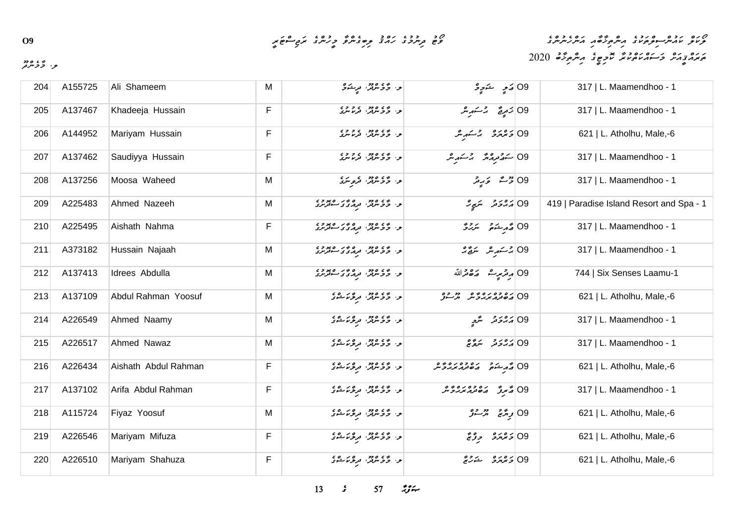*sCw7q7s5w7m< o<n9nOoAw7o< sCq;mAwBoEw7q<m; wBm;vB* م من المرة المرة المرة المرجع المرجع في المركبة 2020<br>مجم*د المريض المربوط المربع المرجع في المراجع المركبة* 

| 204 | A155725 | Ali Shameem          | M           | د. گرگرهڙ، ترڪو                                                                                                                               | 09  روپ اڪتوپار                                                                                      | 317   L. Maamendhoo - 1                  |
|-----|---------|----------------------|-------------|-----------------------------------------------------------------------------------------------------------------------------------------------|------------------------------------------------------------------------------------------------------|------------------------------------------|
| 205 | A137467 | Khadeeja Hussain     | $\mathsf F$ | و. گەن ھەدە يەر دە                                                                                                                            | 09 كَتَعْرِيقٌ - شُرْسَمْ مِسْرٌ                                                                     | 317   L. Maamendhoo - 1                  |
| 206 | A144952 | Mariyam Hussain      | F           | و. د وه و و و و و و                                                                                                                           | 09 كەنگەر ئەسكەر ش                                                                                   | 621   L. Atholhu, Male,-6                |
| 207 | A137462 | Saudiyya Hussain     | F           | و. گەن ھەدە يەدە ي                                                                                                                            | 09 كەھبەر مەسىر يەسكەر ش                                                                             | 317   L. Maamendhoo - 1                  |
| 208 | A137256 | Moosa Waheed         | M           | و : و و و و و و د و مرد و                                                                                                                     | 09 تۇشەھ ئەببەتمە                                                                                    | 317   L. Maamendhoo - 1                  |
| 209 | A225483 | Ahmed Nazeeh         | M           | و می وجود می وه بر وجود و ع<br>موسی کوچی کرد کرد که در است می شود و در ایران کرد کرد کرد که برای کرد که به کار کرد که ایران کرد که به کار کرد | 09 كەندى كىمى ئىكى ئىكىنى ئىكەن ئىكەن ئىكەن ئىكەن ئىكەن ئىكەن ئىكەن ئىكەن ئىكەن ئىكەن ئىكەن ئىكەن ئى | 419   Paradise Island Resort and Spa - 1 |
| 210 | A225495 | Aishath Nahma        | $\mathsf F$ | و می وجود می وی د وی<br>من مرکز می در می کرد کرد کرد و در می در می کنید و در می کنید و در می کنید و در می                                     | 09 مۇم شىم سىرىمىتى ئىل                                                                              | 317   L. Maamendhoo - 1                  |
| 211 | A373182 | Hussain Najaah       | M           | و می وجود می وه بر وجود و ع<br>موسی کوچی کرد کرد که در است می شود و در ایران کرد کرد کرد که برای کرد که به کار کرد که ایران کرد که به کار کرد | 09 يُرْسَمْهِ مَثَّى مَثَّةٍ مَّهُ مَثَّةٍ                                                           | 317   L. Maamendhoo - 1                  |
| 212 | A137413 | Idrees Abdulla       | M           | و وه وه در ورود ورود.<br>د ووسرس مهدری سومبردی                                                                                                | 09 م <i>ومڈمی<sup>رے</sup> کہ کھ</i> ار اللہ                                                         | 744   Six Senses Laamu-1                 |
| 213 | A137109 | Abdul Rahman Yoosuf  | M           | و. تحریری مرکز شده                                                                                                                            | 09 <i>ړه ده پره څو</i> پر پر ده                                                                      | 621   L. Atholhu, Male,-6                |
| 214 | A226549 | Ahmed Naamy          | M           | و. وگەن بولار دە ئ                                                                                                                            | 09 كەندى قىر ئىگە يە                                                                                 | 317   L. Maamendhoo - 1                  |
| 215 | A226517 | Ahmed Nawaz          | M           | و گەرەپە بېرى شى                                                                                                                              | 09 كەبرى ئور ئىرقى ئى                                                                                | 317   L. Maamendhoo - 1                  |
| 216 | A226434 | Aishath Abdul Rahman | $\mathsf F$ | و. ۶۶۵ وو. ۶۵ وو.                                                                                                                             | $09$ مُ مِ شَوْءِ مِنْ مُ مَعْ مِنْ مُرْمَدِ مِنْ مَرْدِ مِنْ                                        | 621   L. Atholhu, Male,-6                |
| 217 | A137102 | Arifa Abdul Rahman   | F           | و. ووه دور وه و                                                                                                                               | 09 مەمرىق مەھەمدە مەم                                                                                | 317   L. Maamendhoo - 1                  |
| 218 | A115724 | Fiyaz Yoosuf         | M           | و. د ده ده برور ده د                                                                                                                          | 09 رېژبج پر جوړ                                                                                      | 621   L. Atholhu, Male,-6                |
| 219 | A226546 | Mariyam Mifuza       | $\mathsf F$ | و. د ده ده برور ده د                                                                                                                          | 09 كەنگەر ئەرققى                                                                                     | 621   L. Atholhu, Male,-6                |
| 220 | A226510 | Mariyam Shahuza      | F           | و گەن ھەم دەر دە                                                                                                                              | 09 كەندىرى ھەرقى                                                                                     | 621   L. Atholhu, Male,-6                |

 $13$  *s* 57  $23$   $-$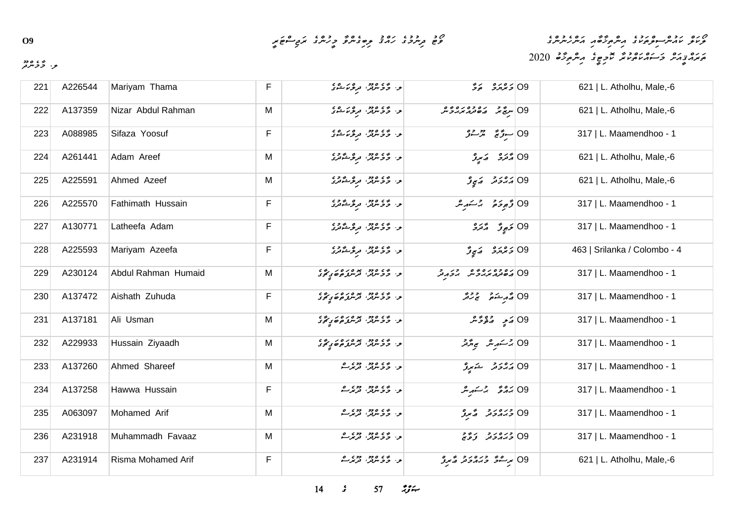*sCw7q7s5w7m< o<n9nOoAw7o< sCq;mAwBoEw7q<m; wBm;vB* م من المرة المرة المرة المرجع المرجع في المركبة 2020<br>مجم*د المريض المربوط المربع المرجع في المراجع المركبة* 

| 221 | A226544 | Mariyam Thama             | F            | ىن ئۇتۇش بېرتۇر شۇي                                          | $5.8$ $5.8$ $5.09$                                                                                             | 621   L. Atholhu, Male,-6    |
|-----|---------|---------------------------|--------------|--------------------------------------------------------------|----------------------------------------------------------------------------------------------------------------|------------------------------|
| 222 | A137359 | Nizar Abdul Rahman        | M            | و گەرەپە بولۇر دە                                            | 09 سرچ پر محصوم مردومر                                                                                         | 621   L. Atholhu, Male,-6    |
| 223 | A088985 | Sifaza Yoosuf             | F            | و گەرەپ بىرى شى                                              | $09 - 7$ $\frac{2}{3}$ $-109$                                                                                  | 317   L. Maamendhoo - 1      |
| 224 | A261441 | Adam Areef                | M            | و. وه ودو.<br>د. وگاه دول اورو شوتوی                         | 09 مَرْتَرَدُ - مَدِيْرٌ                                                                                       | 621   L. Atholhu, Male,-6    |
| 225 | A225591 | Ahmed Azeef               | M            | و. چې وو. پروشوتری                                           | 09 كەشكەتقى كەيپى ۋ                                                                                            | 621   L. Atholhu, Male,-6    |
| 226 | A225570 | Fathimath Hussain         | F            | و. ووه ده وو.<br>د ووسرس مروشه                               | 09 ۇمودۇ بۇسىرىش                                                                                               | 317   L. Maamendhoo - 1      |
| 227 | A130771 | Latheefa Adam             | F            | و. گەكەن تېرگوشەترى                                          | 09 كۇم <sub>ۇ</sub> گە م <i>گەنگ</i>                                                                           | 317   L. Maamendhoo - 1      |
| 228 | A225593 | Mariyam Azeefa            | F            | و. گەن ھەدە بەرگەن بەر                                       | 09 كەندىرى كەي ئ                                                                                               | 463   Srilanka / Colombo - 4 |
| 229 | A230124 | Abdul Rahman Humaid       | M            | و می وجود مده د ده د به ده د<br>د از گرمزانی از معرفی می کوی | 09 مەھەرمەم بىر بىر بىر                                                                                        | 317   L. Maamendhoo - 1      |
| 230 | A137472 | Aishath Zuhuda            | F            | و. ووهين ترس وه د د.<br>د گرس                                | 09 مەم شىم ئىم ئىمارلىقى<br>©0 مەم ئىس ئىمارلىق                                                                | 317   L. Maamendhoo - 1      |
| 231 | A137181 | Ali Usman                 | M            | و می وجود مده د ده د به ده د<br>د از گرانگران مرس            | 09 كەم ئەھمەم ئەر                                                                                              | 317   L. Maamendhoo - 1      |
| 232 | A229933 | Hussain Ziyaadh           | M            | د ده ده پره ده د ده.<br>د گرس در سربر ترس                    | 09 برڪوپىڭ بېرىنىڭە                                                                                            | 317   L. Maamendhoo - 1      |
| 233 | A137260 | Ahmed Shareef             | M            | ىق ئۇ ئۇرۇم دەرى ئ                                           | 09 كەشەك ئىس ئىس بىر ئىس بىر ئىس بىر ئىس بىر ئىس بىر ئىس بىر ئىس بىر ئىس بىر ئىس بىر ئىس بىر ئىس بىر ئىس بىر ئ | 317   L. Maamendhoo - 1      |
| 234 | A137258 | Hawwa Hussain             | $\mathsf{F}$ | و. گەرەپەر « ، ھ                                             | 09 كەشرق بەسكىرىش                                                                                              | 317   L. Maamendhoo - 1      |
| 235 | A063097 | Mohamed Arif              | M            | ى ۋە ھەدە ھەر                                                | 09 ديرو ديگر گهرو                                                                                              | 317   L. Maamendhoo - 1      |
| 236 | A231918 | Muhammadh Favaaz          | M            | و. ۇوس پەر « ي                                               | 09 دېرونه زوګړ                                                                                                 | 317   L. Maamendhoo - 1      |
| 237 | A231914 | <b>Risma Mohamed Arif</b> | F            | و. گەرەپەر دەرە                                              | 09 برىقۇ ئەيرە ئەر ئەبرۇ                                                                                       | 621   L. Atholhu, Male,-6    |

*14 sC 57 nNw?mS*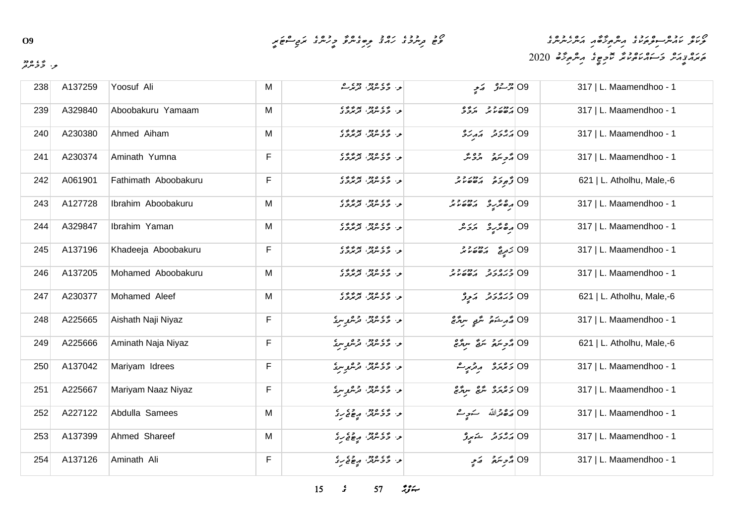*sCw7q7s5w7m< o<n9nOoAw7o< sCq;mAwBoEw7q<m; wBm;vB 2020*<br>*په پوهر وسوډيرونو لومو د موجو د مرمونه* 2020

| 238 | A137259 | Yoosuf Ali           | M            | و. څه موجو دوی ه                          | 09 ټر شو په په                          | 317   L. Maamendhoo - 1   |
|-----|---------|----------------------|--------------|-------------------------------------------|-----------------------------------------|---------------------------|
| 239 | A329840 | Aboobakuru Yamaam    | M            | و. ووهين تربروي                           | $25 - 2222$                             | 317   L. Maamendhoo - 1   |
| 240 | A230380 | Ahmed Aiham          | M            | و وه وه پروه و<br>و ووسربر تربروی         | $55.75$ $09$                            | 317   L. Maamendhoo - 1   |
| 241 | A230374 | Aminath Yumna        | $\mathsf{F}$ | و کام وہ پرویا<br>و گاڑ سربل تربروی       | 09 أُمُّحِ سَمَّعَ مِّرْحَسَّدَ         | 317   L. Maamendhoo - 1   |
| 242 | A061901 | Fathimath Aboobakuru | F            | و. گې ووه پوه ده د<br>و. گې سربر، تربرو د | $09$ $\frac{2222}{100}$ $\frac{22}{10}$ | 621   L. Atholhu, Male,-6 |
| 243 | A127728 | Ibrahim Aboobakuru   | M            | و. وه وه پروه و<br>و. ووسيل تربروي        | $109$ $1000$ $1000$                     | 317   L. Maamendhoo - 1   |
| 244 | A329847 | Ibrahim Yaman        | M            | و وه وه پروه و<br>و ووسربر تربروی         | 09 مەھ ئەبەر ئەرىمى                     | 317   L. Maamendhoo - 1   |
| 245 | A137196 | Khadeeja Aboobakuru  | F            | و. وه وه پروه و.<br>و. ووسرتر، تربروی     | 09 كَتْرِيعٌ مُقْصَمْ مُرْ              | 317   L. Maamendhoo - 1   |
| 246 | A137205 | Mohamed Aboobakuru   | M            | و. وه وه پروه و<br>و. ووسيل تربروي        | $22222$ $2222$                          | 317   L. Maamendhoo - 1   |
| 247 | A230377 | Mohamed Aleef        | M            | و. وه وه پروه و.<br>و. وگرسهن تربروی      | 09   32,25 كەمرى                        | 621   L. Atholhu, Male,-6 |
| 248 | A225665 | Aishath Naji Niyaz   | $\mathsf{F}$ | و. ۇۋىرلار، ئارتىرىرىكى                   | 09 قەرىشىق مىڭ سىترىمى                  | 317   L. Maamendhoo - 1   |
| 249 | A225666 | Aminath Naja Niyaz   | $\mathsf{F}$ | و. ڈوسریں مرس سر                          | 09 أَمَّ مِ سَمَّةً سِمَّتَ سَمَّةً     | 621   L. Atholhu, Male,-6 |
| 250 | A137042 | Mariyam Idrees       | F            | أو. ووهير وه وه وهي سره                   | 09 كەبرىزىق بەيرىمىيەتتە                | 317   L. Maamendhoo - 1   |
| 251 | A225667 | Mariyam Naaz Niyaz   | F            | و. 35مريز، ترسر سره                       | 09 كَرْمَرْدْ مَّرْجْ سِرَّجْ           | 317   L. Maamendhoo - 1   |
| 252 | A227122 | Abdulla Samees       | M            | و. ووسربر، روم د                          | 09 كەھەتراللە سىموگ                     | 317   L. Maamendhoo - 1   |
| 253 | A137399 | Ahmed Shareef        | M            | و. ووسربر، روم د                          | 09 كەشكەتقى سىكەمبىرتى                  | 317   L. Maamendhoo - 1   |
| 254 | A137126 | Aminath Ali          | F            | و گروهن روی د                             | 09 مٌحِسَمٌ مَعٍ                        | 317   L. Maamendhoo - 1   |

 $15$  *s* 57  $23$   $\div$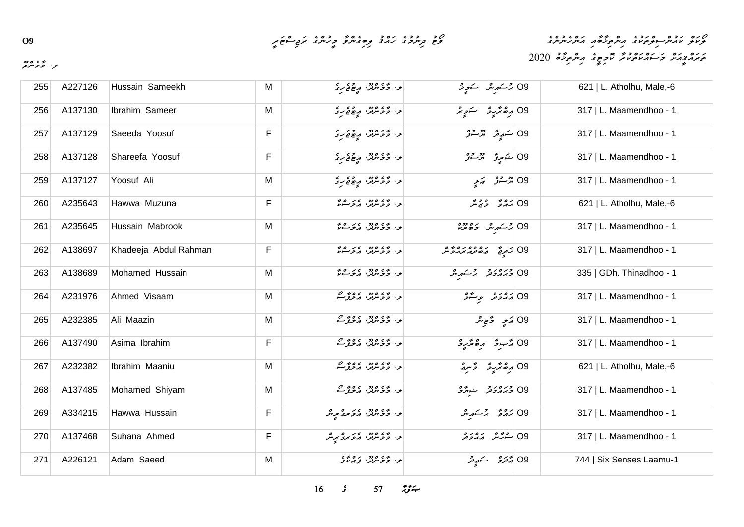*sCw7q7s5w7m< o<n9nOoAw7o< sCq;mAwBoEw7q<m; wBm;vB* م من المرة المرة المرة المرجع المرجع في المركبة 2020<br>مجم*د المريض المربوط المربع المرجع في المراجع المركبة* 

| 255 | A227126 | Hussain Sameekh       | M           | د. د د هم د محفظ برد  | 09  پرستمبر مرکز سکوپر    | 621   L. Atholhu, Male,-6 |
|-----|---------|-----------------------|-------------|-----------------------|---------------------------|---------------------------|
| 256 | A137130 | Ibrahim Sameer        | M           | و. د وه ده ده د د ک   | 09 مەھمگىيە ئەسكىمىتى _   | 317   L. Maamendhoo - 1   |
| 257 | A137129 | Saeeda Yoosuf         | F           | و. وومريز، روي و      | 09 ڪرپيگر گڏڪو            | 317   L. Maamendhoo - 1   |
| 258 | A137128 | Shareefa Yoosuf       | $\mathsf F$ | و. وه ودور وه و و ع   | 09 ڪيور پر سرو            | 317   L. Maamendhoo - 1   |
| 259 | A137127 | Yoosuf Ali            | M           | و. وه دوه ده وه و     | 09 ترقسفۇ ھەمپە           | 317   L. Maamendhoo - 1   |
| 260 | A235643 | Hawwa Muzuna          | $\mathsf F$ | و. ۇەھەدى كەررەپ      | 09 كەشرى ئىق ئىس          | 621   L. Atholhu, Male,-6 |
| 261 | A235645 | Hussain Mabrook       | M           | والمحصوص مركب         | 09 ير شهر محتصمها         | 317   L. Maamendhoo - 1   |
| 262 | A138697 | Khadeeja Abdul Rahman | $\mathsf F$ | والمحصوص مركب         |                           | 317   L. Maamendhoo - 1   |
| 263 | A138689 | Mohamed Hussain       | M           | و. د د وده عمر علم    | 09 دېرو د ته شهر ش        | 335   GDh. Thinadhoo - 1  |
| 264 | A231976 | Ahmed Visaam          | M           | و. ووجهتها المورث     | 09 كەندى قىر مەشكە        | 317   L. Maamendhoo - 1   |
| 265 | A232385 | Ali Maazin            | M           | و. د ورو. وووگ        | 09 کی په وی چینل          | 317   L. Maamendhoo - 1   |
| 266 | A137490 | Asima Ibrahim         | $\mathsf F$ | و. ووجه عوور          | 09 مٌ جوءٌ مِنْ مُرْبِرْد | 317   L. Maamendhoo - 1   |
| 267 | A232382 | Ibrahim Maaniu        | M           | و. وه وه وه وه و م    | 09 مەھمىر ئەسم            | 621   L. Atholhu, Male,-6 |
| 268 | A137485 | Mohamed Shiyam        | M           | و. ووجه ووور          | $5.5222$ $-2.5823$ $-2.5$ | 317   L. Maamendhoo - 1   |
| 269 | A334215 | Hawwa Hussain         | $\mathsf F$ | و. ووصيل، مؤمره مره   | 09 كەشرق بەسكىرىش         | 317   L. Maamendhoo - 1   |
| 270 | A137468 | Suhana Ahmed          | F           | و. ووجهيز، موسوس      | 09 لەيرىش ئەبروتىر        | 317   L. Maamendhoo - 1   |
| 271 | A226121 | Adam Saeed            | M           | و. ۱۵۶ موجود دره ده د | 09 ۾ تنرو ڪمپيش           | 744   Six Senses Laamu-1  |

 $16$  *s* 57  $23$   $\div$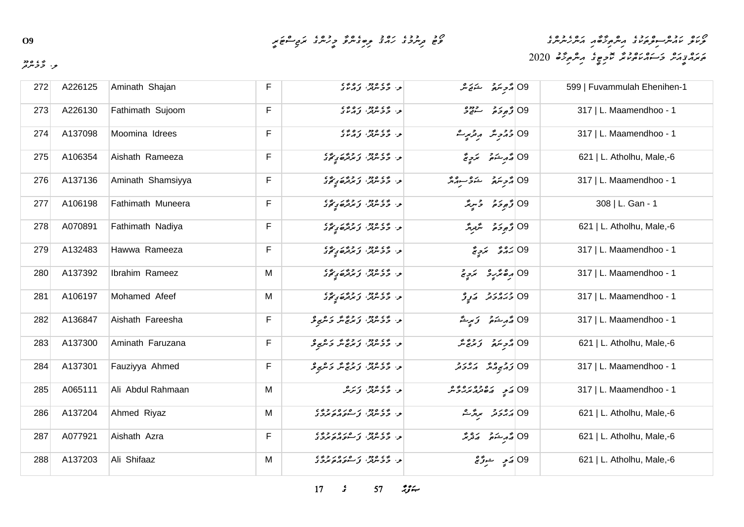*sCw7q7s5w7m< o<n9nOoAw7o< sCq;mAwBoEw7q<m; wBm;vB* م من المرة المرة المرة المرجع المرجع في المركبة 2020<br>مجم*د المريض المربوط المربع المرجع في المراجع المركبة* 

| 272 | A226125 | Aminath Shajan    | F           | والمحوصوص ومالات                                    | 09 گەج سَرَة مَسَسَسَر                         | 599   Fuvammulah Ehenihen-1 |
|-----|---------|-------------------|-------------|-----------------------------------------------------|------------------------------------------------|-----------------------------|
| 273 | A226130 | Fathimath Sujoom  | F           | والمحصوص وه والمحمد                                 | 09 زٌموِدَمُ سُنَيْرٌ                          | 317   L. Maamendhoo - 1     |
| 274 | A137098 | Moomina Idrees    | F           | و. گې دوه ره ده.                                    | 09  32 جونگر   مرتزمورگ                        | 317   L. Maamendhoo - 1     |
| 275 | A106354 | Aishath Rameeza   | $\mathsf F$ | و وه ده د دور و.<br>د گرمهن و برتره د نمی           | 09 م <sup>ۇ</sup> م ش <sup>ى</sup> رقى ئىرجىتى | 621   L. Atholhu, Male,-6   |
| 276 | A137136 | Aminath Shamsiyya | F           | و. د وه د د در پ                                    | 09 مُ حِسَمُ مِ سَوَّ حِيمَ مَنْ               | 317   L. Maamendhoo - 1     |
| 277 | A106198 | Fathimath Muneera | F           | و گوسرتر، و بروه د به د                             | 09 زَّەپەرَ ئۇ ئەرپىر                          | 308   L. Gan - 1            |
| 278 | A070891 | Fathimath Nadiya  | F           | و گروه و دور ده                                     | 09 <i>وَّجِ دَمْ</i> مُّسْرِمَّ                | 621   L. Atholhu, Male,-6   |
| 279 | A132483 | Hawwa Rameeza     | $\mathsf F$ | و وه ده د دور و.<br>د گرمهن و برتره د نمی           | 09 كەشرقى ئىزىرىتى                             | 317   L. Maamendhoo - 1     |
| 280 | A137392 | Ibrahim Rameez    | M           | و وه وه د وور وه.<br>د گرسهن و برتره د کرد          | 09 مەھمىر ئىسىم ئىچ                            | 317   L. Maamendhoo - 1     |
| 281 | A106197 | Mohamed Afeef     | M           | و وه ده د دور و.<br>د ووسرس و برتره د نړه           | 09 <i>\$ ئەۋدىتى مۇي</i> ۇ                     | 317   L. Maamendhoo - 1     |
| 282 | A136847 | Aishath Fareesha  | F           | ی وی وو بروه و بره و                                | 09 گەرىشكە كى ئورىشگە                          | 317   L. Maamendhoo - 1     |
| 283 | A137300 | Aminath Faruzana  | F           | و گەرەپ روپە رەھبى                                  | 09 گەج ئىرقى ئۇ ئوتتى ئىگە                     | 621   L. Atholhu, Male,-6   |
| 284 | A137301 | Fauziyya Ahmed    | F           | و ووسره دوه و دور                                   | 09 زَمَّ پر مَدْ دَمَدَ                        | 317   L. Maamendhoo - 1     |
| 285 | A065111 | Ali Abdul Rahmaan | M           | والمحاصرين وترش                                     | 09 كم موسوع مدة محمد المحمد المحمد             | 317   L. Maamendhoo - 1     |
| 286 | A137204 | Ahmed Riyaz       | M           | د ده ده د ه ده د دد د<br>د د درس                    | 09 كەبرى كەرگە بىر ئەشكە                       | 621   L. Atholhu, Male,-6   |
| 287 | A077921 | Aishath Azra      | F           | و کاما دو در در در دور دور<br>د گرگان کوستور مورد د | 09 گەرىشىق كەنىرىتىر                           | 621   L. Atholhu, Male,-6   |
| 288 | A137203 | Ali Shifaaz       | M           | د ده وه د در در دده<br>د ووسرس ز سومومور            | 09  ریم حوژی                                   | 621   L. Atholhu, Male,-6   |

 $17$  *s* 57  $23$   $\div$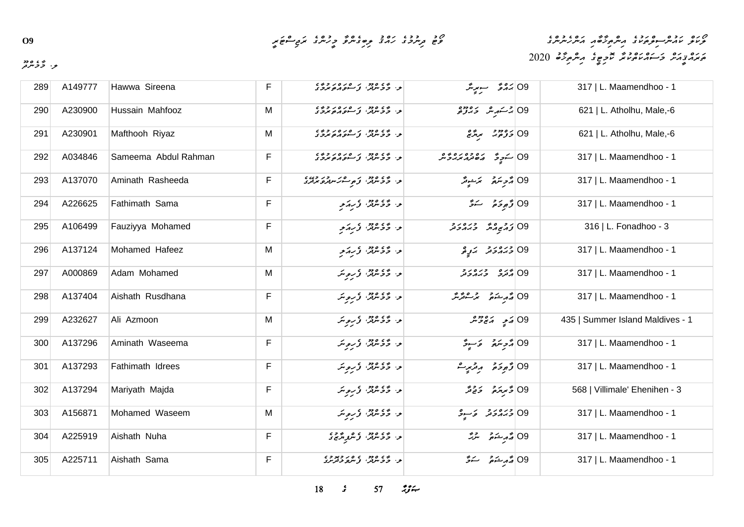*sCw7q7s5w7m< o<n9nOoAw7o< sCq;mAwBoEw7q<m; wBm;vB* م من المرة المرة المرة المرجع المرجع في المركبة 2020<br>مجم*د المريض المربوط المربع المرجع في المراجع المركبة* 

| 289 | A149777 | Hawwa Sireena        | F | و کارود د ه ده دود د                                     | 09 ئەۋۇ سومبەتر                 | 317   L. Maamendhoo - 1          |
|-----|---------|----------------------|---|----------------------------------------------------------|---------------------------------|----------------------------------|
| 290 | A230900 | Hussain Mahfooz      | M | و کار وو د در در دور<br>د کارس                           | 09 يرىتىمبە ئەرەبىي             | 621   L. Atholhu, Male,-6        |
| 291 | A230901 | Mafthooh Riyaz       | M |                                                          | 09 كۇۋەتتە بىر ئىگى             | 621   L. Atholhu, Male,-6        |
| 292 | A034846 | Sameema Abdul Rahman | F | و وه وده د ۱۵۷۵ ورو و.<br>و و و سربل کو سواره مرد د      | 09 كروڭ مەھىرمىدىگىر            | 317   L. Maamendhoo - 1          |
| 293 | A137070 | Aminath Rasheeda     | F | و کام وہ دو دو دی دی دی۔<br>د کام سربی کی جان سربرہ مربی | 09 گەج ئىكە - ئىكسىدىگە         | 317   L. Maamendhoo - 1          |
| 294 | A226625 | Fathimath Sama       | F | والمحافظة وكرمكو                                         | 09 ۇ <sub>جو</sub> رۇ شۇ        | 317   L. Maamendhoo - 1          |
| 295 | A106499 | Fauziyya Mohamed     | F | والمحافظة وكرمكو                                         | 09 נוליקול בגופני               | 316   L. Fonadhoo - 3            |
| 296 | A137124 | Mohamed Hafeez       | M | والمحصوص ورمزو                                           | 09 <i>ۇنەۋەتى بۇ بۇ</i>         | 317   L. Maamendhoo - 1          |
| 297 | A000869 | Adam Mohamed         | M | أور تحافزهن تورونتر                                      | 09 كەنىرى بەر بەر بەر           | 317   L. Maamendhoo - 1          |
| 298 | A137404 | Aishath Rusdhana     | F | والمحتج فبطل كربويتر                                     | 09 مۇم شەمۇر مىمى شەمۇرىتىر     | 317   L. Maamendhoo - 1          |
| 299 | A232627 | Ali Azmoon           | M | والمحصوص ورونتر                                          | 09 كەبىي كەمچى تۈش              | 435   Summer Island Maldives - 1 |
| 300 | A137296 | Aminath Waseema      | F | والمحتج فبطل كربابيتر                                    | 09 أَمَّ مِ سَمَّةً = قَ سِرَةً | 317   L. Maamendhoo - 1          |
| 301 | A137293 | Fathimath Idrees     | F | والمحصوص ورونتر                                          | 09 زٌموحَمْ پرمزمرِے            | 317   L. Maamendhoo - 1          |
| 302 | A137294 | Mariyath Majda       | F | والمحصوص ورونتر                                          | 09 <i>ۇمبەرة</i> دۇق            | 568   Villimale' Ehenihen - 3    |
| 303 | A156871 | Mohamed Waseem       | M | و گەھەم ۋىبوش                                            | 09 دُبَرْدْدَنْد كَرْسِرْدْ     | 317   L. Maamendhoo - 1          |
| 304 | A225919 | Aishath Nuha         | F | و. 3000 كوشر مرد د                                       | 09 مۇم شۇ مۇرمىتى ئىس           | 317   L. Maamendhoo - 1          |
| 305 | A225711 | Aishath Sama         | F | و د وه د د د د د د د د د<br>و د و و سربر و سرو د ترس     | 09 <i>مُّ مِ</i> شَعْرِ سَعَرَ  | 317   L. Maamendhoo - 1          |

 $18$  *s* 57  $23$   $\div$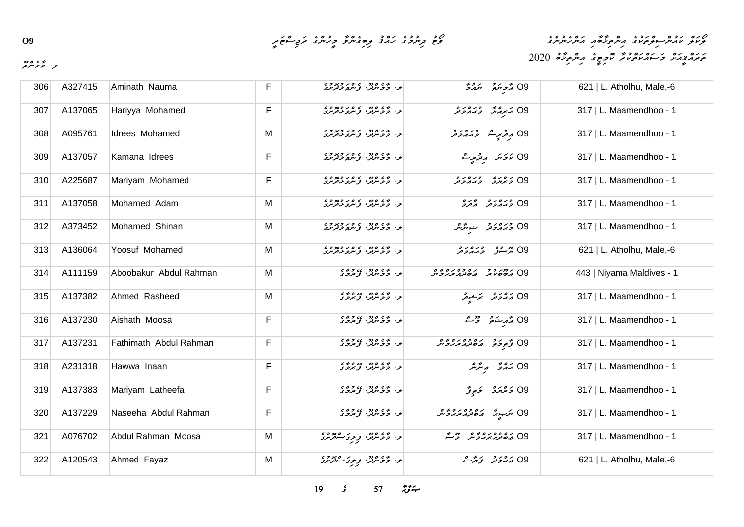*sCw7q7s5w7m< o<n9nOoAw7o< sCq;mAwBoEw7q<m; wBm;vB* م من المرة المرة المرة المرجع المرجع في المركبة 2020<br>مجم*د المريض المربوط المربع المرجع في المراجع المركبة* 

| 306 | A327415 | Aminath Nauma          | F            | و. ن <i>خ</i> ه مه دوه ده دوره در در در است.<br>من نخر در سربس از سره بر تر س | 09 أَمُّحِبَّعَةٌ مَنْ يَحْرُدُّ                             | 621   L. Atholhu, Male,-6 |
|-----|---------|------------------------|--------------|-------------------------------------------------------------------------------|--------------------------------------------------------------|---------------------------|
| 307 | A137065 | Hariyya Mohamed        | $\mathsf F$  | و می وجود می وروید و با<br>من افزار مرتبر از سروندس                           | 09 كىمبەم ئەمدە ئىس                                          | 317   L. Maamendhoo - 1   |
| 308 | A095761 | Idrees Mohamed         | M            | و وه وه و و و و و و و و و<br>و او و و سربر او سربو و ترس                      | 09  موټرىيەت ئەشرىقىد                                        | 317   L. Maamendhoo - 1   |
| 309 | A137057 | Kamana Idrees          | F            | و و و و و و و و د و و و و و و<br>و او و و ترتر او تر و لا ترترو               | 09   مَاحَسَد - مِا مِرْسِرِ سَ                              | 317   L. Maamendhoo - 1   |
| 310 | A225687 | Mariyam Mohamed        | F            | و وه وه و و و و و و و و و<br>و او و و سربر او سربو و ترس                      | 09 كەيمەر قەم ئەرەبىر                                        | 317   L. Maamendhoo - 1   |
| 311 | A137058 | Mohamed Adam           | M            | و می وجود و در ویو و د<br>من محرم شرقه از سرو دوسرد                           | 09 <i>ديرورو پره</i>                                         | 317   L. Maamendhoo - 1   |
| 312 | A373452 | Mohamed Shinan         | M            |                                                                               | 09 <i>3223 ئۇيىرىگە</i>                                      | 317   L. Maamendhoo - 1   |
| 313 | A136064 | Yoosuf Mohamed         | M            | و وه وه و و و و و و و و و<br>و او و و سربر او سربو و ترس                      | 09 تېر - <i>دې جره د تر</i>                                  | 621   L. Atholhu, Male,-6 |
| 314 | A111159 | Aboobakur Abdul Rahman | M            | و. وه ودو به وده ،                                                            |                                                              | 443   Niyama Maldives - 1 |
| 315 | A137382 | Ahmed Rasheed          | M            | و وه وود به دوه پا<br>و گرمانل و بروی                                         | 09 كەندى كىلى تىر ئىسىدىگە                                   | 317   L. Maamendhoo - 1   |
| 316 | A137230 | Aishath Moosa          | $\mathsf{F}$ | و. وه وده به دوه ،<br>و. ووس                                                  | 09 گەرىشقى قرىشە                                             | 317   L. Maamendhoo - 1   |
| 317 | A137231 | Fathimath Abdul Rahman | F            | و وه وود به دوه پا<br>و گرمانل و بروی                                         | $09$ $\frac{2}{3}$ $\frac{2}{3}$ $\frac{2}{3}$ $\frac{2}{3}$ | 317   L. Maamendhoo - 1   |
| 318 | A231318 | Hawwa Inaan            | $\mathsf F$  | و. گې ووه په ووه ،<br>و. گې مرد کومرد و                                       | 09 كەممۇر مەمگەش                                             | 317   L. Maamendhoo - 1   |
| 319 | A137383 | Mariyam Latheefa       | F            | و وه وود به دوه پا<br>و گرمانل و بروی                                         | 09 كەندىرى ئىمور                                             | 317   L. Maamendhoo - 1   |
| 320 | A137229 | Naseeha Abdul Rahman   | F            | و. وه وه ده دوه د<br>و. ووسربر، ژبروی                                         | 09 - شهر مقدم مدون                                           | 317   L. Maamendhoo - 1   |
| 321 | A076702 | Abdul Rahman Moosa     | M            | د. د د ده د و د د سور د د                                                     | 09 <i>ړه ده د بروڅ</i> ر وحت                                 | 317   L. Maamendhoo - 1   |
| 322 | A120543 | Ahmed Fayaz            | M            | و گەن دەھ بەيدە ئەرەپدە                                                       | 09   پروژنز کوچر شد                                          | 621   L. Atholhu, Male,-6 |

*19 s* 57 *i*<sub>s</sub> $\approx$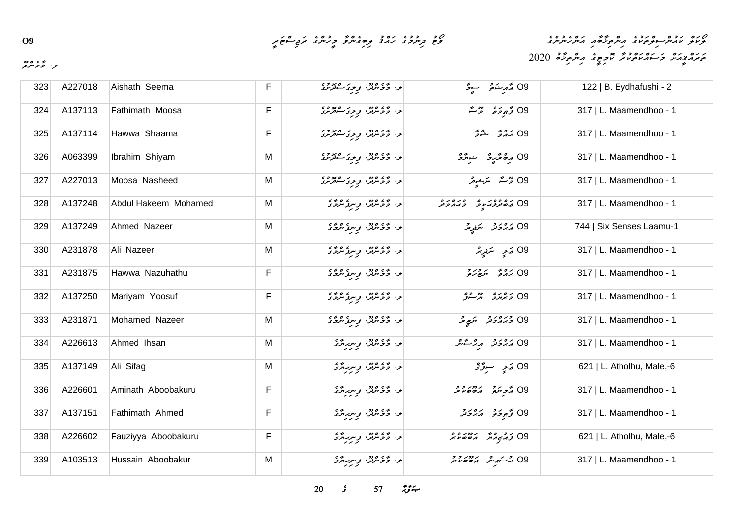*sCw7q7s5w7m< o<n9nOoAw7o< sCq;mAwBoEw7q<m; wBm;vB* م من المرة المرة المرة المرجع المرجع في المركبة 2020<br>مجم*د المريض المربوط المربع المرجع في المراجع المركبة* 

| 323 | A227018 | Aishath Seema        | F | و گرگورد. و پر معدده                            | 09 مُ مِ حَمَدٍ سِيحَ                           | 122   B. Eydhafushi - 2   |
|-----|---------|----------------------|---|-------------------------------------------------|-------------------------------------------------|---------------------------|
| 324 | A137113 | Fathimath Moosa      | F | و گاگاه دو وجه کاموره د                         | 09 رٌمودَمُ تَرْتَهُ                            | 317   L. Maamendhoo - 1   |
| 325 | A137114 | Hawwa Shaama         | F | و محومهن و در معدد د                            | $5 - 220$                                       | 317   L. Maamendhoo - 1   |
| 326 | A063399 | Ibrahim Shiyam       | M | در ۱۶۵ ورو<br>  در از قروندگر، او موتر سوتر مرد | $09$ مِنْ سَمْرِ وَ سَمِيرُو                    | 317   L. Maamendhoo - 1   |
| 327 | A227013 | Moosa Nasheed        | M | د کاکاروژ و در معدده                            | 09 فرَ مَنْ سَرَسُومَرُ                         | 317   L. Maamendhoo - 1   |
| 328 | A137248 | Abdul Hakeem Mohamed | M | و. د ده د و سره ده د                            |                                                 | 317   L. Maamendhoo - 1   |
| 329 | A137249 | Ahmed Nazeer         | M | و. 3000 وسرومور                                 | 09   كەشكە ئىگە ئىككى ئىككە ئىككە ئىككە ئىككە ئ | 744   Six Senses Laamu-1  |
| 330 | A231878 | Ali Nazeer           | M | و. 3000 وسرق 200                                | 09 کمیچ - سَمْدِیْر                             | 317   L. Maamendhoo - 1   |
| 331 | A231875 | Hawwa Nazuhathu      | F | و. 3000 وسرومور                                 | 09 كەشۇ سىي كىمى                                | 317   L. Maamendhoo - 1   |
| 332 | A137250 | Mariyam Yoosuf       | F | و. ووهين وسرورون                                | 09 <i>5 برورو پو</i> رو                         | 317   L. Maamendhoo - 1   |
| 333 | A231871 | Mohamed Nazeer       | M | و. 3000 وسرورون                                 | 09 دېم ترې ترې ترې                              | 317   L. Maamendhoo - 1   |
| 334 | A226613 | Ahmed Ihsan          | M | و. 3000 وسربردی                                 | 09 كەبرى قىر بەرگە ئىگە                         | 317   L. Maamendhoo - 1   |
| 335 | A137149 | Ali Sifag            | M | و. 3000 وسرمری                                  | 09 ھَي سوڙوُ                                    | 621   L. Atholhu, Male,-6 |
| 336 | A226601 | Aminath Aboobakuru   | F | و. ووصيل وسربروي                                | $2222$ $2422$ $2422$                            | 317   L. Maamendhoo - 1   |
| 337 | A137151 | Fathimath Ahmed      | F | أور ومحاورهما وبتربريزي                         | 09 ۇ <sub>ج</sub> وڭ مەركى                      | 317   L. Maamendhoo - 1   |
| 338 | A226602 | Fauziyya Aboobakuru  | F | و. 35 موفق وسربرمز                              | 09 נושות ומסטא                                  | 621   L. Atholhu, Male,-6 |
| 339 | A103513 | Hussain Aboobakur    | M | و محومتری و مرتبردی                             | $22222$ 2004                                    | 317   L. Maamendhoo - 1   |

 $20$  *s* 57 *n***<sub>s</sub>** $\frac{2}{3}$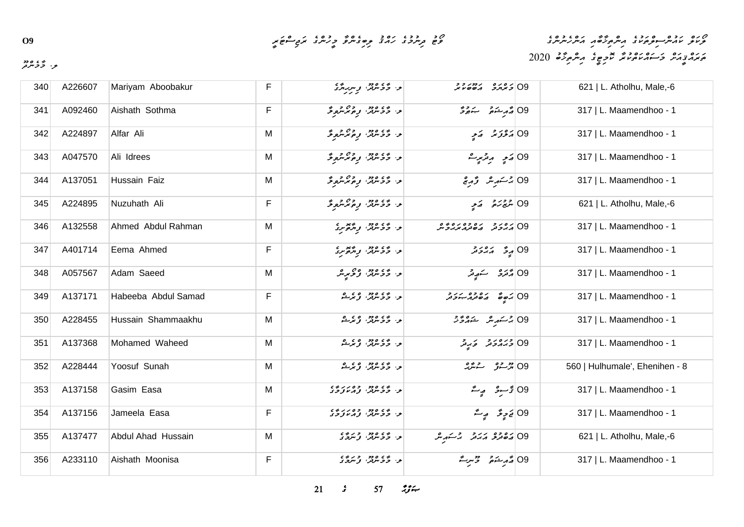*sCw7q7s5w7m< o<n9nOoAw7o< sCq;mAwBoEw7q<m; wBm;vB* م من المرة المرة المرة المرجع المرجع في المركبة 2020<br>مجم*د المريض المربوط المربع المرجع في المراجع المركبة* 

| 340 | A226607 | Mariyam Aboobakur   | F           | و. 35 مرکز، و سربرگری                                                                                            | 222222222200                                      | 621   L. Atholhu, Male,-6      |
|-----|---------|---------------------|-------------|------------------------------------------------------------------------------------------------------------------|---------------------------------------------------|--------------------------------|
| 341 | A092460 | Aishath Sothma      | F           | و گەھەم دەممىر                                                                                                   | $5\frac{2}{3}$ مَ مِسْرَحْمَة مِسْتَقِيحَة $\sim$ | 317   L. Maamendhoo - 1        |
| 342 | A224897 | Alfar Ali           | M           | و گەھەم دەچرىگەنگە                                                                                               | 09 پروژنر پرې                                     | 317   L. Maamendhoo - 1        |
| 343 | A047570 | Ali Idrees          | M           | و کامان وه ده د کامونگی به کامونگی به ایران می شود که در ایران کامونگی به کامونگی به کامونگی به کامونگی به کامون | 09 کړمو په مرتبو شو.                              | 317   L. Maamendhoo - 1        |
| 344 | A137051 | Hussain Faiz        | M           | و گەھەم دەممىر                                                                                                   | 09 ير سَمبر شهر رَمْ دِعْ                         | 317   L. Maamendhoo - 1        |
| 345 | A224895 | Nuzuhath Ali        | $\mathsf F$ | و گەھەم دەر                                                                                                      | 09 يترج تھ کھ جو                                  | 621   L. Atholhu, Male,-6      |
| 346 | A132558 | Ahmed Abdul Rahman  | M           | و. د ده ده و د د د                                                                                               | 09 ; ئەن ئەھەر ئەرگە ئە                           | 317   L. Maamendhoo - 1        |
| 347 | A401714 | Eema Ahmed          | $\mathsf F$ | و. ووه وهم و المعر                                                                                               | 09 مۇ ئەيمى ئەيم                                  | 317   L. Maamendhoo - 1        |
| 348 | A057567 | Adam Saeed          | M           | و. د د سربر و د بر بر                                                                                            | 09 ۾ تنرو ڪميرنر                                  | 317   L. Maamendhoo - 1        |
| 349 | A137171 | Habeeba Abdul Samad | $\mathsf F$ | ى ۋەس ۋە ئىگ                                                                                                     | 09 كەھ ئەھىر مەرد                                 | 317   L. Maamendhoo - 1        |
| 350 | A228455 | Hussain Shammaakhu  | M           | ىن ۇەھەرى ۋىرگ                                                                                                   | 09 يُرَسَمهِ مَدْ عَمَدْ تَحْرَ                   | 317   L. Maamendhoo - 1        |
| 351 | A137368 | Mohamed Waheed      | M           | ى ۇەھەر ۋەي                                                                                                      | 09 دُبَرْدْدَنْدْ كَلِيسْ                         | 317   L. Maamendhoo - 1        |
| 352 | A228444 | Yoosuf Sunah        | M           | و. ووجهين وي ه                                                                                                   | 09 تېر - دې گېږي.                                 | 560   Hulhumale', Ehenihen - 8 |
| 353 | A137158 | Gasim Easa          | M           | و. گرگور وه در ده د                                                                                              | 09 ٿُر ۾ پُ                                       | 317   L. Maamendhoo - 1        |
| 354 | A137156 | Jameela Easa        | $\mathsf F$ | و. وه وه وه دروه.<br>و. ووسيس وملاور                                                                             | 09] تے پے قسم پر ش                                | 317   L. Maamendhoo - 1        |
| 355 | A137477 | Abdul Ahad Hussain  | M           | و. ووجه وروء                                                                                                     | 09 كەھىر ئەككەر بىر كىرىگر                        | 621   L. Atholhu, Male,-6      |
| 356 | A233110 | Aishath Moonisa     | F           | و. گې ووه وره و                                                                                                  | 09 قەرشقىق قۇسرىگە                                | 317   L. Maamendhoo - 1        |

 $21$  *s* 57  $294$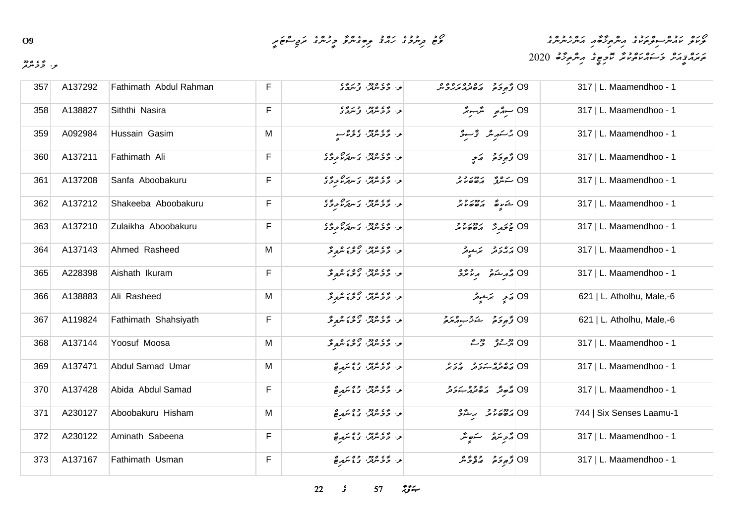*sCw7q7s5w7m< o<n9nOoAw7o< sCq;mAwBoEw7q<m; wBm;vB* م من المرة المرة المرة المرجع المرجع في المركبة 2020<br>مجم*د المريض المربوط المربع المرجع في المراجع المركبة* 

| 357 | A137292 | Fathimath Abdul Rahman | F           | و. 30 مجر وروء                                             | $O9$ $\frac{2222}{3}$ $O9$                                                                | 317   L. Maamendhoo - 1   |
|-----|---------|------------------------|-------------|------------------------------------------------------------|-------------------------------------------------------------------------------------------|---------------------------|
| 358 | A138827 | Siththi Nasira         | F           | والمحصوص ورداءا                                            | 09 سورمو گرسونٹر                                                                          | 317   L. Maamendhoo - 1   |
| 359 | A092984 | Hussain Gasim          | M           | و. گەن ەدەر ، ، ەەب                                        | 09 ير شهر علي علي عليه عليه الس                                                           | 317   L. Maamendhoo - 1   |
| 360 | A137211 | Fathimath Ali          | F           | و و و وو د دره و د د<br>و و و سربل و سربر برو د            | 09 ڙَجِوَتَهُ گَيَ جِ                                                                     | 317   L. Maamendhoo - 1   |
| 361 | A137208 | Sanfa Aboobakuru       | F           |                                                            | $2222$ $-209$                                                                             | 317   L. Maamendhoo - 1   |
| 362 | A137212 | Shakeeba Aboobakuru    | F           |                                                            | $2222$ $242$                                                                              | 317   L. Maamendhoo - 1   |
| 363 | A137210 | Zulaikha Aboobakuru    | F           | ے میں وجود اس کرے گئے۔<br>اس اور اس کوئی اس کو کا کام کر ک | $2222$ $242$                                                                              | 317   L. Maamendhoo - 1   |
| 364 | A137143 | Ahmed Rasheed          | M           | والمتحصوص ووالمعاهدة                                       | 09   كەشكە كىم ئىس كىشىر ئىس كىشىر ئىس                                                    | 317   L. Maamendhoo - 1   |
| 365 | A228398 | Aishath Ikuram         | $\mathsf F$ | و. ووسين المعده و و المعدا                                 | 09 مۇم شۇ مەترى                                                                           | 317   L. Maamendhoo - 1   |
| 366 | A138883 | Ali Rasheed            | M           | والمتحصوص محاوره عرون                                      | 09 کھ پر سمگھر                                                                            | 621   L. Atholhu, Male,-6 |
| 367 | A119824 | Fathimath Shahsiyath   | F           | والمتحر مرور مهم والمحرج من المحرج والمحر                  | $\frac{3}{2}$ ۇچۇم شكۇسو <i>مەدى</i>                                                      | 621   L. Atholhu, Male,-6 |
| 368 | A137144 | Yoosuf Moosa           | M           | و. د د وره موړه ده د                                       | $23$ $22$ $09$                                                                            | 317   L. Maamendhoo - 1   |
| 369 | A137471 | Abdul Samad Umar       | M           | و. گاه دو وه په کله کا                                     | 09 <i>مەھەرگە خەرقى</i> ر مە <i>خ</i> ك                                                   | 317   L. Maamendhoo - 1   |
| 370 | A137428 | Abida Abdul Samad      | F           | والمحمومين وه مرده                                         | $109$ $\frac{2}{3}$ $\frac{2}{3}$ $\frac{2}{3}$ $\frac{2}{3}$ $\frac{2}{3}$ $\frac{2}{3}$ | 317   L. Maamendhoo - 1   |
| 371 | A230127 | Aboobakuru Hisham      | M           | والمحمومين وه مرده                                         | 222200                                                                                    | 744   Six Senses Laamu-1  |
| 372 | A230122 | Aminath Sabeena        | F           | و. گاه دو وه په کله کا                                     | 09 مُ مِ سَعَ مَصِعَر                                                                     | 317   L. Maamendhoo - 1   |
| 373 | A137167 | Fathimath Usman        | F           | و. ووسربر، وه مهرم                                         | 09 زٌموِدَ مَنْ مَدْوَسْر                                                                 | 317   L. Maamendhoo - 1   |

 $22$  *s* 57  $23$   $\div$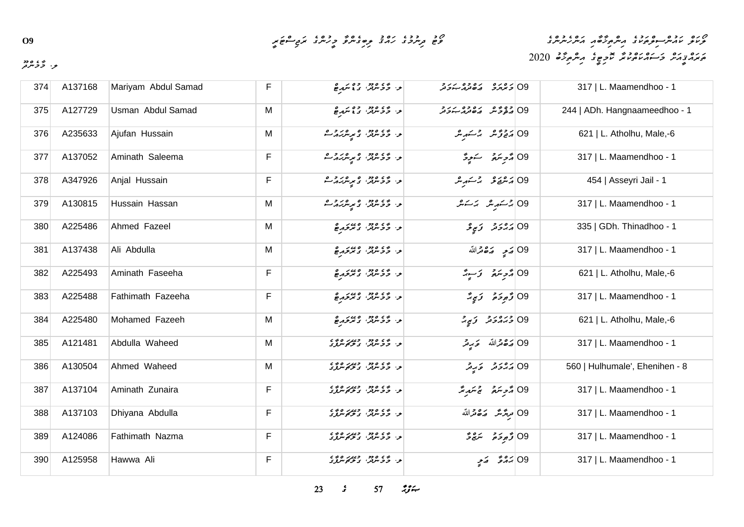*sCw7q7s5w7m< o<n9nOoAw7o< sCq;mAwBoEw7q<m; wBm;vB* م من المرة المرة المرة المرجع المرجع في المركبة 2020<br>مجم*د المريض المربوط المربع المرجع في المراجع المركبة* 

| 374 | A137168 | Mariyam Abdul Samad | F            | والمحمد ومنهم والمعالم                                                                                                                                                                                                          | $09$ $5.50$ $6.80$ $7.5$ $09$           | 317   L. Maamendhoo - 1        |
|-----|---------|---------------------|--------------|---------------------------------------------------------------------------------------------------------------------------------------------------------------------------------------------------------------------------------|-----------------------------------------|--------------------------------|
| 375 | A127729 | Usman Abdul Samad   | M            | و. گاه دو وه ترماه                                                                                                                                                                                                              | 09 رُوْحُ شَر رُوْمِرْ جُرَمْ           | 244   ADh. Hangnaameedhoo - 1  |
| 376 | A235633 | Ajufan Hussain      | M            | و. 35 مرير، 3 برسربراز ع                                                                                                                                                                                                        | 09 كەنى ئۇنىڭ باشىرىنىڭ بە              | 621   L. Atholhu, Male,-6      |
| 377 | A137052 | Aminath Saleema     | F            | و. ووسري ومرسمان                                                                                                                                                                                                                | 09 مٌ مِ سَوَءٌ سَوِءٌ                  | 317   L. Maamendhoo - 1        |
| 378 | A347926 | Anjal Hussain       | F            | و. ووهين ومرسد و                                                                                                                                                                                                                | 09 كەشقۇ بەسىر ش                        | 454   Asseyri Jail - 1         |
| 379 | A130815 | Hussain Hassan      | M            | و و و سربر او در د ه<br>د و و سربر او مرس                                                                                                                                                                                       | 09 يرىسىمە كەسىر                        | 317   L. Maamendhoo - 1        |
| 380 | A225486 | Ahmed Fazeel        | M            | و. ووسربر، ويروم ه                                                                                                                                                                                                              | 09 كەشەك قەمچى بىر                      | 335   GDh. Thinadhoo - 1       |
| 381 | A137438 | Ali Abdulla         | M            | و. ووسربر، ويروم و                                                                                                                                                                                                              | 09 <i>مَنْجِ    مَەڤْمَ</i> اللّه       | 317   L. Maamendhoo - 1        |
| 382 | A225493 | Aminath Faseeha     | F            | و. ووسربر، ويروم و                                                                                                                                                                                                              | 09 مَّ حِسَمَۃٌ وَسِيَّتُہُ             | 621   L. Atholhu, Male,-6      |
| 383 | A225488 | Fathimath Fazeeha   | $\mathsf{F}$ | و گروه وي در ه                                                                                                                                                                                                                  | 09 ۇ <sub>ج</sub> وڭۇ كېمى <sup>گ</sup> | 317   L. Maamendhoo - 1        |
| 384 | A225480 | Mohamed Fazeeh      | M            | و. گاه دو مصدر ه                                                                                                                                                                                                                | 09 دېم دېم توپور                        | 621   L. Atholhu, Male,-6      |
| 385 | A121481 | Abdulla Waheed      | M            | و وه ورو ورد ده وه ده و د و د و د و د و د و د انداز و د انداز و د انداز و د انداز و د انداز و د انداز و د اندا<br>د انداز و د انداز و انداز و د انداز و د انداز و د انداز و د انداز و د انداز و د انداز و د انداز و د انداز و د | 09 كەھەراللە     كەبوتر                 | 317   L. Maamendhoo - 1        |
| 386 | A130504 | Ahmed Waheed        | M            | و و و ور ويرد و د ع<br>و گرگترنتر و گرگوسرو و                                                                                                                                                                                   | 09 كەشەك قىرىتى                         | 560   Hulhumale', Ehenihen - 8 |
| 387 | A137104 | Aminath Zunaira     | F            | و وه ورود ورد ورود و دي.<br>و وگرسرتن و وگوسرتری                                                                                                                                                                                | 09 مُّحِسَمُ مِنْ مَمْدِيمٌ             | 317   L. Maamendhoo - 1        |
| 388 | A137103 | Dhiyana Abdulla     | F            | و وه ورو ديد وو .<br>و ووسيس د وگوسرو .                                                                                                                                                                                         | 09 مرتز م <i>ر مرگ مر</i> کند           | 317   L. Maamendhoo - 1        |
| 389 | A124086 | Fathimath Nazma     | F            | و وه ورود ويرد وو ،<br>و ووسرټر، د وگوسرور                                                                                                                                                                                      | 09 زً <sub>ّم</sub> وِدَة مَرَّة دُّ    | 317   L. Maamendhoo - 1        |
| 390 | A125958 | Hawwa Ali           | F            | و وه ورو ورد ده وه ده و د و د و د و د و د و د انداز و د انداز و د انداز و د انداز و د انداز و د انداز و د اندا<br>د انداز و د انداز و انداز و د انداز و د انداز و د انداز و د انداز و د انداز و د انداز و د انداز و د انداز و د | 09 كەممى كەمپ                           | 317   L. Maamendhoo - 1        |

 $23$  *s* 57 *n***<sub>3</sub>**  $\frac{1}{2}$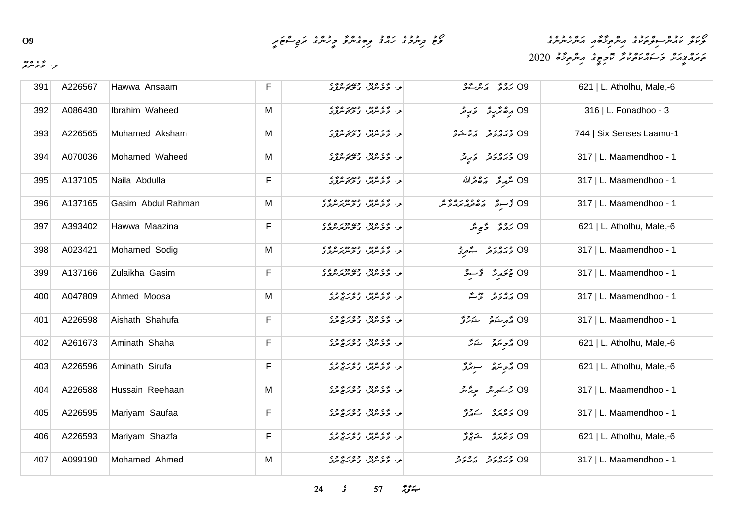*sCw7q7s5w7m< o<n9nOoAw7o< sCq;mAwBoEw7q<m; wBm;vB* م من المرة المرة المرة المرجع المرجع في المركبة 2020<br>مجم*د المريض المربوط المربع المرجع في المراجع المركبة* 

| 391 | A226567 | Hawwa Ansaam       | F           |                                                                                                                                                                                                                                 | 09 كەشۇ كەشرىئىۋ                                                                                     | 621   L. Atholhu, Male,-6 |
|-----|---------|--------------------|-------------|---------------------------------------------------------------------------------------------------------------------------------------------------------------------------------------------------------------------------------|------------------------------------------------------------------------------------------------------|---------------------------|
| 392 | A086430 | Ibrahim Waheed     | M           | و وه وه ورد وه ده.<br>د ووسربر د وگوسرور                                                                                                                                                                                        | 09 مەھمگىيى ئىقلىقى                                                                                  | 316   L. Fonadhoo - 3     |
| 393 | A226565 | Mohamed Aksham     | M           | و وه ورو ورد وه وه و.<br>و و و سربر و <del>و ک</del> و سرو و                                                                                                                                                                    | 09 <i>دېم ده ده</i> شو                                                                               | 744   Six Senses Laamu-1  |
| 394 | A070036 | Mohamed Waheed     | м           | و وه ورو ورد ده وه ده و د و د و د و د و د و د انداز و د انداز و د انداز و د انداز و د انداز و د انداز و د اندا<br>د انداز و د انداز و انداز و د انداز و د انداز و د انداز و د انداز و د انداز و د انداز و د انداز و د انداز و د | 09 دېم پروتر کابان                                                                                   | 317   L. Maamendhoo - 1   |
| 395 | A137105 | Naila Abdulla      | F           | و وه ورود ويرد وو ،<br>و ووسرټر، د وگوسرور                                                                                                                                                                                      | 09 <i>مُثَّمِدَةً مُذَهَّدُ</i> اللَّهُ                                                              | 317   L. Maamendhoo - 1   |
| 396 | A137165 | Gasim Abdul Rahman | M           | د ده ده دره ده ده ده.<br>د گرسهن د گرسهه سر                                                                                                                                                                                     | $09$ $\frac{200000}{2}$ $-2$                                                                         | 317   L. Maamendhoo - 1   |
| 397 | A393402 | Hawwa Maazina      | F           | ۲ ک ۲۵ وو - ۲۶ ووړ ۲۵ کړ<br>مو - د <del>د</del> سربي - د مخر سربي سر <del>ب</del> ر د                                                                                                                                           | 09 كەشۇ قەي ش                                                                                        | 621   L. Atholhu, Male,-6 |
| 398 | A023421 | Mohamed Sodig      | M           | د ده ود در در دره در<br>د ژومړني د ومربرمرد د                                                                                                                                                                                   | 09 ج. پر جو جنور تحقيد بحقيد الله عليم به الله عليم الله عليم الله عليه الله عليه الله عليه الله علي | 317   L. Maamendhoo - 1   |
| 399 | A137166 | Zulaikha Gasim     | F           | د ده ور در در در در<br>د ژومړني د ومربرمبرد                                                                                                                                                                                     | 09 تح تحرم تح سبو مح                                                                                 | 317   L. Maamendhoo - 1   |
| 400 | A047809 | Ahmed Moosa        | M           | ه ده وه د وه د ده د د<br>و گرگرين د گرمن برد                                                                                                                                                                                    | 09   پروژنر تق                                                                                       | 317   L. Maamendhoo - 1   |
| 401 | A226598 | Aishath Shahufa    | F           | و ده وه وه ده ده<br>و گرگس برای در ده ده                                                                                                                                                                                        | 09 مُ مِسْمَعْ شَمْرُتَرَّ                                                                           | 317   L. Maamendhoo - 1   |
| 402 | A261673 | Aminath Shaha      | F           | د ده وه وه ده ده<br>د گرسهن دوره برد                                                                                                                                                                                            | 09 أَمَّ مِ سَمَّةٌ مَسَمَّدٌ                                                                        | 621   L. Atholhu, Male,-6 |
| 403 | A226596 | Aminath Sirufa     | F           | د ده وه وه ده ده<br>د گرسهن دوره برد                                                                                                                                                                                            | 09 مَّ حِبَّرَةٌ مُسْتَغَرَّ                                                                         | 621   L. Atholhu, Male,-6 |
| 404 | A226588 | Hussain Reehaan    | M           | و ده وه وه ده ده<br>و گرگس ترکوبر در                                                                                                                                                                                            | 09  پرستمبر عمد سیبر میں شر                                                                          | 317   L. Maamendhoo - 1   |
| 405 | A226595 | Mariyam Saufaa     | $\mathsf F$ | و ده وه وه ده ده<br>و گرگس ترکوبر در                                                                                                                                                                                            | 09 كەبىر ئەرگە ئىس                                                                                   | 317   L. Maamendhoo - 1   |
| 406 | A226593 | Mariyam Shazfa     | F           | و وه وه وه ده وه.<br>و ووسرتر و وربح برو                                                                                                                                                                                        | 09 كۈچرىرى ھەيجۇ                                                                                     | 621   L. Atholhu, Male,-6 |
| 407 | A099190 | Mohamed Ahmed      | M           | د وه دوه ده ده.<br>د ووسربر د وره پر                                                                                                                                                                                            | 09 <i>3283 كەم</i> رو                                                                                | 317   L. Maamendhoo - 1   |

 $24$  *s* 57 *n***<sub>3</sub> <del>***n***<sub>3</sub>** *n***<sub>1</sub>** *n***<sub>1</sub>**</del>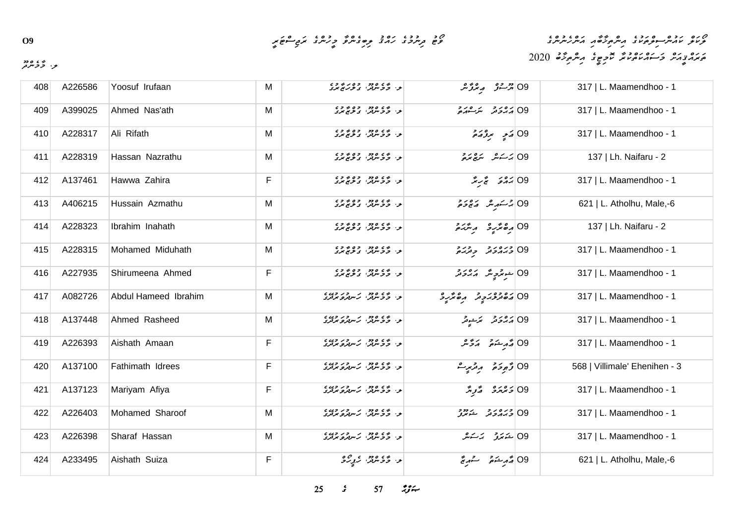*sCw7q7s5w7m< o<n9nOoAw7o< sCq;mAwBoEw7q<m; wBm;vB 2020*<br>*په پوهر وسوډيرونو لومو د موجو د مرمونه* 2020

| 408 | A226586 | Yoosuf Irufaan       | M | د ده ده ده ده ده.<br>د ووسرتر، د وره برد           | 09 ترىشۇ ھېرتى <i>گە</i>       | 317   L. Maamendhoo - 1       |
|-----|---------|----------------------|---|----------------------------------------------------|--------------------------------|-------------------------------|
| 409 | A399025 | Ahmed Nas'ath        | M | و وه وه وه وه.<br>و گرسهل و وی برو                 | 09 كەبرى قىر سىرسىر قىر        | 317   L. Maamendhoo - 1       |
| 410 | A228317 | Ali Rifath           | M | د ده ود ده ده.<br>د گرس در در در                   | $ 09 $ کيم برگ کرگ             | 317   L. Maamendhoo - 1       |
| 411 | A228319 | Hassan Nazrathu      | M | و و و ده ده وه ده<br>و و وسربر، و و بر پر          | 09  ئەسەنلەر سىنى ئىرقى        | 137   Lh. Naifaru - 2         |
| 412 | A137461 | Hawwa Zahira         | F | و وه وه وه وه.<br>و گړس و گريم پرو                 | 09 ئەيمۇس ئى ئېرىتىل           | 317   L. Maamendhoo - 1       |
| 413 | A406215 | Hussain Azmathu      | M | و وه وه وه وه.<br>و گړس                            | 09 ير سَمبر شريح تحريجو        | 621   L. Atholhu, Male,-6     |
| 414 | A228323 | Ibrahim Inahath      | M | د ده ود وه ده ده<br>د گرسهن و دیم برد              | 09 مەھەمگەيىۋە مەمىگەتمۇ       | 137   Lh. Naifaru - 2         |
| 415 | A228315 | Mohamed Miduhath     | M | د ده ود ده ده.<br>د گرس در در در                   | 09 دېممرد ته د ورته و          | 317   L. Maamendhoo - 1       |
| 416 | A227935 | Shirumeena Ahmed     | F | و وه وه وه وه وه.<br>د گرسهل و گرم مرد             | 09 جو مگرچ مگر کرکر تر         | 317   L. Maamendhoo - 1       |
| 417 | A082726 | Abdul Hameed Ibrahim | M | و د ورود د دره ده.<br>و د ورسربر، رسربره بربرد     |                                | 317   L. Maamendhoo - 1       |
| 418 | A137448 | Ahmed Rasheed        | M | و د ورود د در ورد ورد<br>و د ورمړنۍ کمبرنورۍ مربرو | 09   كەشكە كىم كىم كىلەشتە ئىس | 317   L. Maamendhoo - 1       |
| 419 | A226393 | Aishath Amaan        | F | و د ورود د دره ده.<br>و د و د دند کسربره برترد     | 09 گەرىشكە كەڭ ش               | 317   L. Maamendhoo - 1       |
| 420 | A137100 | Fathimath Idrees     | F | و دی ووړې د سربرو برورو د                          | 09 ۇمومۇھە بەرتىرىيەشە         | 568   Villimale' Ehenihen - 3 |
| 421 | A137123 | Mariyam Afiya        | F | و وه وړه د د ورون و<br>و ووسربن ترسربرو برترو      | 09 كەبھەتىر قەرباش             | 317   L. Maamendhoo - 1       |
| 422 | A226403 | Mohamed Sharoof      | M | و د وه د در وړ ور.<br>د د ورسربن کسربره برترو      | 09 دېرونه خومو                 | 317   L. Maamendhoo - 1       |
| 423 | A226398 | Sharaf Hassan        | M | و. په ۱۶۵۵ کامل ور ورو د                           | 09 ڪيمرڙ پرڪيش                 | 317   L. Maamendhoo - 1       |
| 424 | A233495 | Aishath Suiza        | F | د. د ده مرد د کرد                                  | 09 مەم يىسكىم ئىس قىم يىتم     | 621   L. Atholhu, Male,-6     |

 $25$  *s* 57 *n***<sub>3</sub>**  $\frac{2}{3}$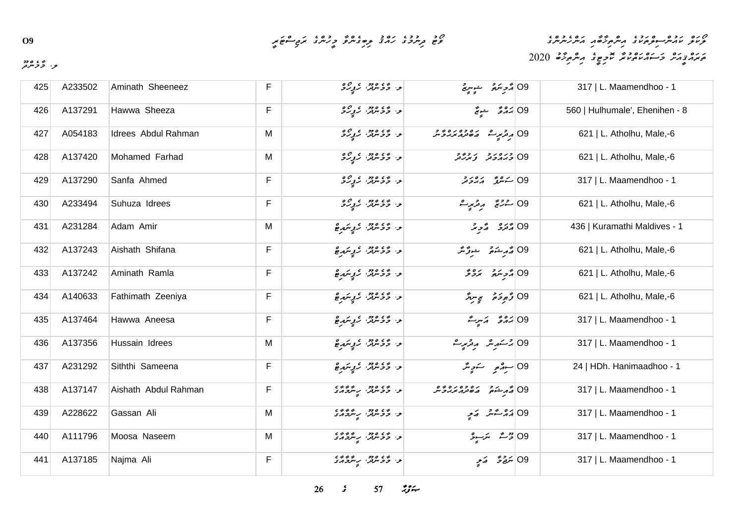*sCw7q7s5w7m< o<n9nOoAw7o< sCq;mAwBoEw7q<m; wBm;vB* م من المرة المرة المرة المرجع المرجع في المركبة 2020<br>مجم*د المريض المربوط المربع المرجع في المراجع المركبة* 

| 425 | A233502 | Aminath Sheeneez     | F           | د. د د هند، روژد         | 09 گەجەتتۇ ھېسپەتى                             | 317   L. Maamendhoo - 1        |
|-----|---------|----------------------|-------------|--------------------------|------------------------------------------------|--------------------------------|
| 426 | A137291 | Hawwa Sheeza         | $\mathsf F$ | و کومربر وړه و           | 09 كەشرىق سىيىتى                               | 560   Hulhumale', Ehenihen - 8 |
| 427 | A054183 | Idrees Abdul Rahman  | M           | أور تحرير مريد مرور و    | 09 موترىيە ئەھەرمەر ئەر                        | 621   L. Atholhu, Male,-6      |
| 428 | A137420 | Mohamed Farhad       | M           | و. د د ورو. د وره        | 09 دېممردنه زېږېد                              | 621   L. Atholhu, Male,-6      |
| 429 | A137290 | Sanfa Ahmed          | F           | و. د د ورو. ع وړه        | 09 كەشرۇ بەيرى ئەر                             | 317   L. Maamendhoo - 1        |
| 430 | A233494 | Suhuza Idrees        | $\mathsf F$ | و. د د ه د مان د کار د   | 09 سترجيح ويقرموسة                             | 621   L. Atholhu, Male,-6      |
| 431 | A231284 | Adam Amir            | M           | و. 35مرين كرومتروغ       | 09 مُرْمَرْدَ مُرْحِدً                         | 436   Kuramathi Maldives - 1   |
| 432 | A137243 | Aishath Shifana      | $\mathsf F$ | و. ووحدي ويرمو           | 09 مۇمرىشقۇ ھەرگەنگر                           | 621   L. Atholhu, Male,-6      |
| 433 | A137242 | Aminath Ramla        | F           | و محمد من كرو شهر ه      | 09 مٌ مِ سَمَّعَ مَدَّوَةً                     | 621   L. Atholhu, Male,-6      |
| 434 | A140633 | Fathimath Zeeniya    | $\mathsf F$ | و. ووسين كريتمدة         | 09 زٌموحَمْ پِسِرَّ                            | 621   L. Atholhu, Male,-6      |
| 435 | A137464 | Hawwa Aneesa         | F           | و. ووسرين كروسمدغ        | 09 كەۋۇ كەيرىگە                                | 317   L. Maamendhoo - 1        |
| 436 | A137356 | Hussain Idrees       | M           | و. وُوسِهِرْ، رُوِسَمَهِ | 09 ژےمریش پروٹر پرے                            | 317   L. Maamendhoo - 1        |
| 437 | A231292 | Siththi Sameena      | $\mathsf F$ | والمحمومين كرويتها       | 09 سورمو ڪوپيئر                                | 24   HDh. Hanimaadhoo - 1      |
| 438 | A137147 | Aishath Abdul Rahman | F           | و. ۱۶۵۶ - ۱۶۵۶           | $O9$ $\alpha$ $\alpha$ $\beta$ $\beta$ $\beta$ | 317   L. Maamendhoo - 1        |
| 439 | A228622 | Gassan Ali           | M           | و. ۶۶۵ وه رنگروری        | 09 زَرْرْ شَنْرَ پَرَمِ                        | 317   L. Maamendhoo - 1        |
| 440 | A111796 | Moosa Naseem         | M           | و. صحيح من المصري        | 09 فرَّسَہُ سَرَسورُ م                         | 317   L. Maamendhoo - 1        |
| 441 | A137185 | Najma Ali            | F           | و. ۱۵۵۶ - ۱۵۵۶           | 09 سَمَةٌ مَّ صَمِ                             | 317   L. Maamendhoo - 1        |

 $26$  *s* 57 *n***<sub>3</sub>**  $\frac{1}{2}$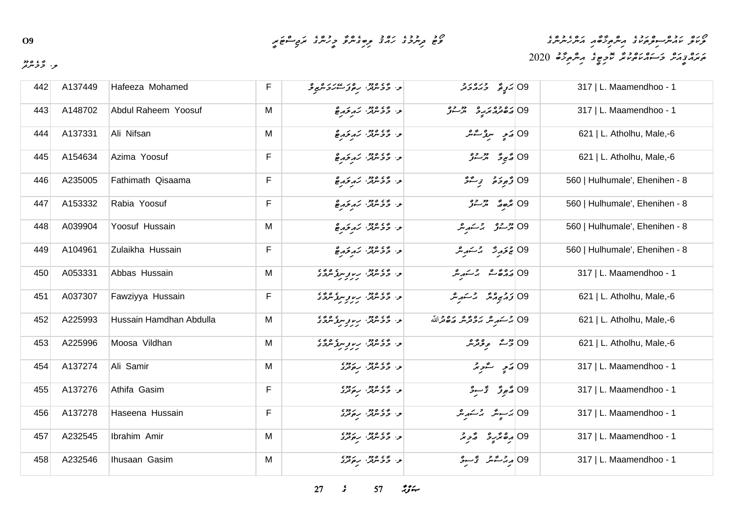*sCw7q7s5w7m< o<n9nOoAw7o< sCq;mAwBoEw7q<m; wBm;vB 2020*<br>*په پوهر وسوډيرونو لومو د موجو د مرمونه* 2020

| 442 | A137449 | Hafeeza Mohamed         | F            | ے ووس روز دیگر ویں گھر                | 09  كەرپۇ ئەكەر ئەركىلى                                   | 317   L. Maamendhoo - 1        |
|-----|---------|-------------------------|--------------|---------------------------------------|-----------------------------------------------------------|--------------------------------|
| 443 | A148702 | Abdul Raheem Yoosuf     | M            | والمحمومين كهرقه                      | 09 كەھ <i>ەركە كۆر بو</i> ر دور                           | 317   L. Maamendhoo - 1        |
| 444 | A137331 | Ali Nifsan              | M            | والمحمد ودوا كهر فرماني               | 09 كەم بىر ئىگە                                           | 621   L. Atholhu, Male,-6      |
| 445 | A154634 | Azima Yoosuf            | F            | والمحمومين كه وكه                     | 09 مَّيحٌ بَرْ- َبْرُ                                     | 621   L. Atholhu, Male,-6      |
| 446 | A235005 | Fathimath Qisaama       | $\mathsf F$  | و. ووسرين كه ومع                      | 09 زَّەپەرَە ئ <sup>ې</sup> رىشۇ                          | 560   Hulhumale', Ehenihen - 8 |
| 447 | A153332 | Rabia Yoosuf            | $\mathsf F$  | والمحمومين كه وكه                     | 09 ئىپ، تەرىبۇ                                            | 560   Hulhumale', Ehenihen - 8 |
| 448 | A039904 | Yoosuf Hussain          | M            | و گرگرين که دَم وَ                    | 09 ټرنے پر جمہ میں                                        | 560   Hulhumale', Ehenihen - 8 |
| 449 | A104961 | Zulaikha Hussain        | $\mathsf F$  | والمحمد ودوا كهر فرماني               | 09 ئىخەر ئەسىم ئىسكەر ش                                   | 560   Hulhumale', Ehenihen - 8 |
| 450 | A053331 | Abbas Hussain           | M            | و گەنگەن بىروسۇمغۇر                   | 09 مَدْهُمْتْ بْرَ سَهْرِ مْدْ                            | 317   L. Maamendhoo - 1        |
| 451 | A037307 | Fawziyya Hussain        | F            | و گەن بەر سۆسكەت                      | 09 ۇرىم بروگە كەسكىرىك                                    | 621   L. Atholhu, Male,-6      |
| 452 | A225993 | Hussain Hamdhan Abdulla | M            | و گەنگەن بىروسۇمبەد                   | 09 يُرْسَم <i>ُ بِهِ بَرْدُ مَّدَّسَ مَ</i> صْغَرَاللَّهُ | 621   L. Atholhu, Male,-6      |
| 453 | A225996 | Moosa Vildhan           | M            | و گەھەدە رىروسۇسىدە                   | 09 تۇنئە ئۇقەتلەر                                         | 621   L. Atholhu, Male,-6      |
| 454 | A137274 | Ali Samir               | M            | و. د ورود روده                        | 09 کھوپے مسٹھویٹر                                         | 317   L. Maamendhoo - 1        |
| 455 | A137276 | Athifa Gasim            | $\mathsf{F}$ | و په دوه روه د                        | 09 مٌ جورٌ گُرِّ دِمُحَ                                   | 317   L. Maamendhoo - 1        |
| 456 | A137278 | Haseena Hussain         | $\mathsf F$  | و. ۲۶۵ وو.<br>د گرگريمن رومر          | 09  > سيسرٌ    جرشر عر                                    | 317   L. Maamendhoo - 1        |
| 457 | A232545 | Ibrahim Amir            | M            | و. ۶۶۵ وو.<br>د گرگرمنگ بروتری        | 09 بەھ ئەر ئە ئەر ئە                                      | 317   L. Maamendhoo - 1        |
| 458 | A232546 | Ihusaan Gasim           | M            | و. نور دوه روه و.<br>د. نور شرش رومرد | 09 مەيمە ئىشىر قۇسىۋ                                      | 317   L. Maamendhoo - 1        |

*27 sC 57 nNw?mS*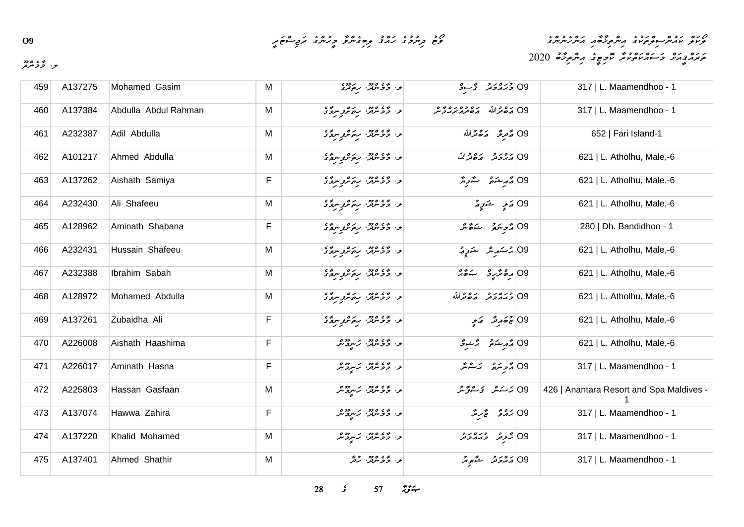*sCw7q7s5w7m< o<n9nOoAw7o< sCq;mAwBoEw7q<m; wBm;vB* م من المرة المرة المرة المرجع المرجع في المركبة 2020<br>مجم*د المريض المربوط المربع المرجع في المراجع المركبة* 

| 459 | A137275 | Mohamed Gasim        | M            | و. و و مرود رود .             | 09 دُبَہْدَوَتَہ گَے۔وُ                                | 317   L. Maamendhoo - 1                  |
|-----|---------|----------------------|--------------|-------------------------------|--------------------------------------------------------|------------------------------------------|
| 460 | A137384 | Abdulla Abdul Rahman | M            | و : د د د د پروترو سره د      | $O9$ $\approx$ $\approx$ $\approx$ $O9$ $\approx$ $O9$ | 317   L. Maamendhoo - 1                  |
| 461 | A232387 | Adil Abdulla         | M            | و په دوه روور دو              | 09 مُجْمِيعٌ صَ <b>صْ</b> قَرْاللَّه                   | 652   Fari Island-1                      |
| 462 | A101217 | Ahmed Abdulla        | M            | و گەنگە بەرگە بەر             | 09 كەبرى <i>كەن ھەقر</i> اللە                          | 621   L. Atholhu, Male,-6                |
| 463 | A137262 | Aishath Samiya       | $\mathsf{F}$ | د. د د ده ده رو د د سرو د     | 09 مەم شەمۇر سەر ئىر                                   | 621   L. Atholhu, Male,-6                |
| 464 | A232430 | Ali Shafeeu          | M            | و گەنگەن بەكەر سەك            | 09 كەمچە سىتەرچە                                       | 621   L. Atholhu, Male,-6                |
| 465 | A128962 | Aminath Shabana      | F            | و گەنگەن بەرگەنگە ئە          | 09 أَمَّ مِسَعَمٍ مُسَوَّسَرَ                          | 280   Dh. Bandidhoo - 1                  |
| 466 | A232431 | Hussain Shafeeu      | M            | و گەنگەن بەرگەنگەندى          | 09 پرڪير شروچ ڪ                                        | 621   L. Atholhu, Male,-6                |
| 467 | A232388 | Ibrahim Sabah        | M            | د کام ده ده مرکز مرکز د       | $222 - 222$                                            | 621   L. Atholhu, Male,-6                |
| 468 | A128972 | Mohamed Abdulla      | M            | و گەن بەر بەر بەر             | $O9$ $2222$ $2222$                                     | 621   L. Atholhu, Male,-6                |
| 469 | A137261 | Zubaidha Ali         | $\mathsf F$  | و گەن ھەدىرى بەر ئەس كەن      | 09 نج <i>ھوم</i> تش صَعِي                              | 621   L. Atholhu, Male,-6                |
| 470 | A226008 | Aishath Haashima     | $\mathsf F$  | أور ومحاوره والمتعرفة المراجع | 09 <i>مُّ مِ</i> شَمَّ مُّ سُمِّ مُّ                   | 621   L. Atholhu, Male,-6                |
| 471 | A226017 | Aminath Hasna        | $\mathsf F$  | و. دومبرو. روده               | 09 مَّ حِسَمَّهُ بَمَــَـمَّر                          | 317   L. Maamendhoo - 1                  |
| 472 | A225803 | Hassan Gasfaan       | M            | و. دوسربر، رسروه              | 09 ئەسەمىر تۇسۇمىر                                     | 426   Anantara Resort and Spa Maldives - |
| 473 | A137074 | Hawwa Zahira         | F            | و. دوسربر، رسرور              | 09 ئەيمۇ ئى ئەيدىگە                                    | 317   L. Maamendhoo - 1                  |
| 474 | A137220 | Khalid Mohamed       | M            | و. دوسرچي کېږوس               | 09 دَّىمِتْر كَ يَرَدُّكَ تَرَ                         | 317   L. Maamendhoo - 1                  |
| 475 | A137401 | Ahmed Shathir        | M            | ى ئۇي ھەر دۇ.                 | 09 كەشكەقىر سىگەمچە ئىر                                | 317   L. Maamendhoo - 1                  |

*28 sC 57 nNw?mS*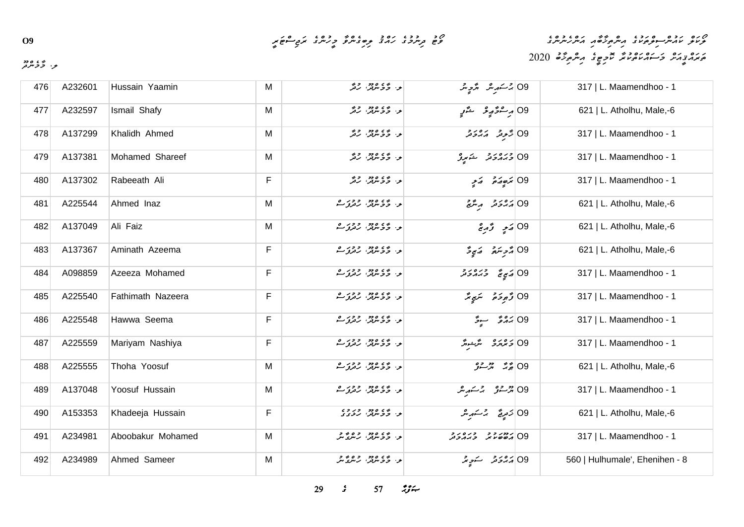*sCw7q7s5w7m< o<n9nOoAw7o< sCq;mAwBoEw7q<m; wBm;vB* م من المرة المرة المرة المرجع المرجع في المركبة 2020<br>مجم*د المريض المربوط المربع المرجع في المراجع المركبة* 

| 476 | A232601 | Hussain Yaamin      | M           | و. ووسرتر، رقر                   | 09  پرستمبر مرگوینگ                                                                                  | 317   L. Maamendhoo - 1        |
|-----|---------|---------------------|-------------|----------------------------------|------------------------------------------------------------------------------------------------------|--------------------------------|
| 477 | A232597 | <b>Ismail Shafy</b> | M           | و گەن ھەر دەر                    | 09 پر شۇرپۇ ھەرپە                                                                                    | 621   L. Atholhu, Male,-6      |
| 478 | A137299 | Khalidh Ahmed       | M           | ى ئەتەرەم دەر                    | 09 دَّىِيْرْ كَمَدْدَنْدْ                                                                            | 317   L. Maamendhoo - 1        |
| 479 | A137381 | Mohamed Shareef     | M           | ى ئەتەرەم دەر                    | 09 كەترى كىرى ئىكەنبەر 3                                                                             | 317   L. Maamendhoo - 1        |
| 480 | A137302 | Rabeeath Ali        | F           | و. گەن ھەر جەش                   | 09 بَرَجِهِ مَهْ مَهْ مِهْ الْمَسْتَفَرَّةِ مِنْ الْمَسْتَفَرَّةِ مِنْ الْمُسْتَفَرَّةِ مِنْ الْمُسْ | 317   L. Maamendhoo - 1        |
| 481 | A225544 | Ahmed Inaz          | м           | و. د د درو. د در د               | 09 كەشكەقىر بەيتىتى                                                                                  | 621   L. Atholhu, Male,-6      |
| 482 | A137049 | Ali Faiz            | M           | و. د د در د در ه                 | 09 کم په رگهرچ                                                                                       | 621   L. Atholhu, Male,-6      |
| 483 | A137367 | Aminath Azeema      | F           | و. د د در د در ه                 | 09 مٌ <i>جِسَعْۃ مَیوَخَّ</i>                                                                        | 621   L. Atholhu, Male,-6      |
| 484 | A098859 | Azeeza Mohamed      | F           | و. گەن ھەدىرى ھ                  | $09$ كَيْبِيحْ وْبَرْدْدْرْ                                                                          | 317   L. Maamendhoo - 1        |
| 485 | A225540 | Fathimath Nazeera   | F           | ى ئۇتەرە دور ق                   | 09 ۇ <sub>ج</sub> وچۇ سىي ئە                                                                         | 317   L. Maamendhoo - 1        |
| 486 | A225548 | Hawwa Seema         | $\mathsf F$ | و. ۇەس روزى                      | 09 ئەبۇ ب                                                                                            | 317   L. Maamendhoo - 1        |
| 487 | A225559 | Mariyam Nashiya     | F           | و. د د در د در ه                 | 09 كەنگەر ئىگە ئىشىدىگە                                                                              | 317   L. Maamendhoo - 1        |
| 488 | A225555 | Thoha Yoosuf        | M           | و. ۇەس ئەرزىق                    | 09 ۾ً پُه چڻ شريح                                                                                    | 621   L. Atholhu, Male,-6      |
| 489 | A137048 | Yoosuf Hussain      | M           | ى ئەمەدە دور ق                   | 09 ټرنے پر جمہ میں                                                                                   | 317   L. Maamendhoo - 1        |
| 490 | A153353 | Khadeeja Hussain    | F           | و. وه ووه وروه<br>و. ووسربر، روړ | 09 كَتَعْرِيقٌ - شُرْسَمْرِ مِسْرً                                                                   | 621   L. Atholhu, Male,-6      |
| 491 | A234981 | Aboobakur Mohamed   | M           | ی وی وه وروپه د                  | 09 גמני כי כי כי כל                                                                                  | 317   L. Maamendhoo - 1        |
| 492 | A234989 | Ahmed Sameer        | M           | و. گەرەپەر رەھ بەر               | 09 كەندى كەر مىكەند                                                                                  | 560   Hulhumale', Ehenihen - 8 |

*29 sC 57 nNw?mS*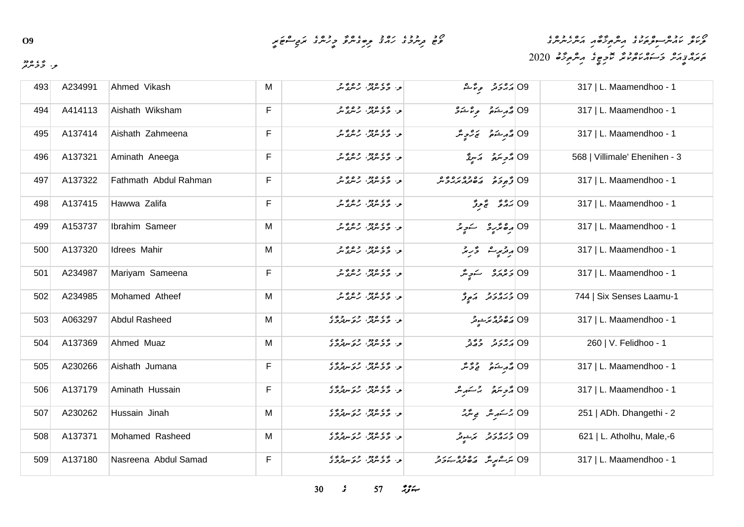*sCw7q7s5w7m< o<n9nOoAw7o< sCq;mAwBoEw7q<m; wBm;vB* م من المرة المرة المرة المرجع المرجع في المركبة 2020<br>مجم*د المريض المربوط المربع المرجع في المراجع المركبة* 

| 493 | A234991 | Ahmed Vikash          | M | و. ووهين رمومبر                            | 09  مەمەكە مەم ئەھ                                  | 317   L. Maamendhoo - 1       |
|-----|---------|-----------------------|---|--------------------------------------------|-----------------------------------------------------|-------------------------------|
| 494 | A414113 | Aishath Wiksham       | F | و. وەھرىق رەھ د                            | $9.42$ مُبْ $\sim$ مِرْ مَدَى                       | 317   L. Maamendhoo - 1       |
| 495 | A137414 | Aishath Zahmeena      | F | و. ووهين رمور                              | 09 مۇم شەمۇر سىم ئىرى بىر                           | 317   L. Maamendhoo - 1       |
| 496 | A137321 | Aminath Aneega        | F | و. گەن ھەر 222 كى                          | 09 مَّ صِنَعَهُ مَسِنَّهُ                           | 568   Villimale' Ehenihen - 3 |
| 497 | A137322 | Fathmath Abdul Rahman | F | و. گەن ھەر جەھ ج                           | 09 توجه حرم مصر مده محمد شر                         | 317   L. Maamendhoo - 1       |
| 498 | A137415 | Hawwa Zalifa          | F | و. گەن ھەر جەھ ج                           | 09 كەشق قى جۇ ق                                     | 317   L. Maamendhoo - 1       |
| 499 | A153737 | Ibrahim Sameer        | M | و. ووجهيز، رحوم و                          | 09 رەمگرىر ئىسكىچىتى                                | 317   L. Maamendhoo - 1       |
| 500 | A137320 | Idrees Mahir          | M | و. گې وو. ژوه د                            | 09 موشر ہوتے ہے تجربتی                              | 317   L. Maamendhoo - 1       |
| 501 | A234987 | Mariyam Sameena       | F | و. گەن ھەر جەھ ج                           | 09 كەندىمى ئىستىرىتىر                               | 317   L. Maamendhoo - 1       |
| 502 | A234985 | Mohamed Atheef        | M | و. وەھەدە دەھ د                            | 09 <i>2225 مُووْ</i>                                | 744   Six Senses Laamu-1      |
| 503 | A063297 | <b>Abdul Rasheed</b>  | M | د. دی ورو. در دد ور<br>د. وگرسههای روسههای | 09 كەھە <i>ترى تەخبىرى</i> ر                        | 317   L. Maamendhoo - 1       |
| 504 | A137369 | Ahmed Muaz            | M | و وه وه در ده د<br>و ووسربر روس در         | 09 كەبر <i>ۇ بىر قەقر</i>                           | 260   V. Felidhoo - 1         |
| 505 | A230266 | Aishath Jumana        | F | و. وه وه در دوه<br>و. وگوشهر، روشههروی     | 09 مَّ مِـ شَعْرِ فَيَحْسَّر                        | 317   L. Maamendhoo - 1       |
| 506 | A137179 | Aminath Hussain       | F | و ووجه وړ ده.<br>د ووسرن روسرن             | 09 مٌحِ سَمَعٌ بِمُ سَمَٰ سِمَّدٍ مِنْ              | 317   L. Maamendhoo - 1       |
| 507 | A230262 | Hussain Jinah         | M | و. و و وړه ور وو ،                         | 09 برڪوپر ۾ سگر                                     | 251   ADh. Dhangethi - 2      |
| 508 | A137371 | Mohamed Rasheed       | M | و وه وه در دوه<br>و ووسربر، روسهروی        | 09  22,23 كەشپەتر                                   | 621   L. Atholhu, Male,-6     |
| 509 | A137180 | Nasreena Abdul Samad  | F | و وه وو در دوه<br>و ووسربر روسهرود         | 09 ىرگ <sub>ىرىم</sub> ىتر ب <sub>ە</sub> رەرە بەرد | 317   L. Maamendhoo - 1       |

*30 sC 57 nNw?mS*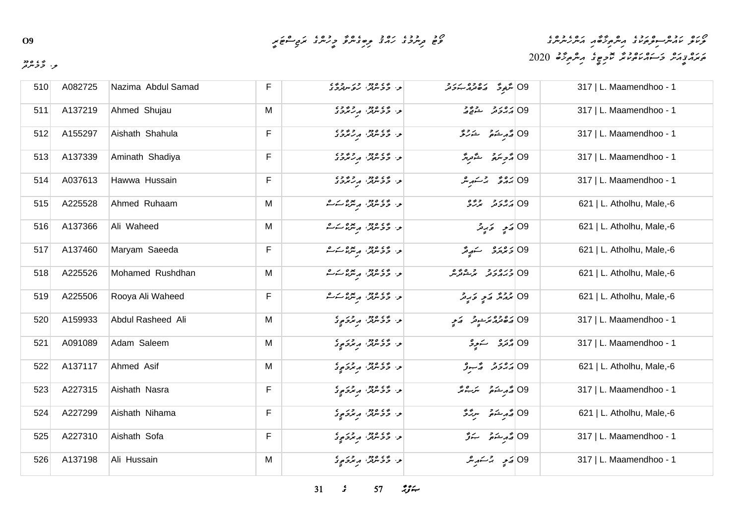*sCw7q7s5w7m< o<n9nOoAw7o< sCq;mAwBoEw7q<m; wBm;vB* م من المرة المرة المرة المرجع المرجع في المركبة 2020<br>مجم*د المريض المربوط المربع المرجع في المراجع المركبة* 

| 510 | A082725 | Nazima Abdul Samad | F           | و کام ورو در دور<br>د گاه سرگرا گاه سرگروی | 09 ئىنجۇ ھەقىدىسكە ئىر                         | 317   L. Maamendhoo - 1   |
|-----|---------|--------------------|-------------|--------------------------------------------|------------------------------------------------|---------------------------|
| 511 | A137219 | Ahmed Shujau       | M           | و. 3000 مرحود                              | 09 كەبرى ھىر ئىشقى ھە                          | 317   L. Maamendhoo - 1   |
| 512 | A155297 | Aishath Shahula    | F           | و. ۱۶۵۶ مرد دور                            | 09 كەرىشە ئىسىمىتىگە                           | 317   L. Maamendhoo - 1   |
| 513 | A137339 | Aminath Shadiya    | $\mathsf F$ | والمحتج والملح والمحروري                   | 09 گەجەتتىھ شەمرىگە                            | 317   L. Maamendhoo - 1   |
| 514 | A037613 | Hawwa Hussain      | F           | و. 3000 مرجود                              | 09 كەشرق بەسكىرىش                              | 317   L. Maamendhoo - 1   |
| 515 | A225528 | Ahmed Ruhaam       | M           | و گەنگەن مەردىكە                           | 09 كەندى كەندى بورى                            | 621   L. Atholhu, Male,-6 |
| 516 | A137366 | Ali Waheed         | M           | و گەندىق مەردە ئەگ                         | 09 ھَ جِس - حَ بِي حَمْ                        | 621   L. Atholhu, Male,-6 |
| 517 | A137460 | Maryam Saeeda      | $\mathsf F$ | و گرگوری متر است                           | 09 كەندىرى سىھەتىر                             | 621   L. Atholhu, Male,-6 |
| 518 | A225526 | Mohamed Rushdhan   | M           | و گەندىق مىزلاشك                           | 09 دېرم د ته مرشومگرمل                         | 621   L. Atholhu, Male,-6 |
| 519 | A225506 | Rooya Ali Waheed   | $\mathsf F$ | و گەندىق مىزلاشك                           | 09 بُرْبُرْبَرٌ   يَرْمٍ   يَرْبِرْ            | 621   L. Atholhu, Male,-6 |
| 520 | A159933 | Abdul Rasheed Ali  | M           | و. ووهين مترومو                            | $\sim$ 25 مَرْدٌ مَرْشِيدَ - مَرْمِرِ - $\sim$ | 317   L. Maamendhoo - 1   |
| 521 | A091089 | Adam Saleem        | M           | و. 3000 مرکز دی                            | 09   گەنىۋە سىمبور                             | 317   L. Maamendhoo - 1   |
| 522 | A137117 | Ahmed Asif         | M           | و گوهن مترومي                              | 09 كەشقەقلىر ئەسىر                             | 621   L. Atholhu, Male,-6 |
| 523 | A227315 | Aishath Nasra      | F           | و کا کاروی مرکز کار کا                     | 09 مُ مِسْدَمْ سَرَسْدْمُرٌ                    | 317   L. Maamendhoo - 1   |
| 524 | A227299 | Aishath Nihama     | $\mathsf F$ | و. د ده ده مرکزه د                         | 09 م <i>ۇم شۇمۇ</i> س <i>رىڭ</i> ۇ             | 621   L. Atholhu, Male,-6 |
| 525 | A227310 | Aishath Sofa       | $\mathsf F$ | و. د ده ده د د د د                         | 09 م <sup>ح</sup> مرشم محمد مستوفر             | 317   L. Maamendhoo - 1   |
| 526 | A137198 | Ali Hussain        | M           | و. ڈوسربی پر پروپر ع                       | 09 كەيپ - يرىسكوپىر                            | 317   L. Maamendhoo - 1   |

**31** *s* **57** *n***<sub>s</sub>**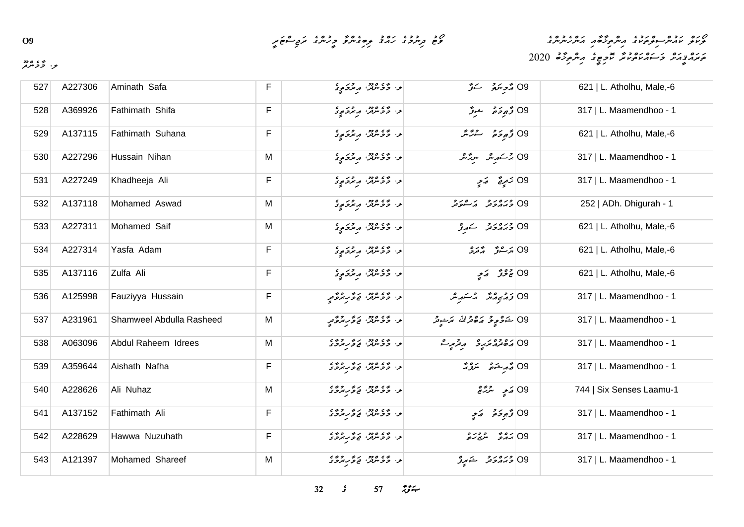*sCw7q7s5w7m< o<n9nOoAw7o< sCq;mAwBoEw7q<m; wBm;vB* م من المرة المرة المرة المرجع المرجع في المركبة 2020<br>مجم*د المريض المربوط المربع المرجع في المراجع المركبة* 

| 527 | A227306 | Aminath Safa             | F           | د. د دوره مرکزه د     | 09 أَمَّ مِ سَمَّةٌ مَسَنَّةٌ              | 621   L. Atholhu, Male,-6 |
|-----|---------|--------------------------|-------------|-----------------------|--------------------------------------------|---------------------------|
| 528 | A369926 | Fathimath Shifa          | F           | و. ووهين متروم و      | 09 <i>وُّجِودَة</i> شِعْرً                 | 317   L. Maamendhoo - 1   |
| 529 | A137115 | Fathimath Suhana         | F           | و. د ده ده مرکز د د   | 09 ۇ <sub>ج</sub> ودۇ ش <sup>ې</sup> رىتىر | 621   L. Atholhu, Male,-6 |
| 530 | A227296 | Hussain Nihan            | M           | و. د د د د د د د د    | 09 بُرْسَهِ بِعْدِ سِرَنَهْدِ              | 317   L. Maamendhoo - 1   |
| 531 | A227249 | Khadheeja Ali            | F           | و. ووصرفر، مربرومور   | 09   دَمِيعٌ – مَ مٍ                       | 317   L. Maamendhoo - 1   |
| 532 | A137118 | Mohamed Aswad            | M           | و. ووصرفر، مربرومور   | 09 دېږدونه پر عامرو                        | 252   ADh. Dhigurah - 1   |
| 533 | A227311 | Mohamed Saif             | M           | د گروهندي مرگروي      | 09 ۇيرو ئەر سەر ئى                         | 621   L. Atholhu, Male,-6 |
| 534 | A227314 | Yasfa Adam               | F           | و. د ده ده مرکز وی    | 09 پُرَےوَّ گَرَمَرَّ                      | 621   L. Atholhu, Male,-6 |
| 535 | A137116 | Zulfa Ali                | F           | و. د د در بر د د د    | 09 ج تحرَّز کا م <sub>ج</sub> رِ           | 621   L. Atholhu, Male,-6 |
| 536 | A125998 | Fauziyya Hussain         | F           | و. د د ود ن و ر د وير | 09 زَرۡعِ مِنۡ مِنۡ مِسۡمَدِینَ            | 317   L. Maamendhoo - 1   |
| 537 | A231961 | Shamweel Abdulla Rasheed | M           | و. ووهين في مريد وو   | 09 ڪوي چڏھ ھارالله مرحومر                  | 317   L. Maamendhoo - 1   |
| 538 | A063096 | Abdul Raheem Idrees      | M           | و می وجود دی دول      | 09 كەھەركەتكەر قىرىرىشى بىر                | 317   L. Maamendhoo - 1   |
| 539 | A359644 | Aishath Nafha            | $\mathsf F$ | و محومه ده دوه        | 09 مەم شىم سىرتىگە                         | 317   L. Maamendhoo - 1   |
| 540 | A228626 | Ali Nuhaz                | M           | و می وجود د مرده      | 09 کھ پہ سرگرمی                            | 744   Six Senses Laamu-1  |
| 541 | A137152 | Fathimath Ali            | $\mathsf F$ | و می وجود دی دول      | 09 ڙ <sub>يجو</sub> حَقي صَمِي             | 317   L. Maamendhoo - 1   |
| 542 | A228629 | Hawwa Nuzuhath           | F           | و می وجود دی دول      | 09 كەشۇ شى ئە                              | 317   L. Maamendhoo - 1   |
| 543 | A121397 | Mohamed Shareef          | M           | و می وجود دی دول      | 09  32,25 شَمَيِرْ                         | 317   L. Maamendhoo - 1   |

**32** *s* **57** *z***<sub>***f***</sub>**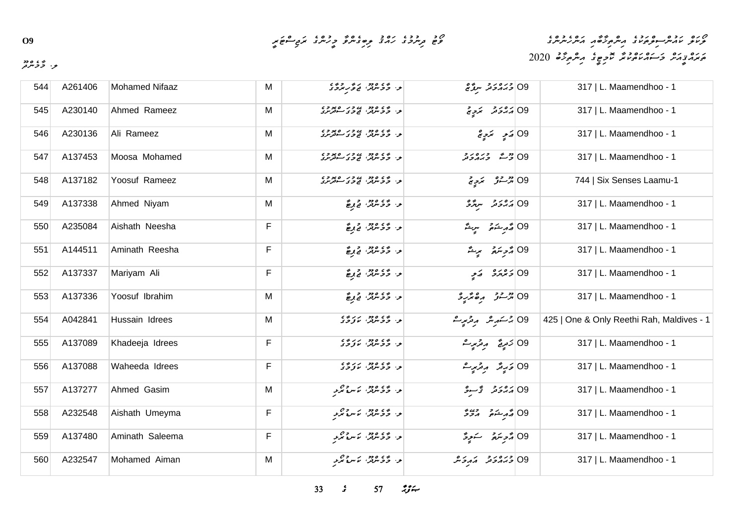*sCw7q7s5w7m< o<n9nOoAw7o< sCq;mAwBoEw7q<m; wBm;vB* م من المرة المرة المرة المرجع المرجع في المركبة 2020<br>مجم*د المريض المربوط المربع المرجع في المراجع المركبة* 

| 544 | A261406 | <b>Mohamed Nifaaz</b> | м           | و گروه ده ده دوه                                    | 09  5 ئەزدى ئىرومىتى ئى        | 317   L. Maamendhoo - 1                   |
|-----|---------|-----------------------|-------------|-----------------------------------------------------|--------------------------------|-------------------------------------------|
| 545 | A230140 | Ahmed Rameez          | M           | و وه وه در ورود ور<br>و ووس تر قاوی ساترس           | 09 كەشكەقىر - ئىكرىپى          | 317   L. Maamendhoo - 1                   |
| 546 | A230136 | Ali Rameez            | M           | و دی وجود دی در او دور<br>او در گرمزانی افزار کارگر | 09 ھَ پہ سَرِي                 | 317   L. Maamendhoo - 1                   |
| 547 | A137453 | Moosa Mohamed         | M           | و په ووه په در میروه<br>و ووس                       | 09 تۇنئە ئەيرە ئەر             | 317   L. Maamendhoo - 1                   |
| 548 | A137182 | Yoosuf Rameez         | M           | و وه وه ده در ویروه<br>و ووس تر توری سنترس          | 09 تېر يىق ئىمرچ تى            | 744   Six Senses Laamu-1                  |
| 549 | A137338 | Ahmed Niyam           | M           | والمحوضون في والحج                                  | 09 كەندى كەر سىرىگە            | 317   L. Maamendhoo - 1                   |
| 550 | A235084 | Aishath Neesha        | F           | والمحوضون في والحج                                  | 09 مُرشَو سِيدً                | 317   L. Maamendhoo - 1                   |
| 551 | A144511 | Aminath Reesha        | $\mathsf F$ | والمحومون وبمجابي                                   | 09 أُمُّ صِنْعُو سَمِيشَّة     | 317   L. Maamendhoo - 1                   |
| 552 | A137337 | Mariyam Ali           | F           | والمحوضون في والحج                                  | 09 كەنگەنىۋە كەبچە             | 317   L. Maamendhoo - 1                   |
| 553 | A137336 | Yoosuf Ibrahim        | M           | والمحوصوص في وقع                                    | 09 ترتے و مٹاپری               | 317   L. Maamendhoo - 1                   |
| 554 | A042841 | Hussain Idrees        | M           | و. وەھەدىر دىر                                      | 09 پر شہر مر مریز ہے۔          | 425   One & Only Reethi Rah, Maldives - 1 |
| 555 | A137089 | Khadeeja Idrees       | F           | و. وەھەدىر دىر                                      | 09 كَسِيعٌ مِثْرَمِيٍّــْ ْ    | 317   L. Maamendhoo - 1                   |
| 556 | A137088 | Waheeda Idrees        | F           | و. گې ووه، کورون                                    | 09 كۈيەتتە بەيئە يېتىشە        | 317   L. Maamendhoo - 1                   |
| 557 | A137277 | Ahmed Gasim           | M           | والمحتج وودا كالساوحي                               | 09 كەندى قۇسىۋ                 | 317   L. Maamendhoo - 1                   |
| 558 | A232548 | Aishath Umeyma        | F           | والمحصوص كالساوح                                    | $552$ مَجْمَعَتْ مَرْدَدَّ     | 317   L. Maamendhoo - 1                   |
| 559 | A137480 | Aminath Saleema       | F           | و گەرەپى ئەسەمب                                     | 09 أُمُّ حِسَنَةٌ مُسَبَّحِيقٌ | 317   L. Maamendhoo - 1                   |
| 560 | A232547 | Mohamed Aiman         | M           | والمحصوص كالساوح                                    | 09   جزیر برقر از کرد بر شر    | 317   L. Maamendhoo - 1                   |

**33** *s* **57** *z***<sub>***s***</sub>**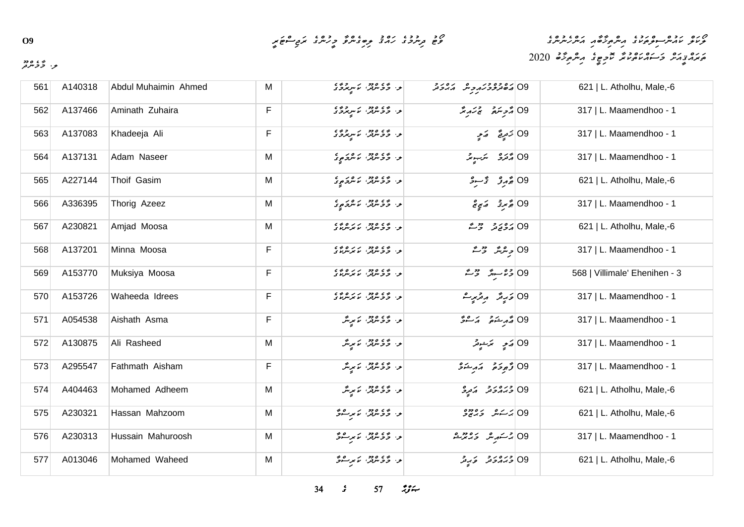*sCw7q7s5w7m< o<n9nOoAw7o< sCq;mAwBoEw7q<m; wBm;vB* م من المرة المرة المرة المرجع المرجع في المركبة 2020<br>مجم*د المريض المربوط المربع المرجع في المراجع المركبة* 

| 561 | A140318 | Abdul Muhaimin Ahmed | M | د. د دور نمبربرد د          | 09 كەھىر بۇ جۇ ئەر ئەر ئەر ئايرىد                                                   | 621   L. Atholhu, Male,-6     |
|-----|---------|----------------------|---|-----------------------------|-------------------------------------------------------------------------------------|-------------------------------|
| 562 | A137466 | Aminath Zuhaira      | F | و. ۶۵۰۰ متر دو،             | 09 مٌحِ سَمَعٌ تَجْسَمِهِ مَّ                                                       | 317   L. Maamendhoo - 1       |
| 563 | A137083 | Khadeeja Ali         | F | و. گەن ەەد بەيدۇر           | 09 كَسٍعٌ - مَدِّجٍ                                                                 | 317   L. Maamendhoo - 1       |
| 564 | A137131 | Adam Naseer          | M | و. د و وه پرور پ            | 09 مُحَمَّدٌ سَنَبِيمٌ                                                              | 317   L. Maamendhoo - 1       |
| 565 | A227144 | Thoif Gasim          | M | و. ووسربر، لاسرونوی         | 09 عُمْرِ وَ سَنْ سِنْحَ                                                            | 621   L. Atholhu, Male,-6     |
| 566 | A336395 | Thorig Azeez         | M | و. دماه ده کامل دمانی       | $\mathcal{E}$ ۾ُ سِرَتَر ڪَ جِي                                                     | 317   L. Maamendhoo - 1       |
| 567 | A230821 | Amjad Moosa          | M | و وه دره ود در ده.<br>و ووس | $23.550$ $09$                                                                       | 621   L. Atholhu, Male,-6     |
| 568 | A137201 | Minna Moosa          | F | و. دمی دور در ده ده.        | 09 د ندند ژبخته                                                                     | 317   L. Maamendhoo - 1       |
| 569 | A153770 | Muksiya Moosa        | F | و. دمی دور در ده ده.        | 09 ديم ستر ترمشم                                                                    | 568   Villimale' Ehenihen - 3 |
| 570 | A153726 | Waheeda Idrees       | F | و. دمی دور در ده ده.        | 09 كۈيەتتە بويۇرېيەشق                                                               | 317   L. Maamendhoo - 1       |
| 571 | A054538 | Aishath Asma         | F | و گەۋەھەر ئىرىگە            | 09 گەرىشكى كەشگە                                                                    | 317   L. Maamendhoo - 1       |
| 572 | A130875 | Ali Rasheed          | M | ى ئۇق ھەر ئايرىگ            | 09 کھ پر مخرشونڈ                                                                    | 317   L. Maamendhoo - 1       |
| 573 | A295547 | Fathmath Aisham      | F | و- 35 مۇش ئايرىگ            | 09 زٌموِدَة سَرِسَدَدْ                                                              | 317   L. Maamendhoo - 1       |
| 574 | A404463 | Mohamed Adheem       | M | و- 3000 كېږىنگ              | 09  32,35 كەيرۇ                                                                     | 621   L. Atholhu, Male,-6     |
| 575 | A230321 | Hassan Mahzoom       | M | و گەرەپى ئەرھۇ              | 09 ئەسىر ئەمدىن ج                                                                   | 621   L. Atholhu, Male,-6     |
| 576 | A230313 | Hussain Mahuroosh    | M | و گەمەن ئەرگە               | 09 يُرْسَمْرِ مَثْرَ بِرْمِيْرِ شَفْرَ الْمُسْتَقْرِ بِهِ مُسْتَقْرِ بِهِ مُسْتَقِي | 317   L. Maamendhoo - 1       |
| 577 | A013046 | Mohamed Waheed       | M | و کامان میں دی              | 09  32,35 كەبەتر                                                                    | 621   L. Atholhu, Male,-6     |

**34** *s* **57** *z***<sub>***s***</sub><sup>c</sup>**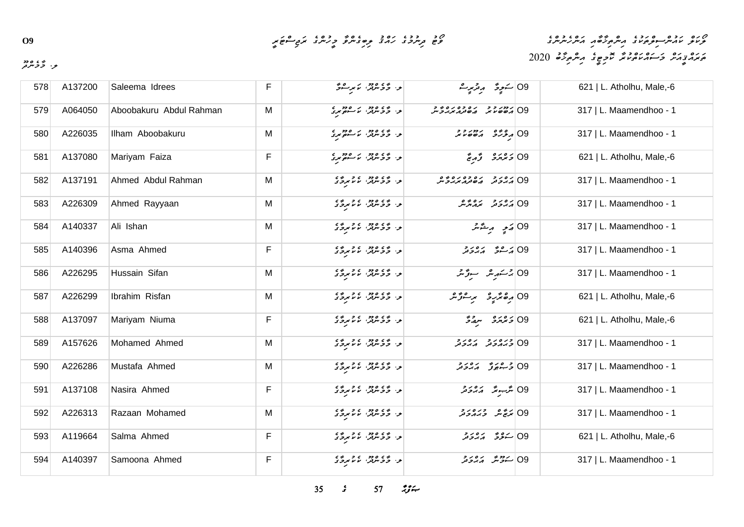*sCw7q7s5w7m< o<n9nOoAw7o< sCq;mAwBoEw7q<m; wBm;vB* م من المرة المرة المرة المرجع المرجع في المركبة 2020<br>مجم*د المريض المربوط المربع المرجع في المراجع المركبة* 

| 578 | A137200 | Saleema Idrees          | F | و- 35 مەيل، ئامرىسى      | 09  سەرچۇ بوتۇرىيە                    | 621   L. Atholhu, Male,-6 |
|-----|---------|-------------------------|---|--------------------------|---------------------------------------|---------------------------|
| 579 | A064050 | Aboobakuru Abdul Rahman | M | و. صحيح ميرو. م سعوم مرد | 09 / 2222 2222 09                     | 317   L. Maamendhoo - 1   |
| 580 | A226035 | Ilham Aboobakuru        | M | و ده ود د وده د ود       | $22222$ $2232$                        | 317   L. Maamendhoo - 1   |
| 581 | A137080 | Mariyam Faiza           | F | و. صحيح صور عاصو مرد     | 09 كەنگەر ئۇرىتى                      | 621   L. Atholhu, Male,-6 |
| 582 | A137191 | Ahmed Abdul Rahman      | M | و. ووسربن الماليون       | 09 كەبەر بەرە مەمدە بور               | 317   L. Maamendhoo - 1   |
| 583 | A226309 | Ahmed Rayyaan           | M | و. ووسيس ماء دور         | 09 كەبروتر ئىركەتگە                   | 317   L. Maamendhoo - 1   |
| 584 | A140337 | Ali Ishan               | M | و. ووسربو ، و و و ،      | 09 کیمو پیشمر                         | 317   L. Maamendhoo - 1   |
| 585 | A140396 | Asma Ahmed              | F | و گرس ده و د ده          | 09 كەشق كەيمەد تەر                    | 317   L. Maamendhoo - 1   |
| 586 | A226295 | Hussain Sifan           | M | و. ووهير، الماليون       | 09  پرستمبر سورمنگ                    | 317   L. Maamendhoo - 1   |
| 587 | A226299 | Ibrahim Risfan          | M | و. ووسيس ماء دور         | 09 مەھەر يەر يەر ئەرگە                | 621   L. Atholhu, Male,-6 |
| 588 | A137097 | Mariyam Niuma           | F | والمحمومين الملاحدة      | 09 كەممىر ئاسمىگە ئىس                 | 621   L. Atholhu, Male,-6 |
| 589 | A157626 | Mohamed Ahmed           | M | و. ووسيس ماء دور         | 09 ديرورو برور د                      | 317   L. Maamendhoo - 1   |
| 590 | A226286 | Mustafa Ahmed           | M | و. ووسيس ماء دور         | 09 ۇببۇ ئەر ئەرە                      | 317   L. Maamendhoo - 1   |
| 591 | A137108 | Nasira Ahmed            | F | و. ووردون الماليون       | 09 مَّرْسِومَّد - <i>مَ</i> كْرَدَمْر | 317   L. Maamendhoo - 1   |
| 592 | A226313 | Razaan Mohamed          | M | و گرس ده و د ده          | 09 كَرَيَّ شَرِ جَرَ جَرْ جَرْ        | 317   L. Maamendhoo - 1   |
| 593 | A119664 | Salma Ahmed             | F | و. ووهير، مالابروي       | 09 كەنزۇ كەبرۇتر                      | 621   L. Atholhu, Male,-6 |
| 594 | A140397 | Samoona Ahmed           | F | و. و و ده د و و د        | 09 كەۋش مەردىر                        | 317   L. Maamendhoo - 1   |

**35** *s* **57** *n***<sub>y</sub> <b>***n*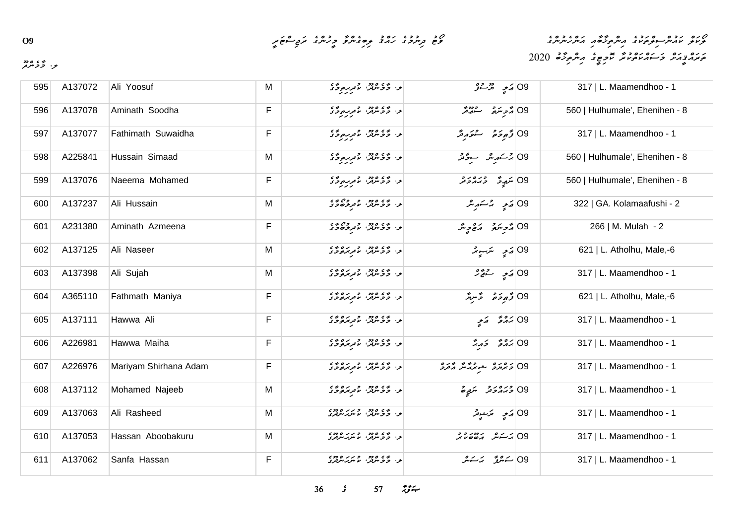*sCw7q7s5w7m< o<n9nOoAw7o< sCq;mAwBoEw7q<m; wBm;vB* م من المرة المرة المرة المرجع المرجع في المركبة 2020<br>مجم*د المريض المربوط المربع المرجع في المراجع المركبة* 

| 595 | A137072 | Ali Yoosuf            | M           | و گرگور وربروگ                                | 09 کھ پر چھر شرقو                          | 317   L. Maamendhoo - 1        |
|-----|---------|-----------------------|-------------|-----------------------------------------------|--------------------------------------------|--------------------------------|
| 596 | A137078 | Aminath Soodha        | F           | و. د وه و وربه د و                            | 09 أُمُّحِ مَنْهُمْ مُسْتَمَرٌ مُنْ        | 560   Hulhumale', Ehenihen - 8 |
| 597 | A137077 | Fathimath Suwaidha    | F           | و. د د ود د د د د د                           | 09 زَّەپرىق سىھَ مەمَد                     | 317   L. Maamendhoo - 1        |
| 598 | A225841 | Hussain Simaad        | M           | و. ۵۶۵ وو.<br>د. و و سربل، ماتور مورد         | 09 پرسے ہو سوگ تر                          | 560   Hulhumale', Ehenihen - 8 |
| 599 | A137076 | Naeema Mohamed        | F           | و گوسربر، نورپوژی                             | 09 ~ سَمِيعٌ = 2 دُمَرْدَ مَرْ             | 560   Hulhumale', Ehenihen - 8 |
| 600 | A137237 | Ali Hussain           | M           | و وه وه وروه و                                | 09 كەيپ - يەسىر شەر                        | 322   GA. Kolamaafushi - 2     |
| 601 | A231380 | Aminath Azmeena       | F           | و. د و ده و ده و د د                          | 09 أُمُّحِ سَمَّعَ مَنْ جِسَّر             | 266   M. Mulah - 2             |
| 602 | A137125 | Ali Naseer            | M           | و. د وه د وره و د                             | 09 كەي سىبولىم                             | 621   L. Atholhu, Male,-6      |
| 603 | A137398 | Ali Sujah             | M           | و. د ه دور و بره د د                          | 09 ھَ۔ جو سُمَعَ مُ                        | 317   L. Maamendhoo - 1        |
| 604 | A365110 | Fathmath Maniya       | F           | و. و و ده و ده و ده.<br>د و وسربر، مامربروو د | 09 زٌموِدَمْ دَّسِرَّ                      | 621   L. Atholhu, Male,-6      |
| 605 | A137111 | Hawwa Ali             | F           | و وه و د ده و ده.<br>د گرسهن متربرگوری        | 09 يَرْدُوَّ - مَ يَحْ                     | 317   L. Maamendhoo - 1        |
| 606 | A226981 | Hawwa Maiha           | F           | و. د وه د وروه و .                            | 09 كەم قىمىدىگە                            | 317   L. Maamendhoo - 1        |
| 607 | A226976 | Mariyam Shirhana Adam | $\mathsf F$ | و. د و و و د ه د و د                          | 09 كەشەر ئەسىر ئەسىر ئەسىر ئەسىر ئاسىر ئاس | 317   L. Maamendhoo - 1        |
| 608 | A137112 | Mohamed Najeeb        | M           | و. د وه د وروه و .                            | 09  32,35 كمبي صحيح                        | 317   L. Maamendhoo - 1        |
| 609 | A137063 | Ali Rasheed           | M           | ه ده ود ورد وده<br>د گروهرنس میرستردی         | 09 كەيپ - ئىرىشوش                          | 317   L. Maamendhoo - 1        |
| 610 | A137053 | Hassan Aboobakuru     | M           | و وه ور در دود .<br>د گرسرتر، باس سرتری       | $22222$ $-220$                             | 317   L. Maamendhoo - 1        |
| 611 | A137062 | Sanfa Hassan          | F           | د ده وده و در دوده<br>د و و سربر، پاسربرسربرد | 09  سىرىق برسىسى                           | 317   L. Maamendhoo - 1        |

**36** *s* **57** *z***<sub>***s***</sub>**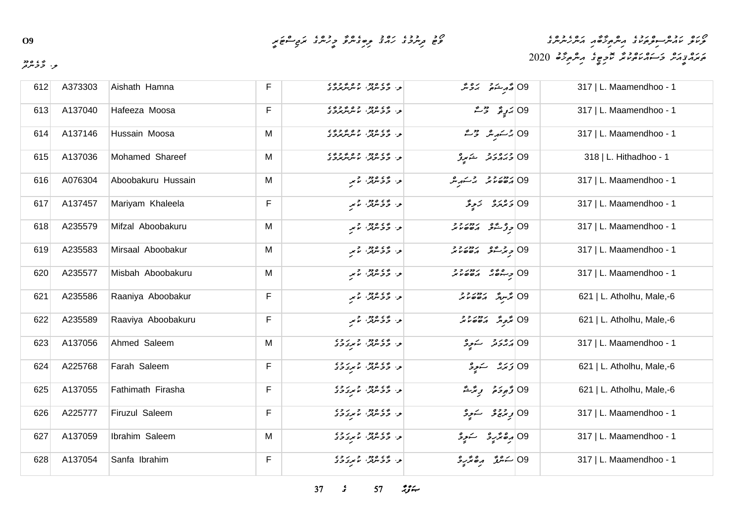*sCw7q7s5w7m< o<n9nOoAw7o< sCq;mAwBoEw7q<m; wBm;vB* م من المرة المرة المرة المرجع المرجع في المركبة 2020<br>مجم*د المريض المربوط المربع المرجع في المراجع المركبة* 

| 612 | A373303 | Aishath Hamna      | F           | و وه ده ده وه ده د<br>و ووسربر ناسرسرپرور | 09 \$رىشقى ئەۋىگر         | 317   L. Maamendhoo - 1   |
|-----|---------|--------------------|-------------|-------------------------------------------|---------------------------|---------------------------|
| 613 | A137040 | Hafeeza Moosa      | F           | و. وه وه وه ووه                           | 09 كىرىقى قۇمىگە          | 317   L. Maamendhoo - 1   |
| 614 | A137146 | Hussain Moosa      | M           | و. وه وه وه ووه و                         | 09 ير شهر مثر محرث        | 317   L. Maamendhoo - 1   |
| 615 | A137036 | Mohamed Shareef    | M           | د ده ود ده دده<br>د ووسهر، مسهر درد       | 09 كەترى كىرى ئىكەنبىر ئى | 318   L. Hithadhoo - 1    |
| 616 | A076304 | Aboobakuru Hussain | M           | والمحوضوض الأمر                           |                           | 317   L. Maamendhoo - 1   |
| 617 | A137457 | Mariyam Khaleela   | F           | والمحوضوض الأمر                           | 09 5 يۇپۇ ئىچۇ            | 317   L. Maamendhoo - 1   |
| 618 | A235579 | Mifzal Aboobakuru  | M           | ى ئەرەپى ئەر                              | 09 دۇشگۇ مەھەملىر         | 317   L. Maamendhoo - 1   |
| 619 | A235583 | Mirsaal Aboobakur  | M           | والمحوشون الأمر                           | 09 دېرگو ره ده د          | 317   L. Maamendhoo - 1   |
| 620 | A235577 | Misbah Aboobakuru  | M           | والمحوشون الأمر                           | 222222222000              | 317   L. Maamendhoo - 1   |
| 621 | A235586 | Raaniya Aboobakur  | F           | والمحوضوض الأمر                           | $2222$ $-200$             | 621   L. Atholhu, Male,-6 |
| 622 | A235589 | Raaviya Aboobakuru | $\mathsf F$ | والمحوضوض الأمر                           | $22222$ $209$             | 621   L. Atholhu, Male,-6 |
| 623 | A137056 | Ahmed Saleem       | M           | و. ووهين لايرده                           | 09   پروژنز    سکوی    90 | 317   L. Maamendhoo - 1   |
| 624 | A225768 | Farah Saleem       | F           | و گاه ده درده                             | 09 تۇتتە سىمبرۇ           | 621   L. Atholhu, Male,-6 |
| 625 | A137055 | Fathimath Firasha  | F           | و. ووهين لايردوه                          | 09 ژَّجِرَۃُ رِبَّنَۃُ    | 621   L. Atholhu, Male,-6 |
| 626 | A225777 | Firuzul Saleem     | F           | و گاه دو د د ده.<br>د گاه سربل مامرد و د  | 09 دِ پُرچ ئې سَکو دِ کا  | 317   L. Maamendhoo - 1   |
| 627 | A137059 | Ibrahim Saleem     | M           | و. ووهين لايرده                           | 09  مەھ ئۇر ئە سىمبور     | 317   L. Maamendhoo - 1   |
| 628 | A137054 | Sanfa Ibrahim      | F           | و. ووهين المعروف                          | 09 سَمَعَدٌ مِنْ مِرْدِدْ | 317   L. Maamendhoo - 1   |

*37 sC 57 nNw?mS*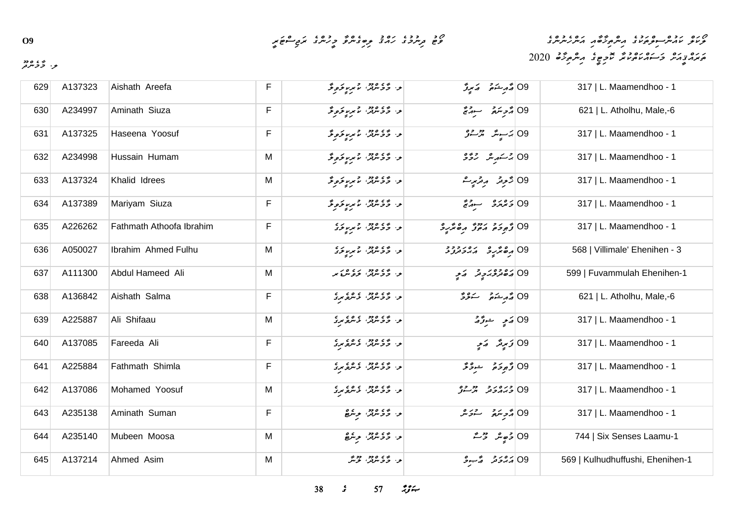*sCw7q7s5w7m< o<n9nOoAw7o< sCq;mAwBoEw7q<m; wBm;vB* م من المرة المرة المرة المرجع المرجع في المركبة 2020<br>مجم*د المريض المربوط المربع المرجع في المراجع المركبة* 

| 629 | A137323 | Aishath Areefa           | $\mathsf F$  | ا د. د د دون تا پرېد زه د              | 09 <i>مُگهِ شَهُوٌ م</i> ُگهِرَّدٌ | 317   L. Maamendhoo - 1          |
|-----|---------|--------------------------|--------------|----------------------------------------|------------------------------------|----------------------------------|
| 630 | A234997 | Aminath Siuza            | $\mathsf{F}$ | و کارود در در نورگ                     | 09 أُمُّحِ سَمَّعَ مِسْتَمَّمَّ    | 621   L. Atholhu, Male,-6        |
| 631 | A137325 | Haseena Yoosuf           | $\mathsf F$  | و ژومونز، نامرىدۇرۇ                    | 09 كەسپەنتىر تېزىشتۇ               | 317   L. Maamendhoo - 1          |
| 632 | A234998 | Hussain Humam            | M            | و. وه دوه الممر و کمرو گر              | 09 يُرْسَمَ بِهِ رَبَّحَرَّ وَ     | 317   L. Maamendhoo - 1          |
| 633 | A137324 | Khalid Idrees            | M            | و کارود در در کاروگر                   | 09 رَّحِة مِتْرَمِيْتْ             | 317   L. Maamendhoo - 1          |
| 634 | A137389 | Mariyam Siuza            | F            |                                        | 09 كەممەر ئەسىر ئىچ                | 317   L. Maamendhoo - 1          |
| 635 | A226262 | Fathmath Athoofa Ibrahim | $\mathsf F$  | و گەن ھەدە جىرىدى                      | 09 زٌمودَ وَ رُوژٌ و هُ تَرْبِهْ   | 317   L. Maamendhoo - 1          |
| 636 | A050027 | Ibrahim Ahmed Fulhu      | M            | ك محوض المميز محمد                     | 09 مەھەر بەر مەدەمدىن              | 568   Villimale' Ehenihen - 3    |
| 637 | A111300 | Abdul Hameed Ali         | M            | والمحصوص كمقامي                        | 09 كەھىرى تەرىپە تەرىپە            | 599   Fuvammulah Ehenihen-1      |
| 638 | A136842 | Aishath Salma            | $\mathsf F$  | و. وه وه وه وه و و.<br>و. ووسرس وسرونو | 09 مەم ئىشقى سىۋۇ                  | 621   L. Atholhu, Male,-6        |
| 639 | A225887 | Ali Shifaau              | M            | و. وه وه وه وه و و                     | 09 كەمچە سىبۇگە                    | 317   L. Maamendhoo - 1          |
| 640 | A137085 | Fareeda Ali              | $\mathsf{F}$ | و. ووسرس وسروبر                        | 09 تۇمپەتر كەمچ                    | 317   L. Maamendhoo - 1          |
| 641 | A225884 | Fathmath Shimla          | $\mathsf F$  | و. وه وه وه وه و و.<br>و. ووسرس وسرونو | 09 زًەپرىق سورىمۇ                  | 317   L. Maamendhoo - 1          |
| 642 | A137086 | Mohamed Yoosuf           | M            | و. وه وه وه وه و و                     | 09 <i>ۋېرو دو موسو</i>             | 317   L. Maamendhoo - 1          |
| 643 | A235138 | Aminath Suman            | F            | والمحرك وتكفي وتكفي                    | 09 أُمُّ حِبَّرَةٌ مُسْتَخَبَّرُ   | 317   L. Maamendhoo - 1          |
| 644 | A235140 | Mubeen Moosa             | M            | والمحوضرين لمحاشي                      | 09 ۇھ بىر بىلىشىشى بىل             | 744   Six Senses Laamu-1         |
| 645 | A137214 | Ahmed Asim               | M            | و. ووهيو. دونو                         | 09 كەندى قەسىد                     | 569   Kulhudhuffushi, Ehenihen-1 |

**38** *s* **57** *n***<sub>y</sub> <b>***n*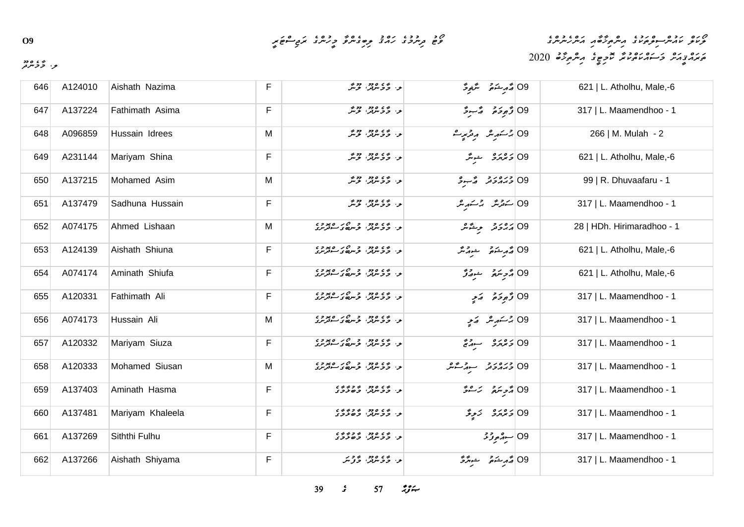*sCw7q7s5w7m< o<n9nOoAw7o< sCq;mAwBoEw7q<m; wBm;vB* م من المرة المرة المرة المرجع المرجع في المركبة 2020<br>مجم*د المريض المربوط المربع المرجع في المراجع المركبة* 

| 646 | A124010 | Aishath Nazima   | F | ى ئەرەپىي دەپر                                                     | 09 <i>مُگهِ شَهْءٍ مُ</i> گهِ مَحَّ       | 621   L. Atholhu, Male,-6  |
|-----|---------|------------------|---|--------------------------------------------------------------------|-------------------------------------------|----------------------------|
| 647 | A137224 | Fathimath Asima  | F | ى ئەرەپە دەپر                                                      | 09 ۇ <sub>ج</sub> وڭ قەسىرۇ               | 317   L. Maamendhoo - 1    |
| 648 | A096859 | Hussain Idrees   | M | و. دی ور دور                                                       | 09  جرشرشر پر مرتبریشر                    | 266   M. Mulah - 2         |
| 649 | A231144 | Mariyam Shina    | F | ى ئەرەپە بولۇ                                                      | 09 كەمجەيزى ھېدىگە                        | 621   L. Atholhu, Male,-6  |
| 650 | A137215 | Mohamed Asim     | M | و. ووهيو. دونو                                                     | $3 - 2 - 2 - 109$                         | 99   R. Dhuvaafaru - 1     |
| 651 | A137479 | Sadhuna Hussain  | F | و. دی ور دور                                                       | 09  سەقەتىر - جەسىمەتىر                   | 317   L. Maamendhoo - 1    |
| 652 | A074175 | Ahmed Lishaan    | M | و دی وجود و در در ورد و د<br>در در ورسربل، نوسهای سوترس            | 09  كەبۇ ئۇسىمىسى بەستىلىر                | 28   HDh. Hirimaradhoo - 1 |
| 653 | A124139 | Aishath Shiuna   | F | و دی وجود و در در ورد و د<br>در در ورسربل، نوسهای سوترس            | 09 مُ مِسْدَمُو سُبِمْ مُدَّ              | 621   L. Atholhu, Male,-6  |
| 654 | A074174 | Aminath Shiufa   | F | و د وه د ه د د د د و د د د و د و د و د ا                           | 09 مَّ حِبِّ مَعْدَمَ مَّ حَبَّدَةَ مِّ   | 621   L. Atholhu, Male,-6  |
| 655 | A120331 | Fathimath Ali    | F | و د ور ده د د ده د د ده د د د<br>و د ور سرټر، نوسهه کاستورنړۍ      | 09 ڙ <sub>يجو</sub> حرح <sub>صَ</sub> حِي | 317   L. Maamendhoo - 1    |
| 656 | A074173 | Hussain Ali      | M | و د وه ده د ده د ه پر و د و د<br>د د و د سرتر، نوسهه د سامبرس      | 09 ير شهر مه پر                           | 317   L. Maamendhoo - 1    |
| 657 | A120332 | Mariyam Siuza    | F | و. ۱۶۵ وو. د حسن ده د ده د د و د<br>نو. د گرسربل، نوسرهای سوتورنری | 09 كەنگەر ئەسىرگىمى يىل                   | 317   L. Maamendhoo - 1    |
| 658 | A120333 | Mohamed Siusan   | M | د ده وه د د د د د د د د د<br>د د ورس                               | 09 دېم ده د سره شور                       | 317   L. Maamendhoo - 1    |
| 659 | A137403 | Aminath Hasma    | F | و وه ووو ودي.<br>و گرس و هادوي                                     | 09 مٌ وِسَمَعٌ سَرَّحَدٌ                  | 317   L. Maamendhoo - 1    |
| 660 | A137481 | Mariyam Khaleela | F | و ده ود وده در<br>و ژوسهن وه دور                                   | 09 كەندىرى - زىرى                         | 317   L. Maamendhoo - 1    |
| 661 | A137269 | Siththi Fulhu    | F | و وه وو ووه و.<br>د ژوسهن وه دور                                   | 09 سورمورمی                               | 317   L. Maamendhoo - 1    |
| 662 | A137266 | Aishath Shiyama  | F | و. ۇەسپى ۋۇش                                                       | 09 مەرخىق ھوشۇ                            | 317   L. Maamendhoo - 1    |

**39** *s* **57** *z***<sub>***f***</sub>**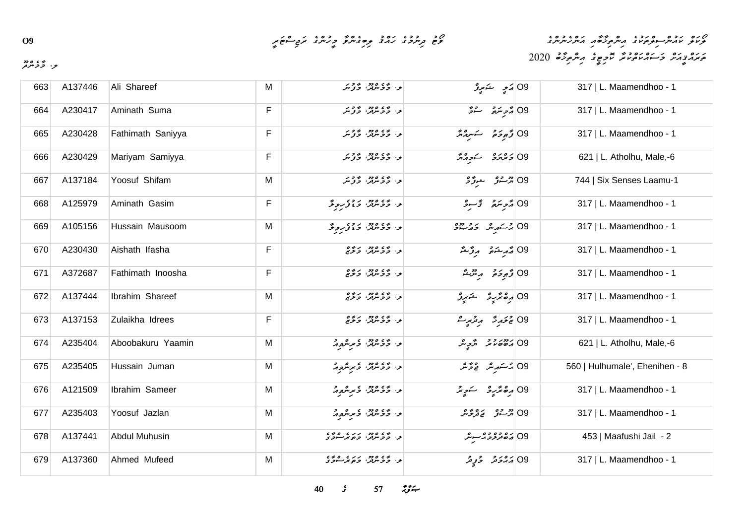*sCw7q7s5w7m< o<n9nOoAw7o< sCq;mAwBoEw7q<m; wBm;vB 2020*<br>*په ټومن د سوم پوره پورې پر سوم د سره پره و*لا

| 663 | A137446 | Ali Shareef          | M | و. ۇەمرىق، ۇۇبىر                                | 09] پَرمٍ – ڪَمِرِگر             | 317   L. Maamendhoo - 1        |
|-----|---------|----------------------|---|-------------------------------------------------|----------------------------------|--------------------------------|
| 664 | A230417 | Aminath Suma         | F | ى ۇەھەبىرى ئۇرتىر                               | 09 أَمَّ مِسَمَّدٍ مِسْتَمَّ     | 317   L. Maamendhoo - 1        |
| 665 | A230428 | Fathimath Saniyya    | F | ى ئۇدىرى ئۇرتىر                                 | 09 رَّجِوَة مَسْرِمْتَر          | 317   L. Maamendhoo - 1        |
| 666 | A230429 | Mariyam Samiyya      | F | و. ۇەمرىر، ۇۇش                                  | 09 كەممەر ئىمىدە ئىگە            | 621   L. Atholhu, Male,-6      |
| 667 | A137184 | Yoosuf Shifam        | M | ى ۋە ھەتر ۋۇش                                   | 09 تېزىقۇ شو <i>ۋ</i> ۇ          | 744   Six Senses Laamu-1       |
| 668 | A125979 | Aminath Gasim        | F | ى ئۇتەرەپ روي بەيگە                             | 09 أُمُّحِ مَنْهُمْ لِمُّ سِنْرٌ | 317   L. Maamendhoo - 1        |
| 669 | A105156 | Hussain Mausoom      | M | و گەھەم دەپمۇرەتى                               | 09 يُرْسَمَ بِهِ وَحَدِيبَةٍ وَ  | 317   L. Maamendhoo - 1        |
| 670 | A230430 | Aishath Ifasha       | F | ى گەن ھەركە                                     | 09 مٌ مِشَمَّ مِرَّسَّہُ         | 317   L. Maamendhoo - 1        |
| 671 | A372687 | Fathimath Inoosha    | F | و کام ووړ کړي و                                 | 09 رُّجِوحَة ويُتَرْجَّهُ        | 317   L. Maamendhoo - 1        |
| 672 | A137444 | Ibrahim Shareef      | M | و. گەن ھەدە كەن بە                              | 09 مەھەر بۇ ھەمرۇ                | 317   L. Maamendhoo - 1        |
| 673 | A137153 | Zulaikha Idrees      | F | و. گې ده د ده و                                 | 09  ج ئۇرىش مەرتىپ شە            | 317   L. Maamendhoo - 1        |
| 674 | A235404 | Aboobakuru Yaamin    | M | و. ووسرين وبرسمور                               | 09 كەھۋىر بۇ ئەگە بۇ ئە          | 621   L. Atholhu, Male,-6      |
| 675 | A235405 | Hussain Juman        | M | و. ووصيل ومرسمور                                | 09  ترسىرىقى قى ئەنگە            | 560   Hulhumale', Ehenihen - 8 |
| 676 | A121509 | Ibrahim Sameer       | M | و گرگوری کریریور                                | 09 رەمگرىر ئىسكىچە               | 317   L. Maamendhoo - 1        |
| 677 | A235403 | Yoosuf Jazlan        | M | والمحوسين كالمرهور                              | 09 تېزىنىق ئ <i>ۆتۈش</i>         | 317   L. Maamendhoo - 1        |
| 678 | A137441 | <b>Abdul Muhusin</b> | M | ه په دوه کرد په ده په<br>نو کوچې کرد کوچر سوري  | 09 كەھىر بۇ بەر بىر              | 453   Maafushi Jail - 2        |
| 679 | A137360 | Ahmed Mufeed         | M | ه په دور کرکړه وه په<br>نور کرکړ سرگر کو مرسورۍ | 09 كەشكە ئەھمى ئىستىكى ئىستا     | 317   L. Maamendhoo - 1        |

*40 sC 57 nNw?mS*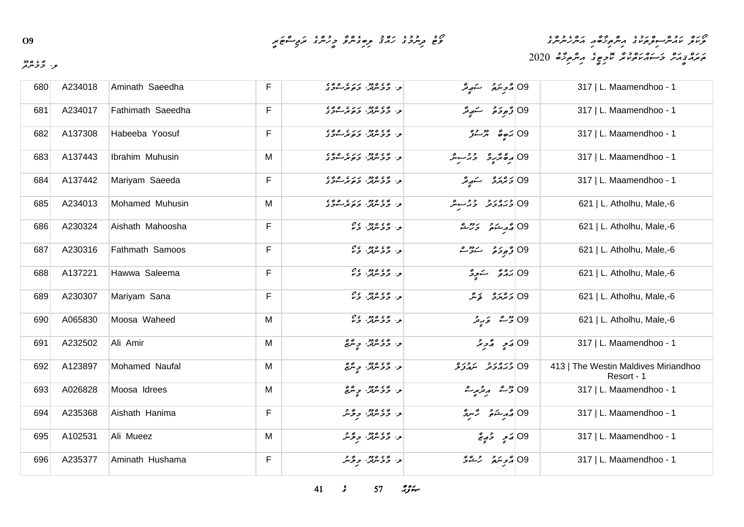*sCw7q7s5w7m< o<n9nOoAw7o< sCq;mAwBoEw7q<m; wBm;vB* م من المرة المرة المرة المرجع المرجع في المركبة 2020<br>مجم*د المريض المربوط المربع المرجع في المراجع المركبة* 

| 680 | A234018 | Aminath Saeedha   | F           | و وه ود در د وه د<br>و ووسربر وه پرسور                | 09 مٌ جِسَمٌ سَمَدٍ مُّرَ                          | 317   L. Maamendhoo - 1                            |
|-----|---------|-------------------|-------------|-------------------------------------------------------|----------------------------------------------------|----------------------------------------------------|
| 681 | A234017 | Fathimath Saeedha | F           | و و و و در د ده و و د<br>و گرگتری کرم پرستری          | 09 رَّجِوحَة مُسَ سَرِ مَّرْ                       | 317   L. Maamendhoo - 1                            |
| 682 | A137308 | Habeeba Yoosuf    | F           | و وه وه در ده وه و<br>و ووسربر وه پرسوی               | 09 كَمْھِرَّةْ مَرْسْرْدْ                          | 317   L. Maamendhoo - 1                            |
| 683 | A137443 | Ibrahim Muhusin   | M           | د ده دود در ده ده ده د<br>د و و سربر، و د پرسور       | 09 مەھەر بۇ ئەسبىر                                 | 317   L. Maamendhoo - 1                            |
| 684 | A137442 | Mariyam Saeeda    | F           | د ده وود در د ده ده<br>د ژونترنتر، ژوندستوی           | 09 كەنگەر ئىكرونگە                                 | 317   L. Maamendhoo - 1                            |
| 685 | A234013 | Mohamed Muhusin   | M           | و ده وود در در ده و د د<br>و د و و مرتز، و و بر سور د | 09 دېم دې د د کار د کار                            | 621   L. Atholhu, Male,-6                          |
| 686 | A230324 | Aishath Mahoosha  | F           | و. وگوهين وي                                          | 09 مُ مِسْمَعْ وَكِنْشُرَ                          | 621   L. Atholhu, Male,-6                          |
| 687 | A230316 | Fathmath Samoos   | F           | و. وگوهين وي                                          | 09 ۇ <sub>جو</sub> رۇ سەزمىقە                      | 621   L. Atholhu, Male,-6                          |
| 688 | A137221 | Hawwa Saleema     | F           | و. وگوشور وړ                                          | 09 كەندۇ سەمبەر                                    | 621   L. Atholhu, Male,-6                          |
| 689 | A230307 | Mariyam Sana      | F           | و. وگوشور وړ                                          | 09 كەندىرى ئۇيىگە                                  | 621   L. Atholhu, Male,-6                          |
| 690 | A065830 | Moosa Waheed      | M           | و. ۇوسرلار، ور                                        | 09 قۇيىقر قەببەتتە                                 | 621   L. Atholhu, Male,-6                          |
| 691 | A232502 | Ali Amir          | M           | ى دىمۇشۇر بەشقى                                       | 09 ھَءِ - ھُءِ جُمْ                                | 317   L. Maamendhoo - 1                            |
| 692 | A123897 | Mohamed Naufal    | M           | و. د د سربر، د سره                                    | 09 <i>ۋېزو تو</i> تر تر ترکو                       | 413   The Westin Maldives Miriandhoo<br>Resort - 1 |
| 693 | A026828 | Moosa Idrees      | M           | د. ڈکرمرفر، دِمَّرْمَ                                 | 09 ترقئے پر مرتبہ ہے۔                              | 317   L. Maamendhoo - 1                            |
| 694 | A235368 | Aishath Hanima    | $\mathsf F$ | ى دىمۇشۇ، بەقتر                                       | 09 مَگْرِسْتَمْ گُرِّسِدًّ                         | 317   L. Maamendhoo - 1                            |
| 695 | A102531 | Ali Mueez         | M           | ى دىمۇشۇ، بەقت                                        | $\mathcal{E}_{\mathbf{z}}$ کي گرينځ $\mathcal{O}9$ | 317   L. Maamendhoo - 1                            |
| 696 | A235377 | Aminath Hushama   | F           | ى دىمەت دۇش                                           | 09 مَّحِسَمَ حَسَّوَّ                              | 317   L. Maamendhoo - 1                            |

*41 sC 57 nNw?mS*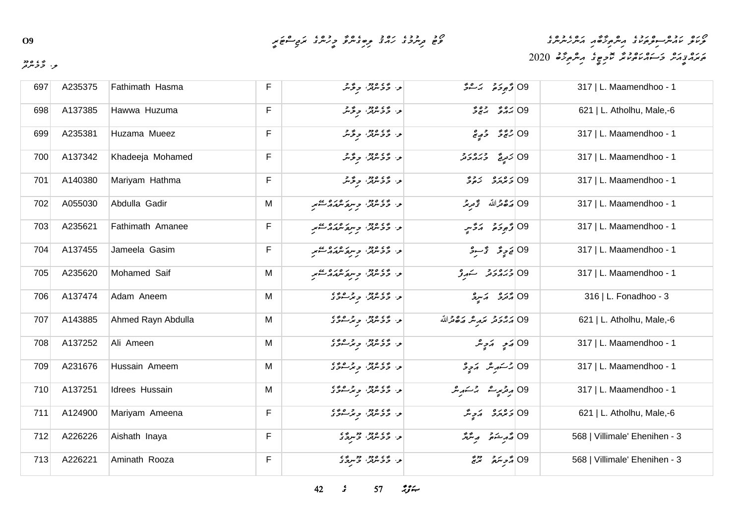*sCw7q7s5w7m< o<n9nOoAw7o< sCq;mAwBoEw7q<m; wBm;vB 2020*<br>*په پوهر وسوډيرونو لومو د موجو د مرمونه* 2020

| 697 | A235375 | Fathimath Hasma    | F           | و ڈڈیروژ ڊگر            | 09 ۇ <sub>م</sub> وخۇ ئەشۇ                                                                                     | 317   L. Maamendhoo - 1       |
|-----|---------|--------------------|-------------|-------------------------|----------------------------------------------------------------------------------------------------------------|-------------------------------|
| 698 | A137385 | Hawwa Huzuma       | F           | و گەنگەن جۇنگ           | $52.$ $52.09$                                                                                                  | 621   L. Atholhu, Male,-6     |
| 699 | A235381 | Huzama Mueez       | $\mathsf F$ | ى دىمۇشۇ، بەقەر         | $2.5$ $3.2$ $09$                                                                                               | 317   L. Maamendhoo - 1       |
| 700 | A137342 | Khadeeja Mohamed   | $\mathsf F$ | و گەنگەنگە جۇنگە        | 09 كَتْمِيعٌ - وْبَرْهْرْوَمْرْ                                                                                | 317   L. Maamendhoo - 1       |
| 701 | A140380 | Mariyam Hathma     | F           | و گەنگەن جۇنگ           | 09 كەممەر ئەرگە                                                                                                | 317   L. Maamendhoo - 1       |
| 702 | A055030 | Abdulla Gadir      | M           | و محومون وسط معدا علم   | 09 كەھىراللە گەم <i>بە</i> گە                                                                                  | 317   L. Maamendhoo - 1       |
| 703 | A235621 | Fathimath Amanee   | F           | و ووسه وسعة المعامل     | 09 زَّجِرْۃَ مَدَّسٍ                                                                                           | 317   L. Maamendhoo - 1       |
| 704 | A137455 | Jameela Gasim      | F           | و. ووسري وسره مده د عد  | 09] قے جو بحر گا گا کے باری کے ان کے ان کے ان کے ان کے ان کے ان کے ان کے ان کے ان کے ان کے ان کے ان کا ان کے ا | 317   L. Maamendhoo - 1       |
| 705 | A235620 | Mohamed Saif       | M           | و. ووسطى وسعة سمدار علي | 09 دېم دېمر تر ت                                                                                               | 317   L. Maamendhoo - 1       |
| 706 | A137474 | Adam Aneem         | M           | و. د و وره د و و و و و  | 09 م <i>مَّترة مَ</i> سِعْ                                                                                     | 316   L. Fonadhoo - 3         |
| 707 | A143885 | Ahmed Rayn Abdulla | M           | و. د و وره د و و و و و  | 09 <i>مَدْدَدَ مَّد مِّه مَّ</i> صَمَّدَاللَّه                                                                 | 621   L. Atholhu, Male,-6     |
| 708 | A137252 | Ali Ameen          | M           | و وه دور و دوه          | 09 کمبر کمبریمر                                                                                                | 317   L. Maamendhoo - 1       |
| 709 | A231676 | Hussain Ameem      | M           | و. د وه ده و د ده و     | 09 يُرْسَمبِ مَنْ مَرْحِدً                                                                                     | 317   L. Maamendhoo - 1       |
| 710 | A137251 | Idrees Hussain     | M           | و. ووسربو. وبر دوء      | 09 موقدموے کے محمد میں                                                                                         | 317   L. Maamendhoo - 1       |
| 711 | A124900 | Mariyam Ameena     | F           | و گوشهر و مرسور         | 09  5 يرېزى    7.4 يىل                                                                                         | 621   L. Atholhu, Male,-6     |
| 712 | A226226 | Aishath Inaya      | F           | و. ووسربر، وسروء        | 09 مەم شىقى مەمتىگە                                                                                            | 568   Villimale' Ehenihen - 3 |
| 713 | A226221 | Aminath Rooza      | F           | י המספר דב המ           | 09 مٌح <i>مٍ سَمَعٌ مَمْ تَعْ</i>                                                                              | 568   Villimale' Ehenihen - 3 |

*42 sC 57 nNw?mS*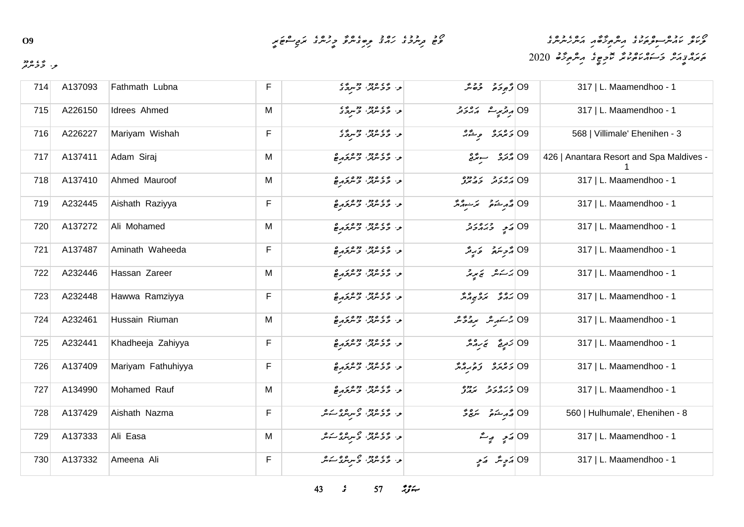*sCw7q7s5w7m< o<n9nOoAw7o< sCq;mAwBoEw7q<m; wBm;vB 2020*<br>*په پوهر وسوډيرونو لومو د موجو د مرمونه* 2020

| 714 | A137093 | Fathmath Lubna     | F           | و. ۇدىروز، دىردۇ                       | 09 وَّبِوحَمْ فَرَضْتُر                        | 317   L. Maamendhoo - 1                  |
|-----|---------|--------------------|-------------|----------------------------------------|------------------------------------------------|------------------------------------------|
| 715 | A226150 | Idrees Ahmed       | м           | י המספר דב היה<br>תי ההייתה היינה ב    | 09 مەقرىپەت كەبرى قىر                          | 317   L. Maamendhoo - 1                  |
| 716 | A226227 | Mariyam Wishah     | F           | و. وگاه دو به در د                     | 09 كەيمىر ئەستەر                               | 568   Villimale' Ehenihen - 3            |
| 717 | A137411 | Adam Siraj         | M           | و. ووجود دوم و                         | 09 أَدْ مَرْدُ سِعْرَ فِي                      | 426   Anantara Resort and Spa Maldives - |
| 718 | A137410 | Ahmed Mauroof      | M           | و. ووسربر، وسربر و                     | 09 كەمەدە بەدە دەپلىر                          | 317   L. Maamendhoo - 1                  |
| 719 | A232445 | Aishath Raziyya    | $\mathsf F$ | و. ووسربر، وسروره                      | 09 <i>مُّ مِ</i> شَوَّةٌ مَمَن <i>وهُ مُ</i> ّ | 317   L. Maamendhoo - 1                  |
| 720 | A137272 | Ali Mohamed        | M           | و. ووسربر، وسروره                      | 09 كەيپ ئەيمەد قىر                             | 317   L. Maamendhoo - 1                  |
| 721 | A137487 | Aminath Waheeda    | $\mathsf F$ | و و و دور و دور و<br>و گرسربر، ژنتربرم | 09 مٌ مِسَمَّدٍ وَرِيَّدَ                      | 317   L. Maamendhoo - 1                  |
| 722 | A232446 | Hassan Zareer      | M           | و. ووسربر، وسربر و                     | 09 كەسكەنلەر ئىم يېڭە                          | 317   L. Maamendhoo - 1                  |
| 723 | A232448 | Hawwa Ramziyya     | F           | و. ووسربر، وسروره                      | 09 كەش ئىر ئومۇر                               | 317   L. Maamendhoo - 1                  |
| 724 | A232461 | Hussain Riuman     | M           | و. گاه دو دوه در ه                     | 09 يُرْسَمْ بِهِ مِهْدَةٌ مَّرْ                | 317   L. Maamendhoo - 1                  |
| 725 | A232441 | Khadheeja Zahiyya  | F           | و و و دو دور ه<br>و گرسربر، ژنتربرم    | 09 كَتْمِيعٌ مَجْرَمْهُمْ                      | 317   L. Maamendhoo - 1                  |
| 726 | A137409 | Mariyam Fathuhiyya | $\mathsf F$ | و. ووجود دوم و                         | 09 كومرير وموروبر                              | 317   L. Maamendhoo - 1                  |
| 727 | A134990 | Mohamed Rauf       | M           | و. ووسربر، وسربر و                     | 09 ديروبرو بردوه                               | 317   L. Maamendhoo - 1                  |
| 728 | A137429 | Aishath Nazma      | $\mathsf F$ | و. ئۇ ئەرەدە ئەس ئەرەب                 | 09 مَّ مِشَمَّ سَيْءَ ٱ                        | 560   Hulhumale', Ehenihen - 8           |
| 729 | A137333 | Ali Easa           | M           | والمحمومين والرمزى والمرامل            | 09 کیم پیگ                                     | 317   L. Maamendhoo - 1                  |
| 730 | A137332 | Ameena Ali         | F           | و. ئۇ ئەرەدە ئەس ئەرەب كەش             | 09 کړې شه کړې                                  | 317   L. Maamendhoo - 1                  |

*43 sC 57 nNw?mS*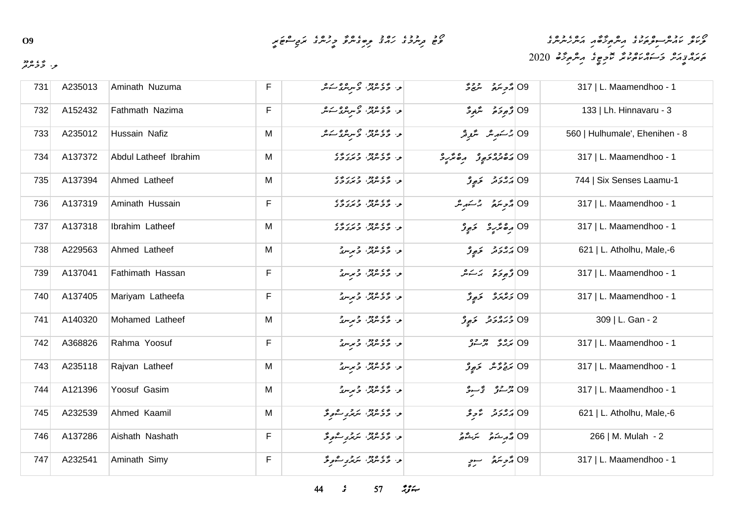*sCw7q7s5w7m< o<n9nOoAw7o< sCq;mAwBoEw7q<m; wBm;vB* م من المرة المرة المرة المرجع المرجع في المركبة 2020<br>مجم*د المريض المربوط المربع المرجع في المراجع المركبة* 

| 731 | A235013 | Aminath Nuzuma        | F            | ى ئۇي قەرەپ كەس كەنگە               | 09 أُمُّ مِنْهُمْ مُسْتَمَرَّةً           | 317   L. Maamendhoo - 1        |
|-----|---------|-----------------------|--------------|-------------------------------------|-------------------------------------------|--------------------------------|
| 732 | A152432 | Fathmath Nazima       | F            | والمحمومين والرمزى والمرامل         | 09 <i>وَّجوح</i> مْ سَمْع <sub>ُ</sub> عَ | 133   Lh. Hinnavaru - 3        |
| 733 | A235012 | Hussain Nafiz         | M            | و ووسرس وسرسی کنگر                  | 09  ترسىمبرىشە سىر ئىگە                   | 560   Hulhumale', Ehenihen - 8 |
| 734 | A137372 | Abdul Latheef Ibrahim | M            | و. گاه دود ورده د                   | 09 كەھىر كەم ئۇ مەھەر بىر                 | 317   L. Maamendhoo - 1        |
| 735 | A137394 | Ahmed Latheef         | M            | و وه ورده ورده.<br>و گرسهن و پرو وی | 09 كەشكەتىر كەلگەنى                       | 744   Six Senses Laamu-1       |
| 736 | A137319 | Aminath Hussain       | $\mathsf F$  | والمحمد ومردون                      | 09 مٌ حِسَمَةٌ حَسَبَ مِنْ                | 317   L. Maamendhoo - 1        |
| 737 | A137318 | Ibrahim Latheef       | M            | و وه ورده ورده.<br>و گرسهن و پرو وی | 09 مەھمىر ئىم ئىمبور                      | 317   L. Maamendhoo - 1        |
| 738 | A229563 | Ahmed Latheef         | M            | و. گاگاه در در د                    | 09   پر برجانی کو تحرید تحرید از ا        | 621   L. Atholhu, Male,-6      |
| 739 | A137041 | Fathimath Hassan      | $\mathsf F$  | و. ووسين ومرس                       | 09 زٌموِچَهُ بَرَسَهْر                    | 317   L. Maamendhoo - 1        |
| 740 | A137405 | Mariyam Latheefa      | $\mathsf{F}$ | و. گاگاه در در د                    | 09 كەندىر ئىمبۇ ئى                        | 317   L. Maamendhoo - 1        |
| 741 | A140320 | Mohamed Latheef       | M            | و. ووهين وبرس                       | 09  وبرورور التحجوري                      | 309   L. Gan - 2               |
| 742 | A368826 | Rahma Yoosuf          | F            | و. ځوسور و پرس                      | 09 يَرْرُدُّ بِرْ-يْرُ                    | 317   L. Maamendhoo - 1        |
| 743 | A235118 | Rajvan Latheef        | M            | و. ووسرير، ومرس                     | 09 <i>برة وَ مَّد بَوْ وَ وَ</i>          | 317   L. Maamendhoo - 1        |
| 744 | A121396 | Yoosuf Gasim          | M            | و. ووسري و پرسر                     | 09 ترقىق ئۇسۇ                             | 317   L. Maamendhoo - 1        |
| 745 | A232539 | Ahmed Kaamil          | M            | ى ئۇقسۇن سەرى سەھلى                 | 09 كەندى ئەربى                            | 621   L. Atholhu, Male,-6      |
| 746 | A137286 | Aishath Nashath       | F            | أور ووجهين التربري سموتى            | 09 كەمرىشكى سىرىشگى                       | 266   M. Mulah - 2             |
| 747 | A232541 | Aminath Simy          | F            | و. 35 مريز، سرچي سوءِ گ             | 09 مٌ حِسَمٌ مِ سِيحِ                     | 317   L. Maamendhoo - 1        |

*44 sC 57 nNw?mS*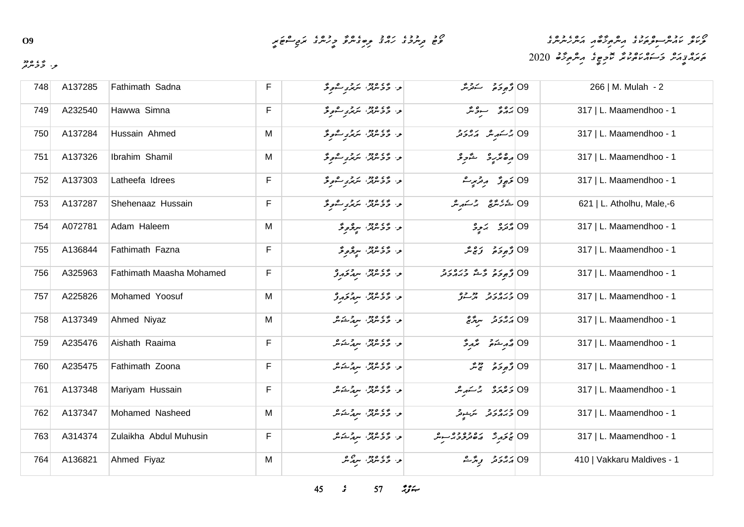*sCw7q7s5w7m< o<n9nOoAw7o< sCq;mAwBoEw7q<m; wBm;vB 2020<sup>, م</sup>وجدة المصرورة المجموعة المستورجة والم*جموعة والمجموعة والمجموعة والمجموعة والمجموعة والمجموعة والمجموعة

| 748 | A137285 | Fathimath Sadna          | F            | أورا وكالحامض الكريمي والمحافي | 09 زٌموِچَهُ سَنَقَرْتَرُ                    | 266   M. Mulah - 2         |
|-----|---------|--------------------------|--------------|--------------------------------|----------------------------------------------|----------------------------|
| 749 | A232540 | Hawwa Simna              | F            | و. ۇۋىرتى، ئىرىرى سوۋ          | 09 ئەرمۇ سومىگە                              | 317   L. Maamendhoo - 1    |
| 750 | A137284 | Hussain Ahmed            | M            | و. ۇۋىرتى، ئىرىرى سورگ         | 09 يُرَ سَمبِ مَدْ يَرْدَ مَدْ               | 317   L. Maamendhoo - 1    |
| 751 | A137326 | Ibrahim Shamil           | M            | و. ۇۋىرتى، ئىرىرى سورگ         | 09 مەھمگىر ئىس ئىقتى                         | 317   L. Maamendhoo - 1    |
| 752 | A137303 | Latheefa Idrees          | $\mathsf F$  | و. ۇۋىرتى، ئىرىرى سورۇ         | 09 كۇموگە بەرتىرىشە                          | 317   L. Maamendhoo - 1    |
| 753 | A137287 | Shehenaaz Hussain        | $\mathsf F$  | ى ئۇي ھەر بەر ئەھرىگە          | 09 يۇرتىرچ بر شەربىر                         | 621   L. Atholhu, Male,-6  |
| 754 | A072781 | Adam Haleem              | M            | و. ۇۋىلاش سرۋە ئ               | 09  جُ تَدَمَّى = يَرْمُحُ                   | 317   L. Maamendhoo - 1    |
| 755 | A136844 | Fathimath Fazna          | $\mathsf F$  | و. د د سرگر، سرگرمرگر          | 09 زَّەپە ئەستى ئۇي ئىر                      | 317   L. Maamendhoo - 1    |
| 756 | A325963 | Fathimath Maasha Mohamed | $\mathsf F$  | و. ووسربر، سرو مرو             | 09 زَّەپ ئەھ ئەھ ئەرەپ ئە                    | 317   L. Maamendhoo - 1    |
| 757 | A225826 | Mohamed Yoosuf           | M            | و. د د سر برگرو                | 09 <i>ۋېرو دو</i> مرگ                        | 317   L. Maamendhoo - 1    |
| 758 | A137349 | Ahmed Niyaz              | M            | و. ووسرير، سروشكره             | 09 كەشكەقىر سىرتىقى                          | 317   L. Maamendhoo - 1    |
| 759 | A235476 | Aishath Raaima           | F            | و. 3000 سرگرشک                 | 09 مُ مِشَمَّ مُحْمَدِ مُحَ                  | 317   L. Maamendhoo - 1    |
| 760 | A235475 | Fathimath Zoona          | $\mathsf F$  | و. ووهير سروري                 | 09 <i>وڻوخو چينگ</i>                         | 317   L. Maamendhoo - 1    |
| 761 | A137348 | Mariyam Hussain          | $\mathsf{F}$ | و. ووسرير، سروشكره             | 09 كى تەركى بەسكەر ش                         | 317   L. Maamendhoo - 1    |
| 762 | A137347 | Mohamed Nasheed          | M            | و. ووسرير، سروشكره             | 09 <i>\$ ئەۋى قى</i> سَرَىش <sub>و</sub> نتى | 317   L. Maamendhoo - 1    |
| 763 | A314374 | Zulaikha Abdul Muhusin   | F            | و. ووسين سرمشه                 | 09 ىز ئەر ئەھەر ئەرەبىر                      | 317   L. Maamendhoo - 1    |
| 764 | A136821 | Ahmed Fiyaz              | M            | و. ووسيق سمه ش                 | 09 كەبرى قىر بورگەشە                         | 410   Vakkaru Maldives - 1 |

*45 sC 57 nNw?mS*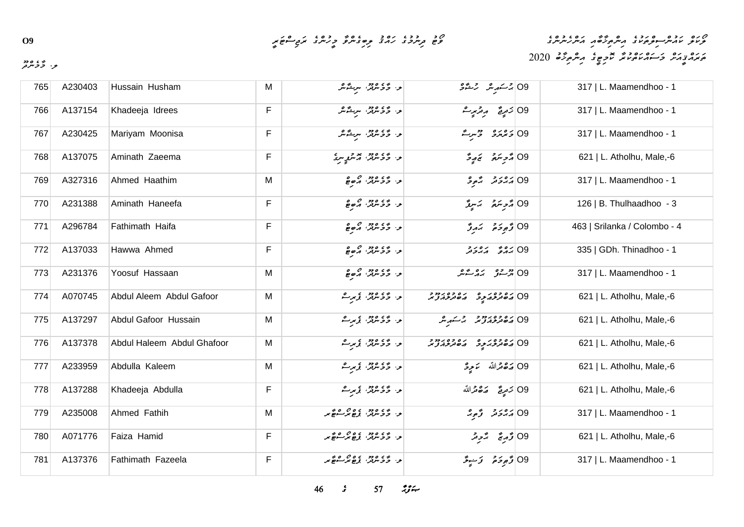*sCw7q7s5w7m< o<n9nOoAw7o< sCq;mAwBoEw7q<m; wBm;vB* م من المرة المرة المرة المرجع المرجع في المركبة 2020<br>مجم*د المريض المربوط المربع المرجع في المراجع المركبة* 

| 765 | A230403 | Hussain Husham             | M           | و. ۋوسرټر، سرىگەش                                                                                                                                                                                                                                                                                                            | 09 ير شهر مر مشرو                               | 317   L. Maamendhoo - 1      |
|-----|---------|----------------------------|-------------|------------------------------------------------------------------------------------------------------------------------------------------------------------------------------------------------------------------------------------------------------------------------------------------------------------------------------|-------------------------------------------------|------------------------------|
| 766 | A137154 | Khadeeja Idrees            | F           | و. ۇوسىر سرىقىر                                                                                                                                                                                                                                                                                                              | 09 كَتَبِيعٌ - مِثْرَىمِيْتُ                    | 317   L. Maamendhoo - 1      |
| 767 | A230425 | Mariyam Moonisa            | F           | و. ۇرس سىشك                                                                                                                                                                                                                                                                                                                  | 09 كەنگەر قىلى قىلىدىگە                         | 317   L. Maamendhoo - 1      |
| 768 | A137075 | Aminath Zaeema             | $\mathsf F$ | و. ووجه بود بود                                                                                                                                                                                                                                                                                                              | 09 مٌ <i>وِ سَعْهِ تَجْهِ وَّ</i>               | 621   L. Atholhu, Male,-6    |
| 769 | A327316 | Ahmed Haathim              | M           | $\begin{array}{cc} 0 & 0 & 0 & 0 & 0 \\ 0 & 0 & 0 & 0 & 0 \\ 0 & 0 & 0 & 0 & 0 \\ 0 & 0 & 0 & 0 & 0 \\ 0 & 0 & 0 & 0 & 0 \\ 0 & 0 & 0 & 0 & 0 \\ 0 & 0 & 0 & 0 & 0 \\ 0 & 0 & 0 & 0 & 0 \\ 0 & 0 & 0 & 0 & 0 \\ 0 & 0 & 0 & 0 & 0 \\ 0 & 0 & 0 & 0 & 0 \\ 0 & 0 & 0 & 0 & 0 & 0 \\ 0 & 0 & 0 & 0 & 0 & 0 \\ 0 & 0 & 0 & 0 &$ | 09 كەندى قىمى قىم                               | 317   L. Maamendhoo - 1      |
| 770 | A231388 | Aminath Haneefa            | $\mathsf F$ | $\begin{array}{cc} 0 & 0 & 0 & 0 & 0 \\ 0 & 0 & 0 & 0 & 0 \\ 0 & 0 & 0 & 0 & 0 \\ 0 & 0 & 0 & 0 & 0 \\ 0 & 0 & 0 & 0 & 0 \\ 0 & 0 & 0 & 0 & 0 \\ 0 & 0 & 0 & 0 & 0 \\ 0 & 0 & 0 & 0 & 0 \\ 0 & 0 & 0 & 0 & 0 \\ 0 & 0 & 0 & 0 & 0 \\ 0 & 0 & 0 & 0 & 0 \\ 0 & 0 & 0 & 0 & 0 & 0 \\ 0 & 0 & 0 & 0 & 0 & 0 \\ 0 & 0 & 0 & 0 &$ | 09 مُّحِسَمُ سَمِيَّ                            | 126   B. Thulhaadhoo - 3     |
| 771 | A296784 | Fathimath Haifa            | F           | $\begin{bmatrix} 0 & 0 & 20 & 0 & 0 \\ 0 & 0 & 0 & 0 & 0 \\ 0 & 0 & 0 & 0 & 0 \\ 0 & 0 & 0 & 0 & 0 \\ 0 & 0 & 0 & 0 & 0 \\ 0 & 0 & 0 & 0 & 0 \\ 0 & 0 & 0 & 0 & 0 \\ 0 & 0 & 0 & 0 & 0 \\ 0 & 0 & 0 & 0 & 0 \\ 0 & 0 & 0 & 0 & 0 \\ 0 & 0 & 0 & 0 & 0 \\ 0 & 0 & 0 & 0 & 0 & 0 \\ 0 & 0 & 0 & 0 & 0 & 0 \\ 0 & 0 & 0 & 0 &$  | 09 رَّجِوَةً جَهْرَ                             | 463   Srilanka / Colombo - 4 |
| 772 | A137033 | Hawwa Ahmed                | F           | $\begin{bmatrix} 0 & 0 & 0 & 0 & 0 & 0 \\ 0 & 0 & 0 & 0 & 0 & 0 \\ 0 & 0 & 0 & 0 & 0 & 0 \\ 0 & 0 & 0 & 0 & 0 & 0 \\ 0 & 0 & 0 & 0 & 0 & 0 \\ 0 & 0 & 0 & 0 & 0 & 0 \\ 0 & 0 & 0 & 0 & 0 & 0 \\ 0 & 0 & 0 & 0 & 0 & 0 \\ 0 & 0 & 0 & 0 & 0 & 0 \\ 0 & 0 & 0 & 0 & 0 & 0 & 0 \\ 0 & 0 & 0 & 0 & 0 & 0 & 0 \\ 0 & 0 & 0 & $    | 09 كەش مەركە                                    | 335   GDh. Thinadhoo - 1     |
| 773 | A231376 | Yoosuf Hassaan             | M           | $\begin{bmatrix} 0 & 0 & 0 & 0 & 0 \\ 0 & 0 & 0 & 0 & 0 \\ 0 & 0 & 0 & 0 & 0 \\ 0 & 0 & 0 & 0 & 0 \\ 0 & 0 & 0 & 0 & 0 \\ 0 & 0 & 0 & 0 & 0 \\ 0 & 0 & 0 & 0 & 0 \\ 0 & 0 & 0 & 0 & 0 \\ 0 & 0 & 0 & 0 & 0 \\ 0 & 0 & 0 & 0 & 0 \\ 0 & 0 & 0 & 0 & 0 \\ 0 & 0 & 0 & 0 & 0 & 0 \\ 0 & 0 & 0 & 0 & 0 & 0 \\ 0 & 0 & 0 & 0 & $  | 09 تېر - تۇ ئەيرىشكىر                           | 317   L. Maamendhoo - 1      |
| 774 | A070745 | Abdul Aleem Abdul Gafoor   | M           | أور وكالمرتش وتبرت                                                                                                                                                                                                                                                                                                           | 09 <sub>م</sub> ھو <i>ڑ ھي ج</i> و مصر مصر دو ج | 621   L. Atholhu, Male,-6    |
| 775 | A137297 | Abdul Gafoor Hussain       | M           | ل د د ده ده ولمرت                                                                                                                                                                                                                                                                                                            | 09 مەھىر جەمزدە ج سەم بىر                       | 621   L. Atholhu, Male,-6    |
| 776 | A137378 | Abdul Haleem Abdul Ghafoor | M           | أور ووهير والمجروب                                                                                                                                                                                                                                                                                                           | 09 <mark>"ەقىرىرىمبور" ھەمرىمەدە</mark> ج       | 621   L. Atholhu, Male,-6    |
| 777 | A233959 | Abdulla Kaleem             | M           | و. د د هري ويرت                                                                                                                                                                                                                                                                                                              | 09   مَەھْتَراللە م <i>تو</i> تْر               | 621   L. Atholhu, Male,-6    |
| 778 | A137288 | Khadeeja Abdulla           | F           | ى ئۇترىق ئويرى                                                                                                                                                                                                                                                                                                               | 09 كَتْمِيعٌ     مَرْهُ مِّرْاللَّه             | 621   L. Atholhu, Male,-6    |
| 779 | A235008 | Ahmed Fathih               | M           | و. وورود وه وه وه.                                                                                                                                                                                                                                                                                                           | 09 كەشكە ئۇم بۇ                                 | 317   L. Maamendhoo - 1      |
| 780 | A071776 | Faiza Hamid                | F           | و. وورود وه وه وه.                                                                                                                                                                                                                                                                                                           | 09 رَّمَہِ جَمَّ جَوْمَهِ                       | 621   L. Atholhu, Male,-6    |
| 781 | A137376 | Fathimath Fazeela          | F           | و. وورود وه وه وه.                                                                                                                                                                                                                                                                                                           | 09 ۇ <sub>ج</sub> ورۇ تىن يەنى                  | 317   L. Maamendhoo - 1      |

*46 sC 57 nNw?mS*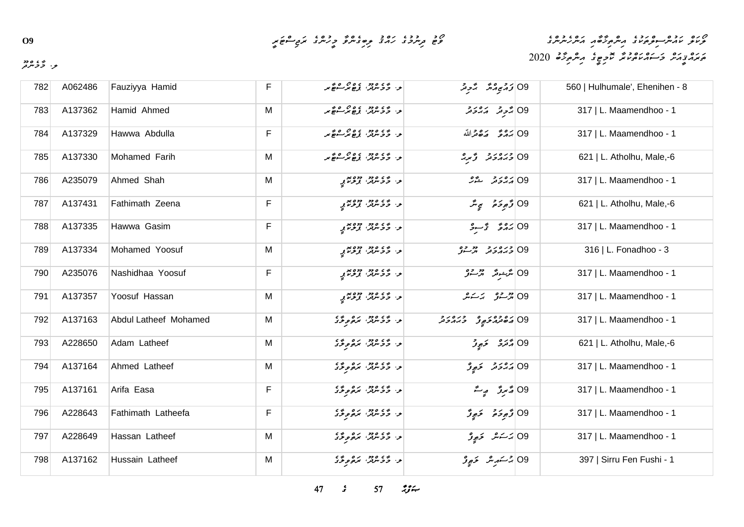*sCw7q7s5w7m< o<n9nOoAw7o< sCq;mAwBoEw7q<m; wBm;vB* م من المرة المرة المرة المرجع المرجع في المركبة 2020<br>مجم*د المريض المربوط المربع المرجع في المراجع المركبة* 

| 782 | A062486 | Fauziyya Hamid        | F | و. ووسربو، بوھ بورے پر                 | 09 كەتم پەر مەر مەر قىر                | 560   Hulhumale', Ehenihen - 8 |
|-----|---------|-----------------------|---|----------------------------------------|----------------------------------------|--------------------------------|
| 783 | A137362 | Hamid Ahmed           | M | و. وورود. وه وه وه.                    | 09 كەرەر كەندى كە                      | 317   L. Maamendhoo - 1        |
| 784 | A137329 | Hawwa Abdulla         | F | و. وورود. وه وه وه.                    | 09 <i>كَمْرُوَّ مَدَّهْ</i> قْرَاللَّه | 317   L. Maamendhoo - 1        |
| 785 | A137330 | Mohamed Farih         | M | و. وورود. وه وه وه و                   | 09 در بروتر گريز                       | 621   L. Atholhu, Male,-6      |
| 786 | A235079 | Ahmed Shah            | M | و. گاگاه دوه بوده بو                   | 09 كەبرى تەر ئىسى                      | 317   L. Maamendhoo - 1        |
| 787 | A137431 | Fathimath Zeena       | F | و. حوصور دوه بد<br>و. حوصوبي بوفرند پي | 09 <i>وُّڄِوَۃُ</i> پِسَّ              | 621   L. Atholhu, Male,-6      |
| 788 | A137335 | Hawwa Gasim           | F | ی وی وو ووه پر<br>د گرمانگراری برخانی  | $3 - 3$ $3 - 2$ 09                     | 317   L. Maamendhoo - 1        |
| 789 | A137334 | Mohamed Yoosuf        | M | و. حوم سوه بده بد                      | 09 <i>ۋېرو دو</i> برخو                 | 316   L. Fonadhoo - 3          |
| 790 | A235076 | Nashidhaa Yoosuf      | F | و. حوم سوه بده بو                      | 09 مگرې <u>ش</u> ونگر <b>تر</b> شتونو  | 317   L. Maamendhoo - 1        |
| 791 | A137357 | Yoosuf Hassan         | M | ی وه دوه دوه د<br>و و و سربل و و مایی  | 09 تېر - تۇ   ئەسەئىر                  | 317   L. Maamendhoo - 1        |
| 792 | A137163 | Abdul Latheef Mohamed | M | و. صحيح مدده ده و ده و                 | 09 בפינג ביפי כבריכיב                  | 317   L. Maamendhoo - 1        |
| 793 | A228650 | Adam Latheef          | M | و په ۲۶۵۶ کره په ۲                     | 09 مُرْمَرْد تَوْبُوتْرَ               | 621   L. Atholhu, Male,-6      |
| 794 | A137164 | Ahmed Latheef         | M | و گروه ده وي                           | 09 كەشكەتىر ئىمبوش                     | 317   L. Maamendhoo - 1        |
| 795 | A137161 | Arifa Easa            | F | و په ۲۶۵۶ کره په ۲                     | 09 ۾ مرڙھ پائ                          | 317   L. Maamendhoo - 1        |
| 796 | A228643 | Fathimath Latheefa    | F | و په ۲۵ وه ده وه<br>و ووسربر مردونون   | 09 زٌمِ دَمْ تَوَمِّرَ                 | 317   L. Maamendhoo - 1        |
| 797 | A228649 | Hassan Latheef        | M | و گوسهن نموه کړي                       | 09  تەسىھە كەبولۇ                      | 317   L. Maamendhoo - 1        |
| 798 | A137162 | Hussain Latheef       | M | و په ۲۶ وه ده وه.                      | 09  پرستمبر محبولو                     | 397   Sirru Fen Fushi - 1      |

*47 sC 57 nNw?mS*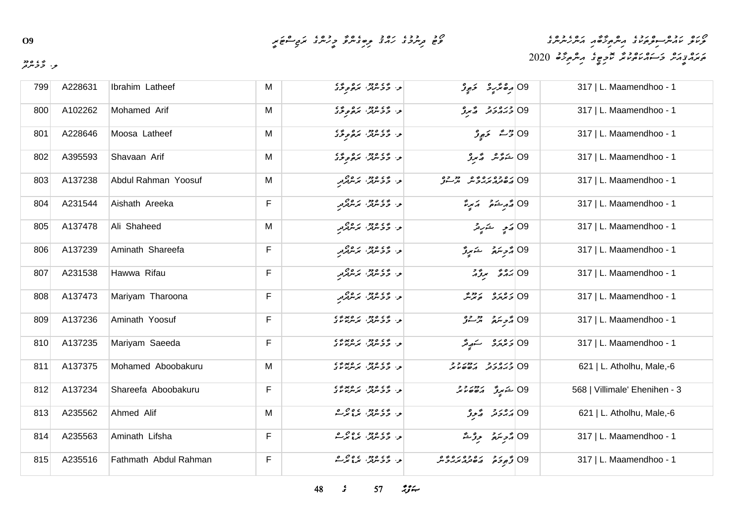*sCw7q7s5w7m< o<n9nOoAw7o< sCq;mAwBoEw7q<m; wBm;vB* م من المرة المرة المرة المرجع المرجع في المركبة 2020<br>مجم*د المريض المربوط المربع المرجع في المراجع المركبة* 

| 799 | A228631 | Ibrahim Latheef       | M            | و گەمەدە رە دە                          | 09 مەھ ئىر ئىم ئىم ئى            | 317   L. Maamendhoo - 1       |
|-----|---------|-----------------------|--------------|-----------------------------------------|----------------------------------|-------------------------------|
| 800 | A102262 | Mohamed Arif          | M            | و گەمەدە برە ئەتە                       | 09 ج: جرى - ج. برو               | 317   L. Maamendhoo - 1       |
| 801 | A228646 | Moosa Latheef         | M            | و گوسه مورو ده                          | 09 تۇشە ئىمبۇ ئى                 | 317   L. Maamendhoo - 1       |
| 802 | A395593 | Shavaan Arif          | M            | و. ۶۶۰٬۰۶٬۰۶٬۰۶٬۰۶                      | 09 ڪ <i>وگر گرو</i> گر           | 317   L. Maamendhoo - 1       |
| 803 | A137238 | Abdul Rahman Yoosuf   | M            | و. گەندە ئەرەمى                         | 09 <i>۾ ڇپري جي هي</i> جو جو ج   | 317   L. Maamendhoo - 1       |
| 804 | A231544 | Aishath Areeka        | $\mathsf F$  | و گروهی گروه                            | 09 مەم ھەم كەسپەتتا              | 317   L. Maamendhoo - 1       |
| 805 | A137478 | Ali Shaheed           | M            | و گروهی نروهیر                          | 09 / توپ ڪي پٽر                  | 317   L. Maamendhoo - 1       |
| 806 | A137239 | Aminath Shareefa      | $\mathsf{F}$ | و گروهی گروه                            | 09 مَّ حِسَمَةٌ حَسَنِوَّ        | 317   L. Maamendhoo - 1       |
| 807 | A231538 | Hawwa Rifau           | F            | و. گەن ھەر كەھەر                        | 09 كەم ئەرگە                     | 317   L. Maamendhoo - 1       |
| 808 | A137473 | Mariyam Tharoona      | F            | و گروهی گروه                            | 09 كەممەر ئەھمەتتىر              | 317   L. Maamendhoo - 1       |
| 809 | A137236 | Aminath Yoosuf        | $\mathsf F$  | و گروه دهده و<br>د گروهن پرس            | 09 أَرْحِ مَرَهُ مِنْ قَسْرَتْرُ | 317   L. Maamendhoo - 1       |
| 810 | A137235 | Mariyam Saeeda        | F            | و گروه د ورو د در ده.<br>د گروهون پرس   | 09 5 بھ پر سکھ سکھ سکھ           | 317   L. Maamendhoo - 1       |
| 811 | A137375 | Mohamed Aboobakuru    | M            | و. وه وروبر ده ده ده.<br>و. وگوشهر، برس | 09 כלהכת המיניב                  | 621   L. Atholhu, Male,-6     |
| 812 | A137234 | Shareefa Aboobakuru   | $\mathsf{F}$ | و گروه د ورو د د                        | 09 شىرىق مەھەم ئىر               | 568   Villimale' Ehenihen - 3 |
| 813 | A235562 | Ahmed Alif            | M            | و. وه وه وه وه وه و                     | 09 كەشكە قىم ئەگەنى ئى           | 621   L. Atholhu, Male,-6     |
| 814 | A235563 | Aminath Lifsha        | F            | و. و و و و و و و و و                    | 09 أُمَّ مِسْهُمْ وَمَرْ يَثْرُ  | 317   L. Maamendhoo - 1       |
| 815 | A235516 | Fathmath Abdul Rahman | F            | و. گەن ەەد بەھ بىر                      | 09 توجوجو مەھىرمەمدىق            | 317   L. Maamendhoo - 1       |

*48 sC 57 nNw?mS*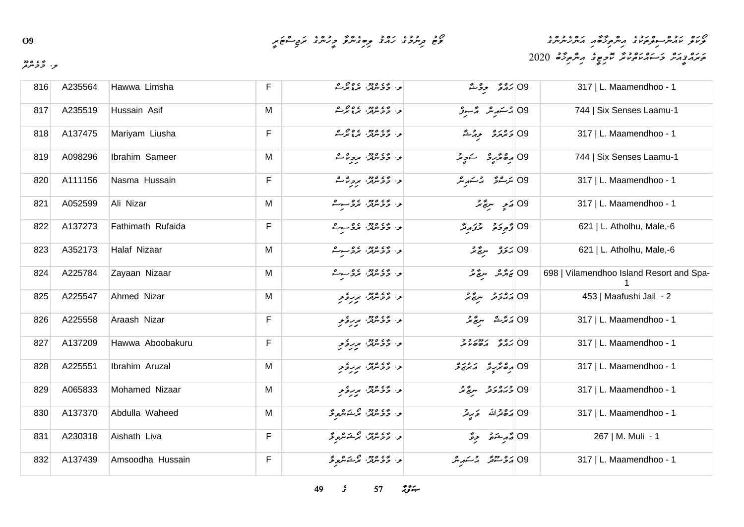*sCw7q7s5w7m< o<n9nOoAw7o< sCq;mAwBoEw7q<m; wBm;vB* م من المرة المرة المرة المرجع المرجع في المركبة 2020<br>مجم*د المريض المربوط المربع المرجع في المراجع المركبة* 

| 816 | A235564 | Hawwa Limsha      | F           | و. ووجه وه وه وه و ه | 09 ئەۋۇ بوقىغ            | 317   L. Maamendhoo - 1                  |
|-----|---------|-------------------|-------------|----------------------|--------------------------|------------------------------------------|
| 817 | A235519 | Hussain Asif      | M           | و. د د ور ، د ، د ک  | 09 ير شهر مه محب دیگر    | 744   Six Senses Laamu-1                 |
| 818 | A137475 | Mariyam Liusha    | $\mathsf F$ | و. گەن ھەر مەم ھ     | 09 كەبھەرى موركىتىگە     | 317   L. Maamendhoo - 1                  |
| 819 | A098296 | Ibrahim Sameer    | M           | و گوش پرولان         | 09 مەھمگىيە ئەسكىمىتى _  | 744   Six Senses Laamu-1                 |
| 820 | A111156 | Nasma Hussain     | F           | و. د د سرو، مرد ۷ گ  | 09 ىزىشۇ ھىشىرىش         | 317   L. Maamendhoo - 1                  |
| 821 | A052599 | Ali Nizar         | M           | و گەرەپى كەسىر       | 09 کیمپ سی تم            | 317   L. Maamendhoo - 1                  |
| 822 | A137273 | Fathimath Rufaida | F           | و. ووس ود ده ب       | 09 رَّجِوحَة مَرْرَمِةَ  | 621   L. Atholhu, Male,-6                |
| 823 | A352173 | Halaf Nizaar      | M           | و. ووسربو. ووسيد     | 09 ئىخۇ سېتىم            | 621   L. Atholhu, Male,-6                |
| 824 | A225784 | Zayaan Nizaar     | M           | و. د د سربر، برو ب   | 09 كىمرىمىشىر سېتىمىتى   | 698   Vilamendhoo Island Resort and Spa- |
| 825 | A225547 | Ahmed Nizar       | M           | و. د د سرد. برروم    | 09 كەشەك ئەستى ئىس       | 453   Maafushi Jail - 2                  |
| 826 | A225558 | Araash Nizar      | F           | و. ووسرس برروبو      | 09 كەنگەشقا سېتى تىگە    | 317   L. Maamendhoo - 1                  |
| 827 | A137209 | Hawwa Aboobakuru  | $\mathsf F$ | و. ووهين برروم       | 222222222200             | 317   L. Maamendhoo - 1                  |
| 828 | A225551 | Ibrahim Aruzal    | M           | و. د ده ده برره و    | 09 مەھەر بەر كەندىنى ئى  | 317   L. Maamendhoo - 1                  |
| 829 | A065833 | Mohamed Nizaar    | M           | و. ووسرس برروبو      | 09 د جمهو تر محمد سرچ بر | 317   L. Maamendhoo - 1                  |
| 830 | A137370 | Abdulla Waheed    | M           | و. ۇەس ئەر ئەر ئەھ   | 09 كەھەراللە     كەبوتر  | 317   L. Maamendhoo - 1                  |
| 831 | A230318 | Aishath Liva      | F           | و. ۇەس ئەشكىر        | 09 مەم شەتمە بىرقە       | 267   M. Muli - 1                        |
| 832 | A137439 | Amsoodha Hussain  | F           | و. ۇەس كەشكى ئۇ      | 09 كەۋسىقى بر سىمبەتلە   | 317   L. Maamendhoo - 1                  |

*49 sC 57 nNw?mS*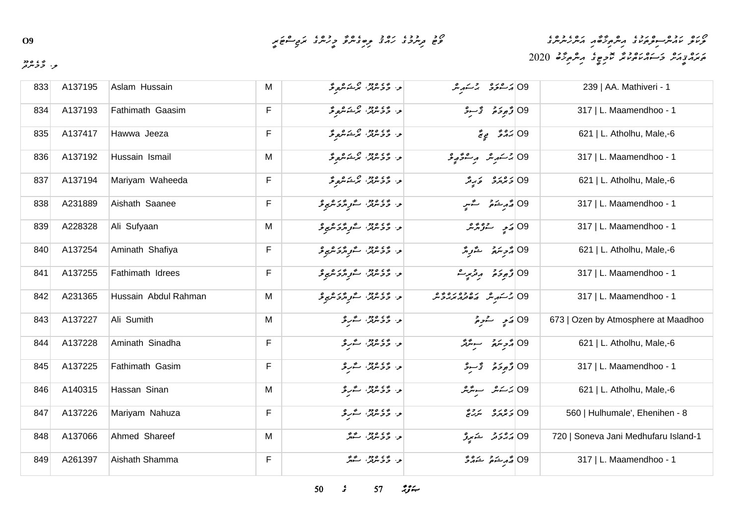*sCw7q7s5w7m< o<n9nOoAw7o< sCq;mAwBoEw7q<m; wBm;vB* م من المرة المرة المرة المرجع المرجع في المركبة 2020<br>مجم*د المريض المربوط المربع المرجع في المراجع المركبة* 

| 833 | A137195 | Aslam Hussain        | M           | ى ئۇتمەر ئەشكەرگە                                                                                    | 09 كەشكە بۇ يەسكەبلا                               | 239   AA. Mathiveri - 1              |
|-----|---------|----------------------|-------------|------------------------------------------------------------------------------------------------------|----------------------------------------------------|--------------------------------------|
| 834 | A137193 | Fathimath Gaasim     | $\mathsf F$ | و. ۇۋىرلار، ئۇشكىرىمۇ                                                                                | 09 زَّەپرىز قۇسۇ                                   | 317   L. Maamendhoo - 1              |
| 835 | A137417 | Hawwa Jeeza          | F           | و. ۇەس بە ئەيمەش ئۇ                                                                                  |                                                    | 621   L. Atholhu, Male,-6            |
| 836 | A137192 | Hussain Ismail       | M           | و. ووجهين برخوشور                                                                                    | 09 يُرْسَمْ بِهِ مِسْتَوَّرِ فِرْ                  | 317   L. Maamendhoo - 1              |
| 837 | A137194 | Mariyam Waheeda      | $\mathsf F$ | و. ۇەھەر ئەشكەھەتى                                                                                   | 09 كەندىرى كەرىگە                                  | 621   L. Atholhu, Male,-6            |
| 838 | A231889 | Aishath Saanee       | $\mathsf F$ | ى ئەرەپى ئېرترىرتى ئى                                                                                | 09 گەرىشكە كەسمە                                   | 317   L. Maamendhoo - 1              |
| 839 | A228328 | Ali Sufyaan          | M           | أورا والمحاورة والمتعادية والمحمدة والمحمدة والمحمدة والمحمدة والمحمدة والمحمدة والمحمدة والمحمدة وا | 09 كەبىر سەر ئەشر                                  | 317   L. Maamendhoo - 1              |
| 840 | A137254 | Aminath Shafiya      | $\mathsf F$ | أور وكالمرور والمحرور والمراجي                                                                       | 09 گەجەتىق شۇرىگە                                  | 621   L. Atholhu, Male,-6            |
| 841 | A137255 | Fathimath Idrees     | $\mathsf F$ | أور وكالملاه الشر والمركان المعالج والمستعم                                                          | 09 زٌموحَمْ پرمزمرِ ے                              | 317   L. Maamendhoo - 1              |
| 842 | A231365 | Hussain Abdul Rahman | M           | أور وومين الشروروكي                                                                                  | 09 يُرْسَمْ مِنْ مَصْعَمْ مِنْ مِنْ مِنْ مِنْ مِنْ | 317   L. Maamendhoo - 1              |
| 843 | A137227 | Ali Sumith           | M           | و. ۇەمەتە شرى                                                                                        | 09 کھ پر مشموم ک                                   | 673   Ozen by Atmosphere at Maadhoo  |
| 844 | A137228 | Aminath Sinadha      | $\mathsf F$ | و. ۇەس بىر شرى                                                                                       | 09 مَّرْمِتْهُمْ سِتَنَعَّرُ                       | 621   L. Atholhu, Male,-6            |
| 845 | A137225 | Fathimath Gasim      | $\mathsf F$ | و. ۇۇش بىر شرى                                                                                       | 09 زَّجِ دَمَ تَحْسِرْ \$                          | 317   L. Maamendhoo - 1              |
| 846 | A140315 | Hassan Sinan         | M           | و. د د سر د کرد                                                                                      | 09 ئەسەمىر سەيئەتتە                                | 621   L. Atholhu, Male,-6            |
| 847 | A137226 | Mariyam Nahuza       | $\mathsf F$ | و. ۇەمەتى شەرۇ                                                                                       | 09 كەممەر ئەرمىقى ئارلىق                           | 560   Hulhumale', Ehenihen - 8       |
| 848 | A137066 | Ahmed Shareef        | M           | أو. ووحدين، سُنگر                                                                                    | 09   پر برج پر شکایلی شکایل کر برای ا              | 720   Soneva Jani Medhufaru Island-1 |
| 849 | A261397 | Aishath Shamma       | $\mathsf F$ | و. گەن ھەر شەھ                                                                                       | $5.323$ $\approx$ $0.9$                            | 317   L. Maamendhoo - 1              |

 $50$  *s*  $57$  *n***<sub>3</sub>**  $\frac{6}{5}$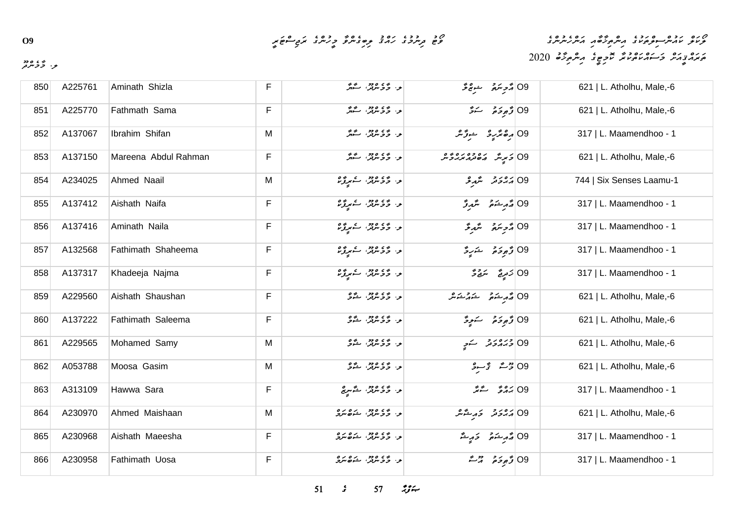*sCw7q7s5w7m< o<n9nOoAw7o< sCq;mAwBoEw7q<m; wBm;vB* م من المرة المرة المرة المرجع المرجع في المركبة 2020<br>مجم*د المريض المربوط المربع المرجع في المراجع المركبة* 

| 850 | A225761 | Aminath Shizla       | F           | ى ۋەس ئەرە            | 09 گەجەتتىمۇ سىي قەم               | 621   L. Atholhu, Male,-6 |
|-----|---------|----------------------|-------------|-----------------------|------------------------------------|---------------------------|
| 851 | A225770 | Fathmath Sama        | F           | ى ئەرەپى شەر          | 09 زٌمودَة شَدَّ                   | 621   L. Atholhu, Male,-6 |
| 852 | A137067 | Ibrahim Shifan       | M           | و. وەھەدە ئەش         | 09 مەھەر بەر ئىستىر ئىس            | 317   L. Maamendhoo - 1   |
| 853 | A137150 | Mareena Abdul Rahman | F           | و. وُوسِيْنِ سُنَيْرُ | 09 <i>كۈمەش مەھەرمەمبرى مى</i>     | 621   L. Atholhu, Male,-6 |
| 854 | A234025 | Ahmed Naail          | M           | و. د د سرزا           | 09 كەبرى ئىم ئىم ئى                | 744   Six Senses Laamu-1  |
| 855 | A137412 | Aishath Naifa        | F           | و. د د در عبرترند     | 09 مۇم شىم ئىتىمبۇ                 | 317   L. Maamendhoo - 1   |
| 856 | A137416 | Aminath Naila        | F           | و. دوسربر، شهرور،     | 09 أُمُّحِ سَمَّعَ مُسْتَمَرٍ مَحْ | 317   L. Maamendhoo - 1   |
| 857 | A132568 | Fathimath Shaheema   | $\mathsf F$ | و. د د سرور عبرون     | 09 زَّجِرَةً شَرِدَّ               | 317   L. Maamendhoo - 1   |
| 858 | A137317 | Khadeeja Najma       | F           | و. د د مرور عبرون     | 09 كَتْمِيعٌ مُسْتَمَعٌ مَّ        | 317   L. Maamendhoo - 1   |
| 859 | A229560 | Aishath Shaushan     | F           | ى ئەرەپى شەھ          | 09 مُ مِسْمَعْ شَمْ سُنَدْ سُرَ    | 621   L. Atholhu, Male,-6 |
| 860 | A137222 | Fathimath Saleema    | $\mathsf F$ | و. ۇەبەيەتى شۇۋ       | 09 زٌمودَة سَوِدً                  | 621   L. Atholhu, Male,-6 |
| 861 | A229565 | Mohamed Samy         | M           | و. ووجهين شگو         | 09 دېم پروژ تر ک                   | 621   L. Atholhu, Male,-6 |
| 862 | A053788 | Moosa Gasim          | M           | و. دمی دود. شوه       | $3 - 3$ $2$ $3$ 09                 | 621   L. Atholhu, Male,-6 |
| 863 | A313109 | Hawwa Sara           | F           | و. ۇۇشقۇ، ئۇسرى       | 09 كەشق شەتتە                      | 317   L. Maamendhoo - 1   |
| 864 | A230970 | Ahmed Maishaan       | M           | ى ئەمەدە ئەھلىرى      | 09 كەبرى قىرىشىر                   | 621   L. Atholhu, Male,-6 |
| 865 | A230968 | Aishath Maeesha      | F           | و. ووجهين شكھ مرو     | 09 گەرىشقى قەرىش                   | 317   L. Maamendhoo - 1   |
| 866 | A230958 | Fathimath Uosa       | F           | و. وورود. شکھ سرو     | 09 ڙُجِرَحَمُ پُرُتَّہُ            | 317   L. Maamendhoo - 1   |

 $51$  *s*  $57$  *n***<sub>i</sub>** *n***<sub>i</sub> <b>***n*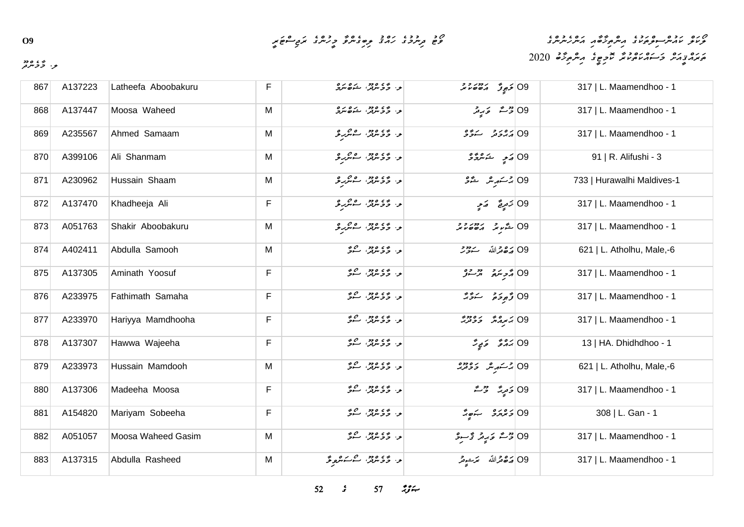*sCw7q7s5w7m< o<n9nOoAw7o< sCq;mAwBoEw7q<m; wBm;vB* م من المرة المرة المرة المرجع المرجع في المركبة 2020<br>مجم*د المريض المربوط المربع المرجع في المراجع المركبة* 

| 22064<br>ىو، دوسرىر |  |  |
|---------------------|--|--|
|---------------------|--|--|

| 867 | A137223 | Latheefa Aboobakuru | $\mathsf F$ | و. گەن ەەدە بەھ بىرە    | $1.77$ كَبِهِ رَحْمَهُ مَسْتَمَرَ $09$ | 317   L. Maamendhoo - 1    |
|-----|---------|---------------------|-------------|-------------------------|----------------------------------------|----------------------------|
| 868 | A137447 | Moosa Waheed        | M           | و. ووجه من ده ده.       | 09 تۇنئە ئەرىتر                        | 317   L. Maamendhoo - 1    |
| 869 | A235567 | Ahmed Samaam        | M           | و. دومروژ، شرمرو        | 09 كەبرى كەر ئىگەنى                    | 317   L. Maamendhoo - 1    |
| 870 | A399106 | Ali Shanmam         | M           | و. ۇۋىروز، شەئرىدۇ.     | $3.5.22 \pm 0.09$ کے م                 | 91   R. Alifushi - 3       |
| 871 | A230962 | Hussain Shaam       | M           | و. ۇەمەتى ئەشرىۋ        | 09 يُرْسَمْ بِهِ مِنْ وَمَحْ           | 733   Hurawalhi Maldives-1 |
| 872 | A137470 | Khadheeja Ali       | $\mathsf F$ | و. ۇەمەيى ئەشرىۋ        | 09 كَتْمِيعٌ - مَدْمٍ -                | 317   L. Maamendhoo - 1    |
| 873 | A051763 | Shakir Aboobakuru   | M           | و. ووسربر، ڪشريرو       | $2222$ $-242$                          | 317   L. Maamendhoo - 1    |
| 874 | A402411 | Abdulla Samooh      | M           | ى ئەرەپى شۇ             | 09 مَەمْراللە سىزدىر                   | 621   L. Atholhu, Male,-6  |
| 875 | A137305 | Aminath Yoosuf      | $\mathsf F$ | ى ئەرەپى ئەن            | 09 گەجەنىھە مەسىرو                     | 317   L. Maamendhoo - 1    |
| 876 | A233975 | Fathimath Samaha    | F           | ى ئەرەپى شۇ             | 09 زٌموحَمْ سَعَرَبُّ                  | 317   L. Maamendhoo - 1    |
| 877 | A233970 | Hariyya Mamdhooha   | F           | و. وومريز، روم          | 09 كەبىر مەدە ئەرەيدى                  | 317   L. Maamendhoo - 1    |
| 878 | A137307 | Hawwa Wajeeha       | $\mathsf F$ | ى ئەرەپى شۇ             | 09 <i>تەۋۇھۇم قەي</i>                  | 13   HA. Dhidhdhoo - 1     |
| 879 | A233973 | Hussain Mamdooh     | M           | و. دورور مرد            | 09 يُرْسَمْ بِهِ وَوَقْرَبُهُ          | 621   L. Atholhu, Male,-6  |
| 880 | A137306 | Madeeha Moosa       | F           | و. وومريز، روو          | 09 كَمَ بِيمٌ مَنْ شَرْ مُنْ           | 317   L. Maamendhoo - 1    |
| 881 | A154820 | Mariyam Sobeeha     | F           | و. وومريز، روو          | 09 كەممىز ئەھم                         | 308   L. Gan - 1           |
| 882 | A051057 | Moosa Waheed Gasim  | M           | ى ئەرەپى شۇ             | 09 تۇنئە ئەبەتمە تۇسوۋ                 | 317   L. Maamendhoo - 1    |
| 883 | A137315 | Abdulla Rasheed     | M           | و. ۋە ئەرەم سىر شەھرىگە | 09 كەڭداللە كە <u>ش</u> وتىر           | 317   L. Maamendhoo - 1    |

 $52$   $57$   $57$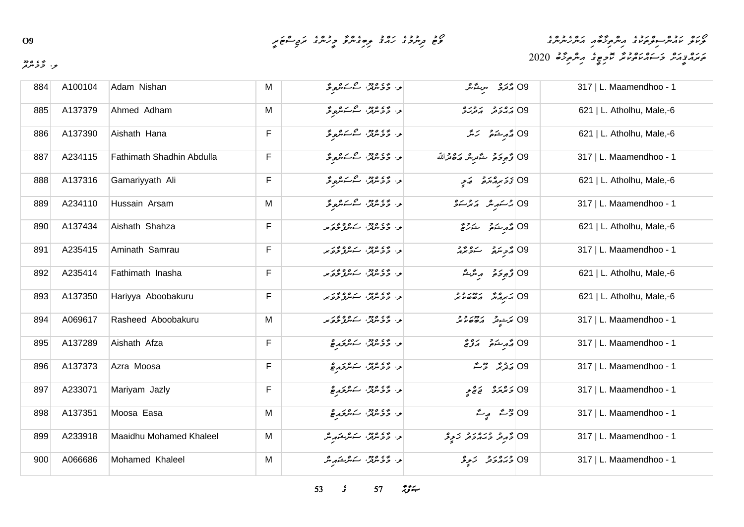*sCw7q7s5w7m< o<n9nOoAw7o< sCq;mAwBoEw7q<m; wBm;vB 2020*<br>*په پوهر وسوډيرونو لومو د موجو د مرمونه* 2020

| 884 | A100104 | Adam Nishan               | M           | ى ئۇتوپرى سەسەتلەرگە                     | 09 كەتىرى سىشكىر                              | 317   L. Maamendhoo - 1   |
|-----|---------|---------------------------|-------------|------------------------------------------|-----------------------------------------------|---------------------------|
| 885 | A137379 | Ahmed Adham               | M           | و. ۇۇس بىر سىر سىر ئىر                   | 09 كەبرى كەندىرى                              | 621   L. Atholhu, Male,-6 |
| 886 | A137390 | Aishath Hana              | F           | و. ۇۋىروز، سەسكىروگە                     | 09 مۇم شىمۇ خىگە                              | 621   L. Atholhu, Male,-6 |
| 887 | A234115 | Fathimath Shadhin Abdulla | F           | و. ۇۋىرىن سىر سىر ئورۇ                   | 09 رَّجِ حَمَّ شَّمَّتِ مَنْ مَقَامَّ اللَّهُ | 317   L. Maamendhoo - 1   |
| 888 | A137316 | Gamariyyath Ali           | F           | و دەرەر ئەسكىر                           | 09 ئۇ ئىر مەمۇر ھىمىيە                        | 621   L. Atholhu, Male,-6 |
| 889 | A234110 | Hussain Arsam             | M           | و دەرەر ئەسكىر                           | 09 يرىتىر مەيزىتىۋ                            | 317   L. Maamendhoo - 1   |
| 890 | A137434 | Aishath Shahza            | F           | ى ئەمەدەر رەمەر<br>ئەر ئەرىپى ئەسلامۇرىر | 09 <i>مُگهرِ مِنْدَهُنَّ</i> مُنْدَرِّيُّ     | 621   L. Atholhu, Male,-6 |
| 891 | A235415 | Aminath Samrau            | $\mathsf F$ | و وومړي شمېروونو                         | 09 مَّجِسَعَ سَوَعَمَّهُ                      | 317   L. Maamendhoo - 1   |
| 892 | A235414 | Fathimath Inasha          | F           | ى ئەمەدەر رەمەر<br>ئەر ئەرىپى ئىسلامۇمىر | 09 زَّەپرىق مەمَّزىش                          | 621   L. Atholhu, Male,-6 |
| 893 | A137350 | Hariyya Aboobakuru        | F           | و. د د وړي کورونو د                      | $22222$ $2422$                                | 621   L. Atholhu, Male,-6 |
| 894 | A069617 | Rasheed Aboobakuru        | M           | ى ئەمەدە سەمەدىرى                        | 09 ترشونر مقصرتمر                             | 317   L. Maamendhoo - 1   |
| 895 | A137289 | Aishath Afza              | F           | و ووسربر، سەسرور ھ                       | 09 مەم شىم مىرىمى                             | 317   L. Maamendhoo - 1   |
| 896 | A137373 | Azra Moosa                | F           | و و و مرير عمر ده و                      | 09 كەنترىتر قريشر                             | 317   L. Maamendhoo - 1   |
| 897 | A233071 | Mariyam Jazly             | F           | و گرگرين ڪرگرونج                         | 09 كەبھەر ئەيم يە                             | 317   L. Maamendhoo - 1   |
| 898 | A137351 | Moosa Easa                | M           | و و وسربر، سكتروره                       | 09 قزشہ پرشہ                                  | 317   L. Maamendhoo - 1   |
| 899 | A233918 | Maaidhu Mohamed Khaleel   | M           | و. ۇۋىرلار، سەئىرىشەرش                   | 09 دَّەپر دېرودتر رَب <sub>و</sub> تو         | 317   L. Maamendhoo - 1   |
| 900 | A066686 | Mohamed Khaleel           | M           | ى ئەمەم ئەرىئەر                          | 09  32,35 زَمِ وَ دَمَ                        | 317   L. Maamendhoo - 1   |

 $53$   $5$   $57$   $59$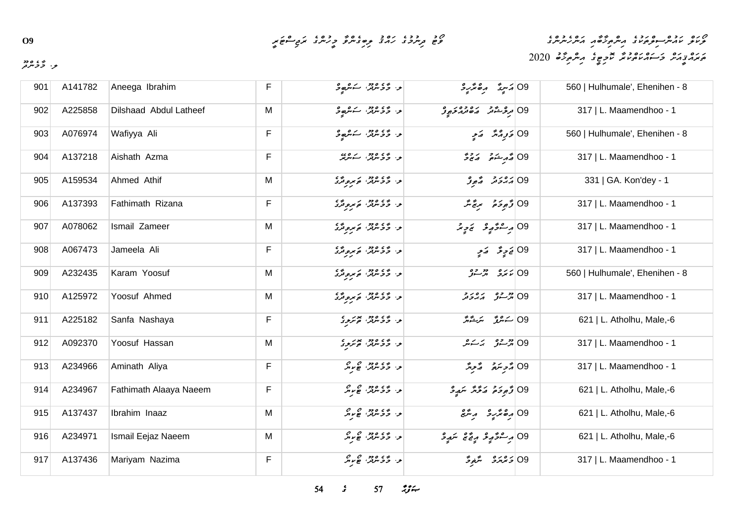*sCw7q7s5w7m< o<n9nOoAw7o< sCq;mAwBoEw7q<m; wBm;vB* م من المرة المرة المرة المرجع المرجع في المركبة 2020<br>مجم*د المريض المربوط المربع المرجع في المراجع المركبة* 

| 901 | A141782 | Aneega Ibrahim         | F | و. ووسربن سکس و                                                              | 09  كەيپى مەھمگەيدى                  | 560   Hulhumale', Ehenihen - 8 |
|-----|---------|------------------------|---|------------------------------------------------------------------------------|--------------------------------------|--------------------------------|
| 902 | A225858 | Dilshaad Abdul Latheef | M | و. د د سرس کمبر و د                                                          | 09 مروث <i>مقدم مقدم في</i> ور       | 317   L. Maamendhoo - 1        |
| 903 | A076974 | Wafiyya Ali            | F | و. ووسرين سنسهو                                                              | 09 قربر ممنح شعي                     | 560   Hulhumale', Ehenihen - 8 |
| 904 | A137218 | Aishath Azma           | F | و. گەن ھەر شەھەر                                                             | $55 - 25$                            | 317   L. Maamendhoo - 1        |
| 905 | A159534 | Ahmed Athif            | M | و گروه کرده                                                                  | 09 كەشكەتىر گەنبور                   | 331   GA. Kon'dey - 1          |
| 906 | A137393 | Fathimath Rizana       | F | و کام دو کام کام دی                                                          | 09 زَّەپرىز ئەستى ئىگە               | 317   L. Maamendhoo - 1        |
| 907 | A078062 | Ismail Zameer          | M | و. د ده ده کم مروترد                                                         | 09 مەشتۇم بۇ ي <sub>ى</sub> يۇيتى    | 317   L. Maamendhoo - 1        |
| 908 | A067473 | Jameela Ali            | F | و گوهی کم موفرد                                                              | 09] تے <sub>جو</sub> گر کے مح        | 317   L. Maamendhoo - 1        |
| 909 | A232435 | Karam Yoosuf           | M | و کام دو کام کام دی                                                          | 09 ئەنىرى تەرىپۇ                     | 560   Hulhumale', Ehenihen - 8 |
| 910 | A125972 | Yoosuf Ahmed           | M | و گەرەپى كەيرەتگە                                                            | 09 ټرينو پرویز                       | 317   L. Maamendhoo - 1        |
| 911 | A225182 | Sanfa Nashaya          | F | والمحمومين وتروى                                                             | 09 كەشرۇ سەئەدىگە                    | 621   L. Atholhu, Male,-6      |
| 912 | A092370 | Yoosuf Hassan          | M | و. ۶۶۵ وه پور د                                                              | 09 ټر <i>-یو پر پر پی</i> ر          | 317   L. Maamendhoo - 1        |
| 913 | A234966 | Aminath Aliya          | F | و. و و مرتز، ج برا                                                           | 09 مَّحِسَمَۃُ مَُحِمَّ              | 317   L. Maamendhoo - 1        |
| 914 | A234967 | Fathimath Alaaya Naeem | F | $\begin{array}{cc} C & C & 220 & C & D \\ C & C & C & D & C & D \end{array}$ | 09 زَّەپ ئە ئەڭگە سَەپ 3             | 621   L. Atholhu, Male,-6      |
| 915 | A137437 | Ibrahim Inaaz          | M | $\begin{array}{cc} C & C & 220 & C & D \\ C & C & C & D & C & D \end{array}$ | 09 مەھمىر ئەسىم                      | 621   L. Atholhu, Male,-6      |
| 916 | A234971 | Ismail Eejaz Naeem     | M | $\begin{bmatrix} C & C & 22 & C & C \\ C & C & C & C & C \\ \end{bmatrix}$   | 09 مِـــْدَّمِيعْ مِيعَّة سَمِيعْ    | 621   L. Atholhu, Male,-6      |
| 917 | A137436 | Mariyam Nazima         | F | ת בכתב שעת                                                                   | 09 <i>5 مُدْ مَرْدُ</i> مُرَّمْ مِنْ | 317   L. Maamendhoo - 1        |

 $54$   $5$   $57$   $59$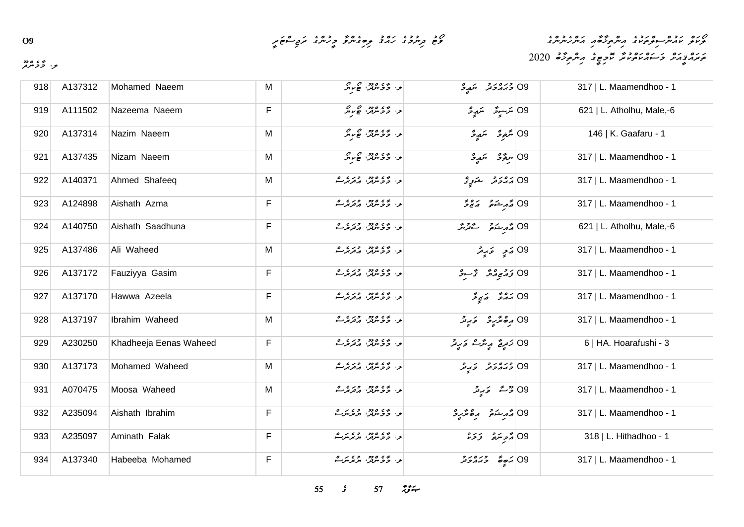*sCw7q7s5w7m< o<n9nOoAw7o< sCq;mAwBoEw7q<m; wBm;vB* م من المرة المرة المرة المرجع المرجع في المركبة 2020<br>مجم*د المريض المربوط المربع المرجع في المراجع المركبة* 

| 918 | A137312 | Mohamed Naeem          | M           | ى ئۇر مەدر، ھاياش                                                           | 09  <i>32,35 متمدٍ</i> \$                  | 317   L. Maamendhoo - 1   |
|-----|---------|------------------------|-------------|-----------------------------------------------------------------------------|--------------------------------------------|---------------------------|
| 919 | A111502 | Nazeema Naeem          | F           | $\begin{array}{cc} C & C & 220 & C & C \\ C & C & C & C & C \\ \end{array}$ | 09 <del>م</del> َرَسِوتٌ مَمَ <i>دٍ</i> وَ | 621   L. Atholhu, Male,-6 |
| 920 | A137314 | Nazim Naeem            | M           | و. وگرسري صدر                                                               | 09 سَّمَوِرْ سَمِر <sup>و</sup> َ          | 146   K. Gaafaru - 1      |
| 921 | A137435 | Nizam Naeem            | M           |                                                                             | 09 سِمَّرٌ سَمِرٌ                          | 317   L. Maamendhoo - 1   |
| 922 | A140371 | Ahmed Shafeeq          | M           | و. گەن ھەر جەر ئە                                                           | 09 كەشكەتقى ئىكەنتى تى                     | 317   L. Maamendhoo - 1   |
| 923 | A124898 | Aishath Azma           | F           | و. گەن ھەر جەر ئە                                                           | $582 - 521$                                | 317   L. Maamendhoo - 1   |
| 924 | A140750 | Aishath Saadhuna       | F           | و. ووهين متربر م                                                            | 09 گەم شەھ كەترىگر                         | 621   L. Atholhu, Male,-6 |
| 925 | A137486 | Ali Waheed             | M           | و. ووهين المتربر علي الم                                                    | 09 کھيے ۔ توسیر پر                         | 317   L. Maamendhoo - 1   |
| 926 | A137172 | Fauziyya Gasim         | F           | و. گەن ھەر جەر ئە                                                           | 09 زَمَّ عِمَدٌ تَحْسِرْ                   | 317   L. Maamendhoo - 1   |
| 927 | A137170 | Hawwa Azeela           | F           | و. ووجود وری ه                                                              | 09 ئەيمۇ كەيپۇ                             | 317   L. Maamendhoo - 1   |
| 928 | A137197 | Ibrahim Waheed         | M           | و. د و وو. د د پرې                                                          | 09 مەھمىر ئىق ئىق                          | 317   L. Maamendhoo - 1   |
| 929 | A230250 | Khadheeja Eenas Waheed | F           | و. گەنگەن مەترىرى                                                           | 09 كَتْمِيعٌ ۖ مِيمَّرْ - وَبِيمْر         | 6   HA. Hoarafushi - 3    |
| 930 | A137173 | Mohamed Waheed         | M           | و. گەنگەن مەترىرى                                                           | 09 د پروژو تر په                           | 317   L. Maamendhoo - 1   |
| 931 | A070475 | Moosa Waheed           | м           | و. ووجود وری ه                                                              | 09 تۇشقە غەيرىتىر                          | 317   L. Maamendhoo - 1   |
| 932 | A235094 | Aishath Ibrahim        | $\mathsf F$ | و. گەن ھەر دەكرىك                                                           | 09 قەرىشقى مەھترىرى                        | 317   L. Maamendhoo - 1   |
| 933 | A235097 | Aminath Falak          | F           | و. گەن ھەر دەرك                                                             | 09 مٌ مِسَمَّدٍ وَ مَحَسَّ                 | 318   L. Hithadhoo - 1    |
| 934 | A137340 | Habeeba Mohamed        | F           | و. ووردور وی در ه                                                           | 09 يَهِمَّ دَيَهْدَتْر                     | 317   L. Maamendhoo - 1   |

 $55$   $5$   $57$   $59$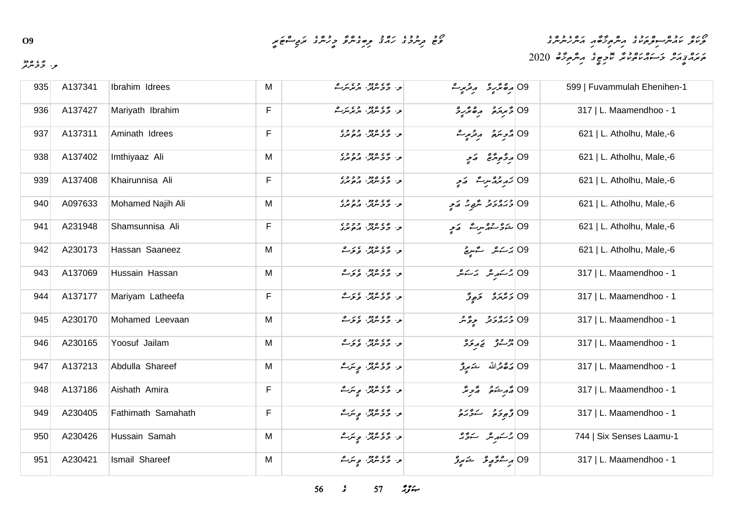*sCw7q7s5w7m< o<n9nOoAw7o< sCq;mAwBoEw7q<m; wBm;vB* م من المرة المرة المرة المرجع المرجع في المركبة 2020<br>مجم*د المريض المربوط المربع المرجع في المراجع المركبة* 

| この くぐ   |  |
|---------|--|
| ىر. درس |  |

| 935 | A137341 | Ibrahim Idrees     | M           | و. ووسربر، مهرس                  | 09 مەھ ئۇر بىر مەمدىرىشە               | 599   Fuvammulah Ehenihen-1 |
|-----|---------|--------------------|-------------|----------------------------------|----------------------------------------|-----------------------------|
| 936 | A137427 | Mariyath Ibrahim   | F           | و. وورود و، ره و                 | 09 ۇىرىرى مەھزىر ۋ                     | 317   L. Maamendhoo - 1     |
| 937 | A137311 | Aminath Idrees     | F           | و وه وو دوه<br>و ووسرتر مهری     | 09 گەجەنىمۇ ھەرىرىيە                   | 621   L. Atholhu, Male,-6   |
| 938 | A137402 | Imthiyaaz Ali      | M           | و. وه ووه ووه.<br>و. ووس         | 09 مرڈ مومزیح کے مح                    | 621   L. Atholhu, Male,-6   |
| 939 | A137408 | Khairunnisa Ali    | F           | و وه وو وووه<br>و ووسربر پرونړۍ  | 09 ئەرىردىرىسى ھەمپە                   | 621   L. Atholhu, Male,-6   |
| 940 | A097633 | Mohamed Najih Ali  | M           | و وه وووه<br>و ووسيس محمد        | 09] وُيَرَدُونَهُ ـ مَّهِ بِرَ ـ رَمِي | 621   L. Atholhu, Male,-6   |
| 941 | A231948 | Shamsunnisa Ali    | F           | و. وه وو دوه.<br>و. ووسرتر، مومر | 09 خۇچىمرىت كەير                       | 621   L. Atholhu, Male,-6   |
| 942 | A230173 | Hassan Saaneez     | M           | و. ۇوس ۋۇر                       | 09 ئەسەنلەر شەيبى                      | 621   L. Atholhu, Male,-6   |
| 943 | A137069 | Hussain Hassan     | M           | و. ۇۇرىتر، ۋۇپ                   | 09  پرستمبر پرسکر                      | 317   L. Maamendhoo - 1     |
| 944 | A137177 | Mariyam Latheefa   | F           | ى ۇەس ئەرە                       | 09 كەندىر ئىمبۇ ئى                     | 317   L. Maamendhoo - 1     |
| 945 | A230170 | Mohamed Leevaan    | M           | ى ۇەھەر ، ئەر                    | 09 دُبَرْدْدَنْر بِوَنْدْ              | 317   L. Maamendhoo - 1     |
| 946 | A230165 | Yoosuf Jailam      | M           | و. ۇەھەر ، ئەر ق                 | 09 ترجيع تجديدة                        | 317   L. Maamendhoo - 1     |
| 947 | A137213 | Abdulla Shareef    | M           | ى ئۇق ھەر مەرگ                   | 09 كەھەراللە خ <i>ەمرى</i> ر           | 317   L. Maamendhoo - 1     |
| 948 | A137186 | Aishath Amira      | $\mathsf F$ | ى ئۇق ھەر مەرگ                   | 09 مەم شىم قىم قى                      | 317   L. Maamendhoo - 1     |
| 949 | A230405 | Fathimath Samahath | $\mathsf F$ | و. 35مريز، <sub>ج</sub> مكرے     | 09 زَّەپەرَە ئەسەرَىدە                 | 317   L. Maamendhoo - 1     |
| 950 | A230426 | Hussain Samah      | M           | و. 35 مۇش مەس كە                 | 09 ير شهر مسترمبر                      | 744   Six Senses Laamu-1    |
| 951 | A230421 | Ismail Shareef     | M           | و. 35مريز، <sub>ج</sub> مكرے     | 09 مەشۇر ئىستىر ۋە                     | 317   L. Maamendhoo - 1     |

 $56$   $5$   $57$   $59$